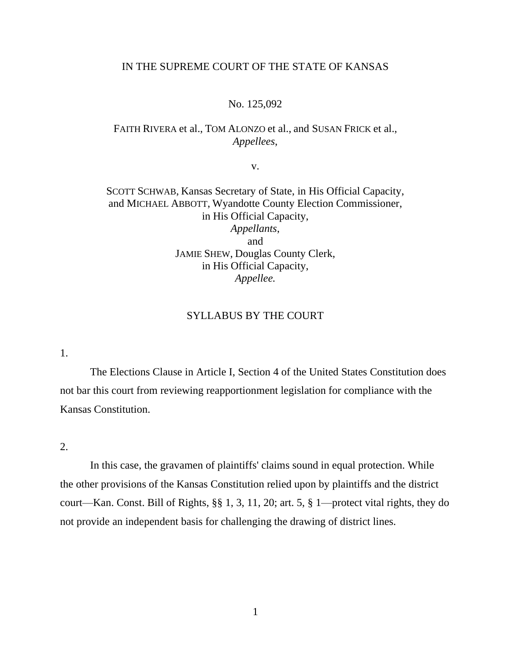### IN THE SUPREME COURT OF THE STATE OF KANSAS

#### No. 125,092

# FAITH RIVERA et al., TOM ALONZO et al., and SUSAN FRICK et al., *Appellees*,

v.

# SCOTT SCHWAB, Kansas Secretary of State, in His Official Capacity, and MICHAEL ABBOTT, Wyandotte County Election Commissioner, in His Official Capacity, *Appellants*, and JAMIE SHEW, Douglas County Clerk, in His Official Capacity, *Appellee.*

### SYLLABUS BY THE COURT

1.

The Elections Clause in Article I, Section 4 of the United States Constitution does not bar this court from reviewing reapportionment legislation for compliance with the Kansas Constitution.

#### $2<sub>1</sub>$

In this case, the gravamen of plaintiffs' claims sound in equal protection. While the other provisions of the Kansas Constitution relied upon by plaintiffs and the district court—Kan. Const. Bill of Rights, §§ 1, 3, 11, 20; art. 5, § 1—protect vital rights, they do not provide an independent basis for challenging the drawing of district lines.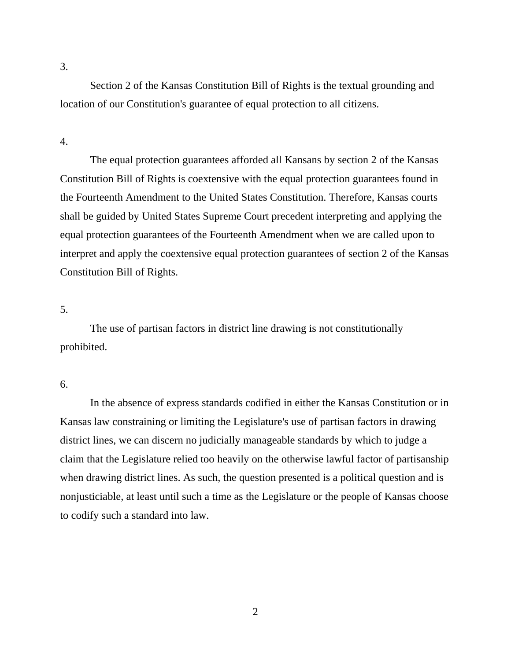Section 2 of the Kansas Constitution Bill of Rights is the textual grounding and location of our Constitution's guarantee of equal protection to all citizens.

4.

The equal protection guarantees afforded all Kansans by section 2 of the Kansas Constitution Bill of Rights is coextensive with the equal protection guarantees found in the Fourteenth Amendment to the United States Constitution. Therefore, Kansas courts shall be guided by United States Supreme Court precedent interpreting and applying the equal protection guarantees of the Fourteenth Amendment when we are called upon to interpret and apply the coextensive equal protection guarantees of section 2 of the Kansas Constitution Bill of Rights.

5.

The use of partisan factors in district line drawing is not constitutionally prohibited.

6.

In the absence of express standards codified in either the Kansas Constitution or in Kansas law constraining or limiting the Legislature's use of partisan factors in drawing district lines, we can discern no judicially manageable standards by which to judge a claim that the Legislature relied too heavily on the otherwise lawful factor of partisanship when drawing district lines. As such, the question presented is a political question and is nonjusticiable, at least until such a time as the Legislature or the people of Kansas choose to codify such a standard into law.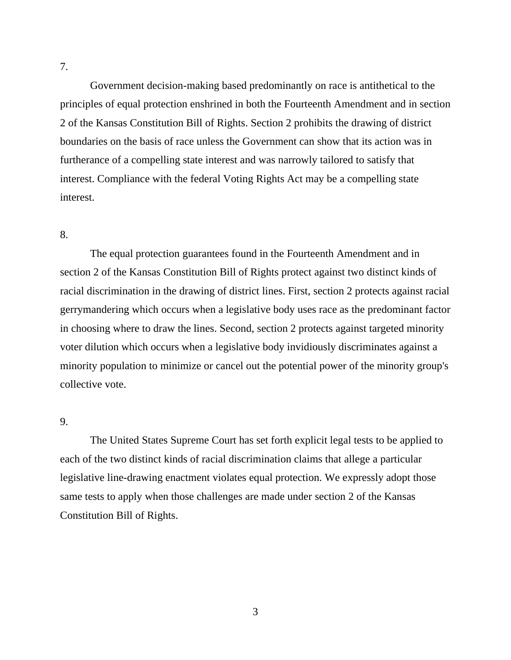Government decision-making based predominantly on race is antithetical to the principles of equal protection enshrined in both the Fourteenth Amendment and in section 2 of the Kansas Constitution Bill of Rights. Section 2 prohibits the drawing of district boundaries on the basis of race unless the Government can show that its action was in furtherance of a compelling state interest and was narrowly tailored to satisfy that interest. Compliance with the federal Voting Rights Act may be a compelling state

#### 8.

interest.

The equal protection guarantees found in the Fourteenth Amendment and in section 2 of the Kansas Constitution Bill of Rights protect against two distinct kinds of racial discrimination in the drawing of district lines. First, section 2 protects against racial gerrymandering which occurs when a legislative body uses race as the predominant factor in choosing where to draw the lines. Second, section 2 protects against targeted minority voter dilution which occurs when a legislative body invidiously discriminates against a minority population to minimize or cancel out the potential power of the minority group's collective vote.

#### 9.

The United States Supreme Court has set forth explicit legal tests to be applied to each of the two distinct kinds of racial discrimination claims that allege a particular legislative line-drawing enactment violates equal protection. We expressly adopt those same tests to apply when those challenges are made under section 2 of the Kansas Constitution Bill of Rights.

7.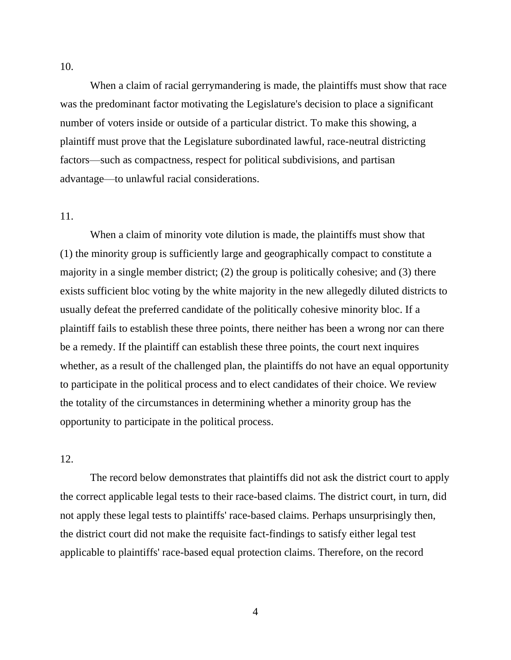When a claim of racial gerrymandering is made, the plaintiffs must show that race was the predominant factor motivating the Legislature's decision to place a significant number of voters inside or outside of a particular district. To make this showing, a plaintiff must prove that the Legislature subordinated lawful, race-neutral districting factors—such as compactness, respect for political subdivisions, and partisan advantage—to unlawful racial considerations.

## 11.

When a claim of minority vote dilution is made, the plaintiffs must show that (1) the minority group is sufficiently large and geographically compact to constitute a majority in a single member district; (2) the group is politically cohesive; and (3) there exists sufficient bloc voting by the white majority in the new allegedly diluted districts to usually defeat the preferred candidate of the politically cohesive minority bloc. If a plaintiff fails to establish these three points, there neither has been a wrong nor can there be a remedy. If the plaintiff can establish these three points, the court next inquires whether, as a result of the challenged plan, the plaintiffs do not have an equal opportunity to participate in the political process and to elect candidates of their choice. We review the totality of the circumstances in determining whether a minority group has the opportunity to participate in the political process.

## 12.

The record below demonstrates that plaintiffs did not ask the district court to apply the correct applicable legal tests to their race-based claims. The district court, in turn, did not apply these legal tests to plaintiffs' race-based claims. Perhaps unsurprisingly then, the district court did not make the requisite fact-findings to satisfy either legal test applicable to plaintiffs' race-based equal protection claims. Therefore, on the record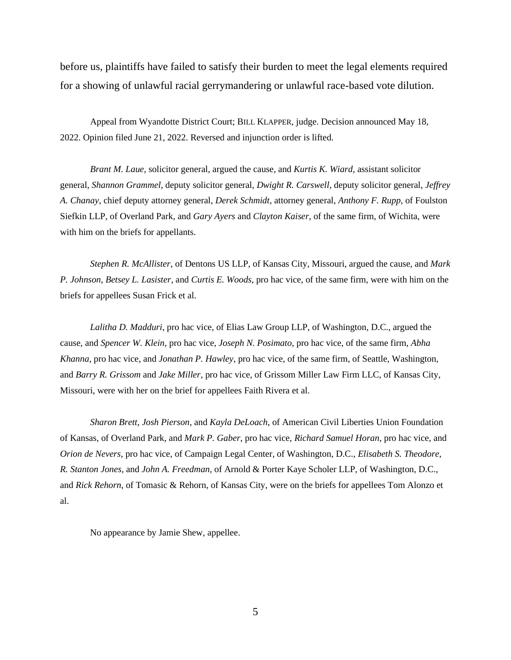before us, plaintiffs have failed to satisfy their burden to meet the legal elements required for a showing of unlawful racial gerrymandering or unlawful race-based vote dilution.

Appeal from Wyandotte District Court; BILL KLAPPER, judge. Decision announced May 18, 2022. Opinion filed June 21, 2022. Reversed and injunction order is lifted.

*Brant M. Laue*, solicitor general, argued the cause, and *Kurtis K. Wiard*, assistant solicitor general, *Shannon Grammel*, deputy solicitor general, *Dwight R. Carswell*, deputy solicitor general, *Jeffrey A. Chanay*, chief deputy attorney general, *Derek Schmidt*, attorney general, *Anthony F. Rupp*, of Foulston Siefkin LLP, of Overland Park, and *Gary Ayers* and *Clayton Kaiser*, of the same firm, of Wichita, were with him on the briefs for appellants.

*Stephen R. McAllister*, of Dentons US LLP, of Kansas City, Missouri, argued the cause, and *Mark P. Johnson*, *Betsey L. Lasister*, and *Curtis E. Woods*, pro hac vice, of the same firm, were with him on the briefs for appellees Susan Frick et al.

*Lalitha D. Madduri*, pro hac vice, of Elias Law Group LLP, of Washington, D.C., argued the cause, and *Spencer W. Klein*, pro hac vice, *Joseph N. Posimato*, pro hac vice, of the same firm, *Abha Khanna*, pro hac vice, and *Jonathan P. Hawley*, pro hac vice, of the same firm, of Seattle, Washington, and *Barry R. Grissom* and *Jake Miller*, pro hac vice, of Grissom Miller Law Firm LLC, of Kansas City, Missouri, were with her on the brief for appellees Faith Rivera et al.

*Sharon Brett*, *Josh Pierson*, and *Kayla DeLoach*, of American Civil Liberties Union Foundation of Kansas, of Overland Park, and *Mark P. Gaber*, pro hac vice, *Richard Samuel Horan*, pro hac vice, and *Orion de Nevers*, pro hac vice, of Campaign Legal Center, of Washington, D.C., *Elisabeth S. Theodore*, *R. Stanton Jones*, and *John A. Freedman*, of Arnold & Porter Kaye Scholer LLP, of Washington, D.C., and *Rick Rehorn*, of Tomasic & Rehorn, of Kansas City, were on the briefs for appellees Tom Alonzo et al.

No appearance by Jamie Shew, appellee.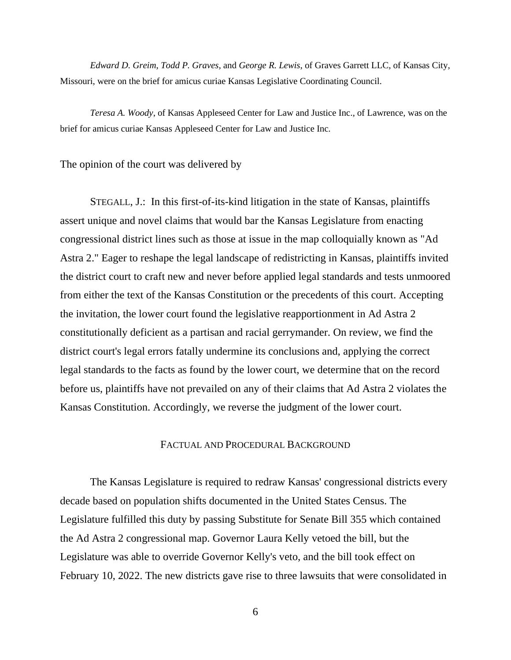*Edward D. Greim*, *Todd P. Graves*, and *George R. Lewis*, of Graves Garrett LLC, of Kansas City, Missouri, were on the brief for amicus curiae Kansas Legislative Coordinating Council.

*Teresa A. Woody*, of Kansas Appleseed Center for Law and Justice Inc., of Lawrence, was on the brief for amicus curiae Kansas Appleseed Center for Law and Justice Inc.

The opinion of the court was delivered by

STEGALL, J.: In this first-of-its-kind litigation in the state of Kansas, plaintiffs assert unique and novel claims that would bar the Kansas Legislature from enacting congressional district lines such as those at issue in the map colloquially known as "Ad Astra 2." Eager to reshape the legal landscape of redistricting in Kansas, plaintiffs invited the district court to craft new and never before applied legal standards and tests unmoored from either the text of the Kansas Constitution or the precedents of this court. Accepting the invitation, the lower court found the legislative reapportionment in Ad Astra 2 constitutionally deficient as a partisan and racial gerrymander. On review, we find the district court's legal errors fatally undermine its conclusions and, applying the correct legal standards to the facts as found by the lower court, we determine that on the record before us, plaintiffs have not prevailed on any of their claims that Ad Astra 2 violates the Kansas Constitution. Accordingly, we reverse the judgment of the lower court.

#### FACTUAL AND PROCEDURAL BACKGROUND

The Kansas Legislature is required to redraw Kansas' congressional districts every decade based on population shifts documented in the United States Census. The Legislature fulfilled this duty by passing Substitute for Senate Bill 355 which contained the Ad Astra 2 congressional map. Governor Laura Kelly vetoed the bill, but the Legislature was able to override Governor Kelly's veto, and the bill took effect on February 10, 2022. The new districts gave rise to three lawsuits that were consolidated in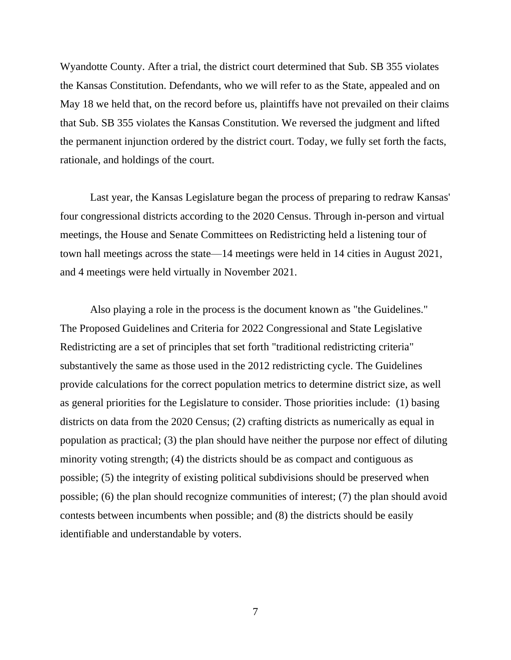Wyandotte County. After a trial, the district court determined that Sub. SB 355 violates the Kansas Constitution. Defendants, who we will refer to as the State, appealed and on May 18 we held that, on the record before us, plaintiffs have not prevailed on their claims that Sub. SB 355 violates the Kansas Constitution. We reversed the judgment and lifted the permanent injunction ordered by the district court. Today, we fully set forth the facts, rationale, and holdings of the court.

Last year, the Kansas Legislature began the process of preparing to redraw Kansas' four congressional districts according to the 2020 Census. Through in-person and virtual meetings, the House and Senate Committees on Redistricting held a listening tour of town hall meetings across the state—14 meetings were held in 14 cities in August 2021, and 4 meetings were held virtually in November 2021.

Also playing a role in the process is the document known as "the Guidelines." The Proposed Guidelines and Criteria for 2022 Congressional and State Legislative Redistricting are a set of principles that set forth "traditional redistricting criteria" substantively the same as those used in the 2012 redistricting cycle. The Guidelines provide calculations for the correct population metrics to determine district size, as well as general priorities for the Legislature to consider. Those priorities include: (1) basing districts on data from the 2020 Census; (2) crafting districts as numerically as equal in population as practical; (3) the plan should have neither the purpose nor effect of diluting minority voting strength; (4) the districts should be as compact and contiguous as possible; (5) the integrity of existing political subdivisions should be preserved when possible; (6) the plan should recognize communities of interest; (7) the plan should avoid contests between incumbents when possible; and (8) the districts should be easily identifiable and understandable by voters.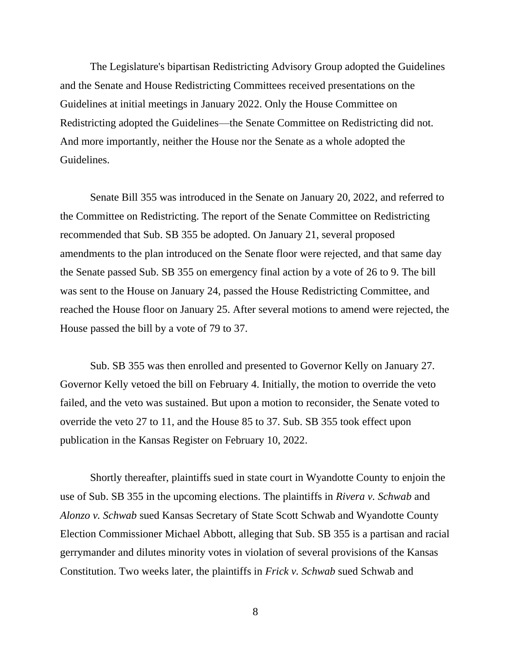The Legislature's bipartisan Redistricting Advisory Group adopted the Guidelines and the Senate and House Redistricting Committees received presentations on the Guidelines at initial meetings in January 2022. Only the House Committee on Redistricting adopted the Guidelines—the Senate Committee on Redistricting did not. And more importantly, neither the House nor the Senate as a whole adopted the Guidelines.

Senate Bill 355 was introduced in the Senate on January 20, 2022, and referred to the Committee on Redistricting. The report of the Senate Committee on Redistricting recommended that Sub. SB 355 be adopted. On January 21, several proposed amendments to the plan introduced on the Senate floor were rejected, and that same day the Senate passed Sub. SB 355 on emergency final action by a vote of 26 to 9. The bill was sent to the House on January 24, passed the House Redistricting Committee, and reached the House floor on January 25. After several motions to amend were rejected, the House passed the bill by a vote of 79 to 37.

Sub. SB 355 was then enrolled and presented to Governor Kelly on January 27. Governor Kelly vetoed the bill on February 4. Initially, the motion to override the veto failed, and the veto was sustained. But upon a motion to reconsider, the Senate voted to override the veto 27 to 11, and the House 85 to 37. Sub. SB 355 took effect upon publication in the Kansas Register on February 10, 2022.

Shortly thereafter, plaintiffs sued in state court in Wyandotte County to enjoin the use of Sub. SB 355 in the upcoming elections. The plaintiffs in *Rivera v. Schwab* and *Alonzo v. Schwab* sued Kansas Secretary of State Scott Schwab and Wyandotte County Election Commissioner Michael Abbott, alleging that Sub. SB 355 is a partisan and racial gerrymander and dilutes minority votes in violation of several provisions of the Kansas Constitution. Two weeks later, the plaintiffs in *Frick v. Schwab* sued Schwab and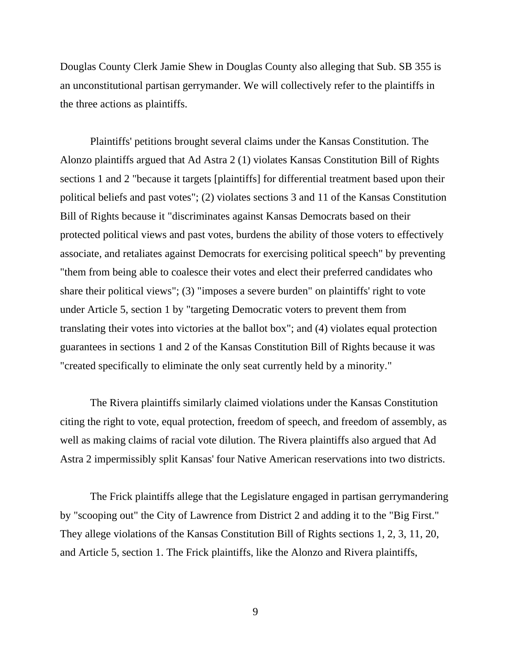Douglas County Clerk Jamie Shew in Douglas County also alleging that Sub. SB 355 is an unconstitutional partisan gerrymander. We will collectively refer to the plaintiffs in the three actions as plaintiffs.

Plaintiffs' petitions brought several claims under the Kansas Constitution. The Alonzo plaintiffs argued that Ad Astra 2 (1) violates Kansas Constitution Bill of Rights sections 1 and 2 "because it targets [plaintiffs] for differential treatment based upon their political beliefs and past votes"; (2) violates sections 3 and 11 of the Kansas Constitution Bill of Rights because it "discriminates against Kansas Democrats based on their protected political views and past votes, burdens the ability of those voters to effectively associate, and retaliates against Democrats for exercising political speech" by preventing "them from being able to coalesce their votes and elect their preferred candidates who share their political views"; (3) "imposes a severe burden" on plaintiffs' right to vote under Article 5, section 1 by "targeting Democratic voters to prevent them from translating their votes into victories at the ballot box"; and (4) violates equal protection guarantees in sections 1 and 2 of the Kansas Constitution Bill of Rights because it was "created specifically to eliminate the only seat currently held by a minority."

The Rivera plaintiffs similarly claimed violations under the Kansas Constitution citing the right to vote, equal protection, freedom of speech, and freedom of assembly, as well as making claims of racial vote dilution. The Rivera plaintiffs also argued that Ad Astra 2 impermissibly split Kansas' four Native American reservations into two districts.

The Frick plaintiffs allege that the Legislature engaged in partisan gerrymandering by "scooping out" the City of Lawrence from District 2 and adding it to the "Big First." They allege violations of the Kansas Constitution Bill of Rights sections 1, 2, 3, 11, 20, and Article 5, section 1. The Frick plaintiffs, like the Alonzo and Rivera plaintiffs,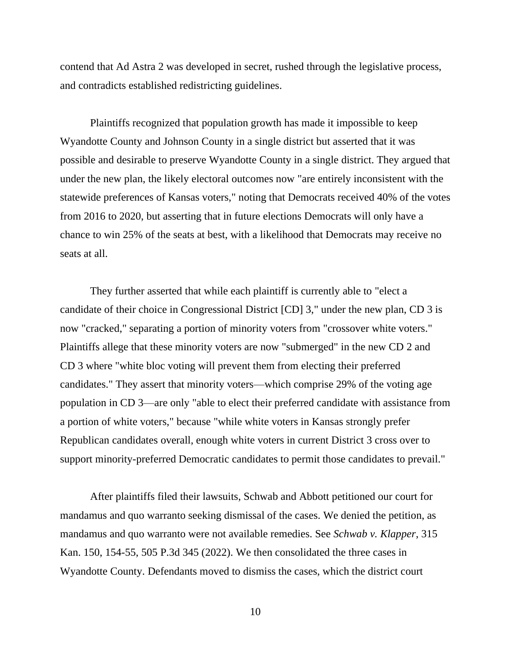contend that Ad Astra 2 was developed in secret, rushed through the legislative process, and contradicts established redistricting guidelines.

Plaintiffs recognized that population growth has made it impossible to keep Wyandotte County and Johnson County in a single district but asserted that it was possible and desirable to preserve Wyandotte County in a single district. They argued that under the new plan, the likely electoral outcomes now "are entirely inconsistent with the statewide preferences of Kansas voters," noting that Democrats received 40% of the votes from 2016 to 2020, but asserting that in future elections Democrats will only have a chance to win 25% of the seats at best, with a likelihood that Democrats may receive no seats at all.

They further asserted that while each plaintiff is currently able to "elect a candidate of their choice in Congressional District [CD] 3," under the new plan, CD 3 is now "cracked," separating a portion of minority voters from "crossover white voters." Plaintiffs allege that these minority voters are now "submerged" in the new CD 2 and CD 3 where "white bloc voting will prevent them from electing their preferred candidates." They assert that minority voters—which comprise 29% of the voting age population in CD 3—are only "able to elect their preferred candidate with assistance from a portion of white voters," because "while white voters in Kansas strongly prefer Republican candidates overall, enough white voters in current District 3 cross over to support minority-preferred Democratic candidates to permit those candidates to prevail."

After plaintiffs filed their lawsuits, Schwab and Abbott petitioned our court for mandamus and quo warranto seeking dismissal of the cases. We denied the petition, as mandamus and quo warranto were not available remedies. See *Schwab v. Klapper*, 315 Kan. 150, 154-55, 505 P.3d 345 (2022). We then consolidated the three cases in Wyandotte County. Defendants moved to dismiss the cases, which the district court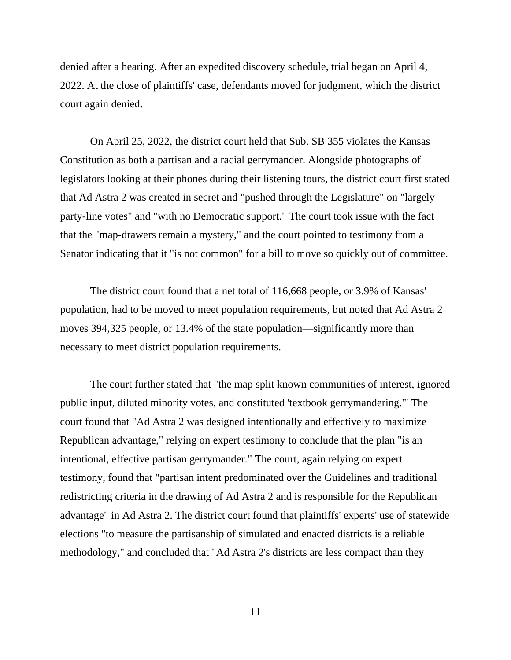denied after a hearing. After an expedited discovery schedule, trial began on April 4, 2022. At the close of plaintiffs' case, defendants moved for judgment, which the district court again denied.

On April 25, 2022, the district court held that Sub. SB 355 violates the Kansas Constitution as both a partisan and a racial gerrymander. Alongside photographs of legislators looking at their phones during their listening tours, the district court first stated that Ad Astra 2 was created in secret and "pushed through the Legislature" on "largely party-line votes" and "with no Democratic support." The court took issue with the fact that the "map-drawers remain a mystery," and the court pointed to testimony from a Senator indicating that it "is not common" for a bill to move so quickly out of committee.

The district court found that a net total of 116,668 people, or 3.9% of Kansas' population, had to be moved to meet population requirements, but noted that Ad Astra 2 moves 394,325 people, or 13.4% of the state population—significantly more than necessary to meet district population requirements.

The court further stated that "the map split known communities of interest, ignored public input, diluted minority votes, and constituted 'textbook gerrymandering.'" The court found that "Ad Astra 2 was designed intentionally and effectively to maximize Republican advantage," relying on expert testimony to conclude that the plan "is an intentional, effective partisan gerrymander." The court, again relying on expert testimony, found that "partisan intent predominated over the Guidelines and traditional redistricting criteria in the drawing of Ad Astra 2 and is responsible for the Republican advantage" in Ad Astra 2. The district court found that plaintiffs' experts' use of statewide elections "to measure the partisanship of simulated and enacted districts is a reliable methodology," and concluded that "Ad Astra 2's districts are less compact than they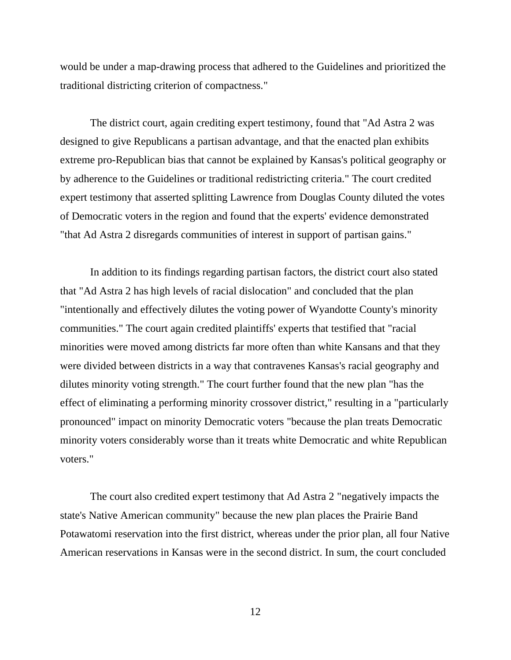would be under a map-drawing process that adhered to the Guidelines and prioritized the traditional districting criterion of compactness."

The district court, again crediting expert testimony, found that "Ad Astra 2 was designed to give Republicans a partisan advantage, and that the enacted plan exhibits extreme pro-Republican bias that cannot be explained by Kansas's political geography or by adherence to the Guidelines or traditional redistricting criteria." The court credited expert testimony that asserted splitting Lawrence from Douglas County diluted the votes of Democratic voters in the region and found that the experts' evidence demonstrated "that Ad Astra 2 disregards communities of interest in support of partisan gains."

In addition to its findings regarding partisan factors, the district court also stated that "Ad Astra 2 has high levels of racial dislocation" and concluded that the plan "intentionally and effectively dilutes the voting power of Wyandotte County's minority communities." The court again credited plaintiffs' experts that testified that "racial minorities were moved among districts far more often than white Kansans and that they were divided between districts in a way that contravenes Kansas's racial geography and dilutes minority voting strength." The court further found that the new plan "has the effect of eliminating a performing minority crossover district," resulting in a "particularly pronounced" impact on minority Democratic voters "because the plan treats Democratic minority voters considerably worse than it treats white Democratic and white Republican voters."

The court also credited expert testimony that Ad Astra 2 "negatively impacts the state's Native American community" because the new plan places the Prairie Band Potawatomi reservation into the first district, whereas under the prior plan, all four Native American reservations in Kansas were in the second district. In sum, the court concluded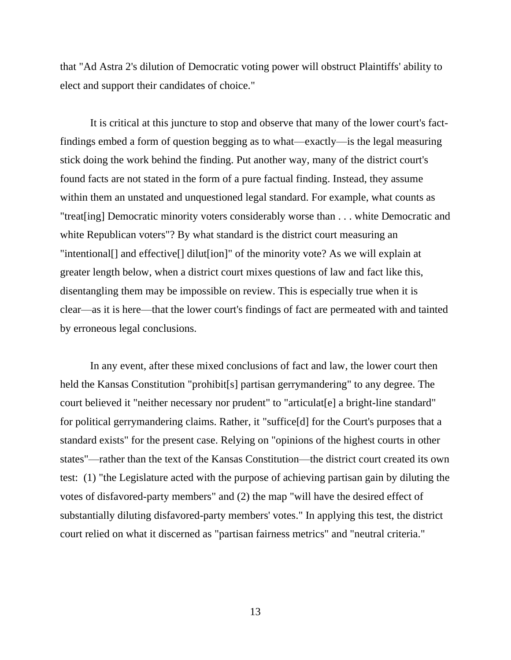that "Ad Astra 2's dilution of Democratic voting power will obstruct Plaintiffs' ability to elect and support their candidates of choice."

It is critical at this juncture to stop and observe that many of the lower court's factfindings embed a form of question begging as to what—exactly—is the legal measuring stick doing the work behind the finding. Put another way, many of the district court's found facts are not stated in the form of a pure factual finding. Instead, they assume within them an unstated and unquestioned legal standard. For example, what counts as "treat[ing] Democratic minority voters considerably worse than . . . white Democratic and white Republican voters"? By what standard is the district court measuring an "intentional[] and effective[] dilut[ion]" of the minority vote? As we will explain at greater length below, when a district court mixes questions of law and fact like this, disentangling them may be impossible on review. This is especially true when it is clear—as it is here—that the lower court's findings of fact are permeated with and tainted by erroneous legal conclusions.

In any event, after these mixed conclusions of fact and law, the lower court then held the Kansas Constitution "prohibit[s] partisan gerrymandering" to any degree. The court believed it "neither necessary nor prudent" to "articulat[e] a bright-line standard" for political gerrymandering claims. Rather, it "suffice[d] for the Court's purposes that a standard exists" for the present case. Relying on "opinions of the highest courts in other states"—rather than the text of the Kansas Constitution—the district court created its own test: (1) "the Legislature acted with the purpose of achieving partisan gain by diluting the votes of disfavored-party members" and (2) the map "will have the desired effect of substantially diluting disfavored-party members' votes." In applying this test, the district court relied on what it discerned as "partisan fairness metrics" and "neutral criteria."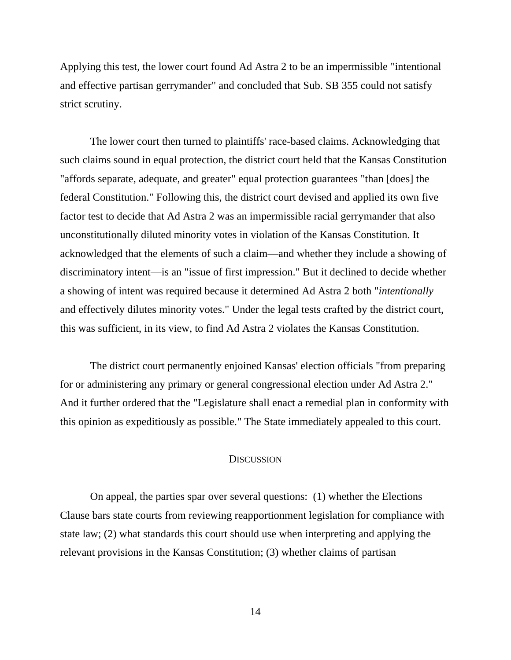Applying this test, the lower court found Ad Astra 2 to be an impermissible "intentional and effective partisan gerrymander" and concluded that Sub. SB 355 could not satisfy strict scrutiny.

The lower court then turned to plaintiffs' race-based claims. Acknowledging that such claims sound in equal protection, the district court held that the Kansas Constitution "affords separate, adequate, and greater" equal protection guarantees "than [does] the federal Constitution." Following this, the district court devised and applied its own five factor test to decide that Ad Astra 2 was an impermissible racial gerrymander that also unconstitutionally diluted minority votes in violation of the Kansas Constitution. It acknowledged that the elements of such a claim—and whether they include a showing of discriminatory intent—is an "issue of first impression." But it declined to decide whether a showing of intent was required because it determined Ad Astra 2 both "*intentionally* and effectively dilutes minority votes." Under the legal tests crafted by the district court, this was sufficient, in its view, to find Ad Astra 2 violates the Kansas Constitution.

The district court permanently enjoined Kansas' election officials "from preparing for or administering any primary or general congressional election under Ad Astra 2." And it further ordered that the "Legislature shall enact a remedial plan in conformity with this opinion as expeditiously as possible." The State immediately appealed to this court.

#### **DISCUSSION**

On appeal, the parties spar over several questions: (1) whether the Elections Clause bars state courts from reviewing reapportionment legislation for compliance with state law; (2) what standards this court should use when interpreting and applying the relevant provisions in the Kansas Constitution; (3) whether claims of partisan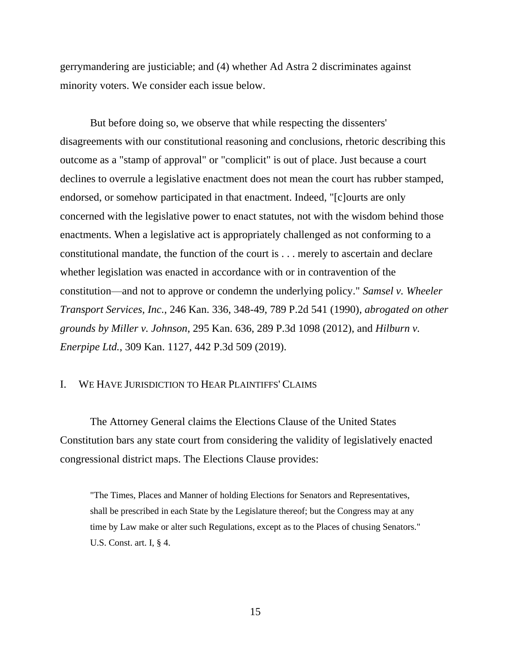gerrymandering are justiciable; and (4) whether Ad Astra 2 discriminates against minority voters. We consider each issue below.

But before doing so, we observe that while respecting the dissenters' disagreements with our constitutional reasoning and conclusions, rhetoric describing this outcome as a "stamp of approval" or "complicit" is out of place. Just because a court declines to overrule a legislative enactment does not mean the court has rubber stamped, endorsed, or somehow participated in that enactment. Indeed, "[c]ourts are only concerned with the legislative power to enact statutes, not with the wisdom behind those enactments. When a legislative act is appropriately challenged as not conforming to a constitutional mandate, the function of the court is . . . merely to ascertain and declare whether legislation was enacted in accordance with or in contravention of the constitution—and not to approve or condemn the underlying policy." *Samsel v. Wheeler Transport Services, Inc.*, 246 Kan. 336, 348-49, 789 P.2d 541 (1990), *abrogated on other grounds by Miller v. Johnson*, 295 Kan. 636, 289 P.3d 1098 (2012), and *Hilburn v. Enerpipe Ltd.*, 309 Kan. 1127, 442 P.3d 509 (2019).

## I. WE HAVE JURISDICTION TO HEAR PLAINTIFFS' CLAIMS

The Attorney General claims the Elections Clause of the United States Constitution bars any state court from considering the validity of legislatively enacted congressional district maps. The Elections Clause provides:

"The Times, Places and Manner of holding Elections for Senators and Representatives, shall be prescribed in each State by the Legislature thereof; but the Congress may at any time by Law make or alter such Regulations, except as to the Places of chusing Senators." U.S. Const. art. I, § 4.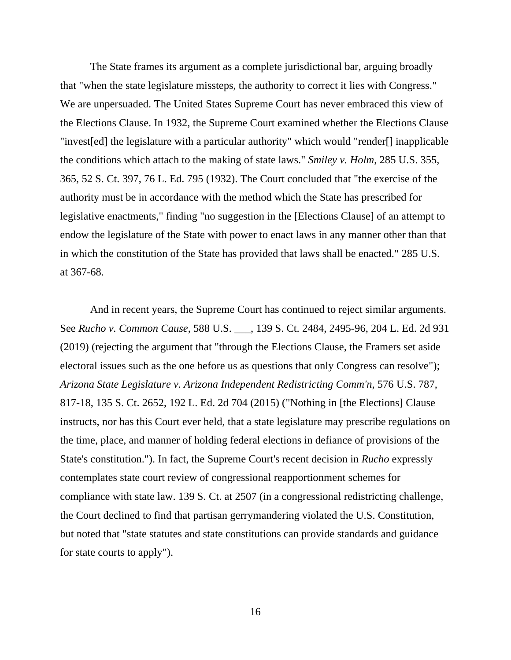The State frames its argument as a complete jurisdictional bar, arguing broadly that "when the state legislature missteps, the authority to correct it lies with Congress." We are unpersuaded. The United States Supreme Court has never embraced this view of the Elections Clause. In 1932, the Supreme Court examined whether the Elections Clause "invest[ed] the legislature with a particular authority" which would "render[] inapplicable the conditions which attach to the making of state laws." *Smiley v. Holm*, 285 U.S. 355, 365, 52 S. Ct. 397, 76 L. Ed. 795 (1932). The Court concluded that "the exercise of the authority must be in accordance with the method which the State has prescribed for legislative enactments," finding "no suggestion in the [Elections Clause] of an attempt to endow the legislature of the State with power to enact laws in any manner other than that in which the constitution of the State has provided that laws shall be enacted." 285 U.S. at 367-68.

And in recent years, the Supreme Court has continued to reject similar arguments. See *Rucho v. Common Cause*, 588 U.S. \_\_\_, 139 S. Ct. 2484, 2495-96, 204 L. Ed. 2d 931 (2019) (rejecting the argument that "through the Elections Clause, the Framers set aside electoral issues such as the one before us as questions that only Congress can resolve"); *Arizona State Legislature v. Arizona Independent Redistricting Comm'n*, 576 U.S. 787, 817-18, 135 S. Ct. 2652, 192 L. Ed. 2d 704 (2015) ("Nothing in [the Elections] Clause instructs, nor has this Court ever held, that a state legislature may prescribe regulations on the time, place, and manner of holding federal elections in defiance of provisions of the State's constitution."). In fact, the Supreme Court's recent decision in *Rucho* expressly contemplates state court review of congressional reapportionment schemes for compliance with state law. 139 S. Ct. at 2507 (in a congressional redistricting challenge, the Court declined to find that partisan gerrymandering violated the U.S. Constitution, but noted that "state statutes and state constitutions can provide standards and guidance for state courts to apply").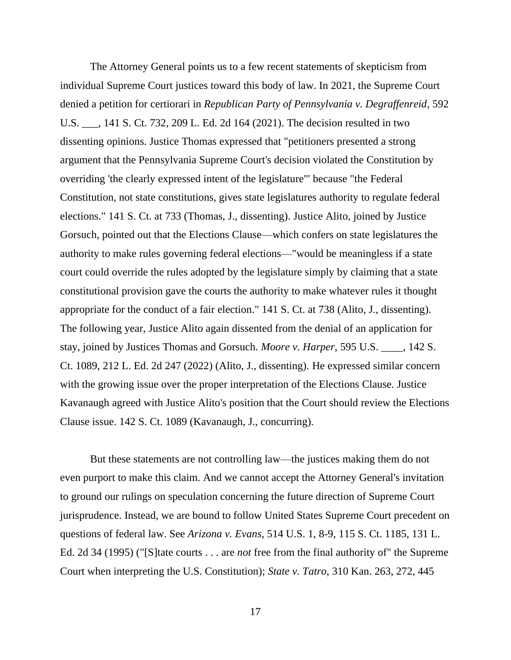The Attorney General points us to a few recent statements of skepticism from individual Supreme Court justices toward this body of law. In 2021, the Supreme Court denied a petition for certiorari in *Republican Party of Pennsylvania v. Degraffenreid*, 592 U.S. \_\_\_, 141 S. Ct. 732, 209 L. Ed. 2d 164 (2021). The decision resulted in two dissenting opinions. Justice Thomas expressed that "petitioners presented a strong argument that the Pennsylvania Supreme Court's decision violated the Constitution by overriding 'the clearly expressed intent of the legislature'" because "the Federal Constitution, not state constitutions, gives state legislatures authority to regulate federal elections." 141 S. Ct. at 733 (Thomas, J., dissenting). Justice Alito, joined by Justice Gorsuch, pointed out that the Elections Clause—which confers on state legislatures the authority to make rules governing federal elections—"would be meaningless if a state court could override the rules adopted by the legislature simply by claiming that a state constitutional provision gave the courts the authority to make whatever rules it thought appropriate for the conduct of a fair election." 141 S. Ct. at 738 (Alito, J., dissenting). The following year, Justice Alito again dissented from the denial of an application for stay, joined by Justices Thomas and Gorsuch. *Moore v. Harper*, 595 U.S. \_\_\_\_, 142 S. Ct. 1089, 212 L. Ed. 2d 247 (2022) (Alito, J., dissenting). He expressed similar concern with the growing issue over the proper interpretation of the Elections Clause. Justice Kavanaugh agreed with Justice Alito's position that the Court should review the Elections Clause issue. 142 S. Ct. 1089 (Kavanaugh, J., concurring).

But these statements are not controlling law—the justices making them do not even purport to make this claim. And we cannot accept the Attorney General's invitation to ground our rulings on speculation concerning the future direction of Supreme Court jurisprudence. Instead, we are bound to follow United States Supreme Court precedent on questions of federal law. See *Arizona v. Evans*, 514 U.S. 1, 8-9, 115 S. Ct. 1185, 131 L. Ed. 2d 34 (1995) ("[S]tate courts . . . are *not* free from the final authority of" the Supreme Court when interpreting the U.S. Constitution); *State v. Tatro*, 310 Kan. 263, 272, 445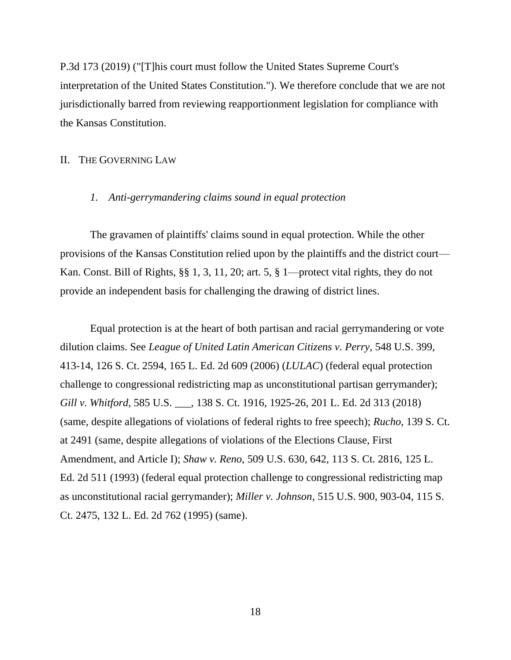P.3d 173 (2019) ("[T]his court must follow the United States Supreme Court's interpretation of the United States Constitution."). We therefore conclude that we are not jurisdictionally barred from reviewing reapportionment legislation for compliance with the Kansas Constitution.

#### II. THE GOVERNING LAW

#### *1. Anti-gerrymandering claims sound in equal protection*

The gravamen of plaintiffs' claims sound in equal protection. While the other provisions of the Kansas Constitution relied upon by the plaintiffs and the district court— Kan. Const. Bill of Rights, §§ 1, 3, 11, 20; art. 5, § 1—protect vital rights, they do not provide an independent basis for challenging the drawing of district lines.

Equal protection is at the heart of both partisan and racial gerrymandering or vote dilution claims. See *League of United Latin American Citizens v. Perry*, 548 U.S. 399, 413-14, 126 S. Ct. 2594, 165 L. Ed. 2d 609 (2006) (*LULAC*) (federal equal protection challenge to congressional redistricting map as unconstitutional partisan gerrymander); *Gill v. Whitford*, 585 U.S. \_\_\_, 138 S. Ct. 1916, 1925-26, 201 L. Ed. 2d 313 (2018) (same, despite allegations of violations of federal rights to free speech); *Rucho*, 139 S. Ct. at 2491 (same, despite allegations of violations of the Elections Clause, First Amendment, and Article I); *Shaw v. Reno*, 509 U.S. 630, 642, 113 S. Ct. 2816, 125 L. Ed. 2d 511 (1993) (federal equal protection challenge to congressional redistricting map as unconstitutional racial gerrymander); *Miller v. Johnson*, 515 U.S. 900, 903-04, 115 S. Ct. 2475, 132 L. Ed. 2d 762 (1995) (same).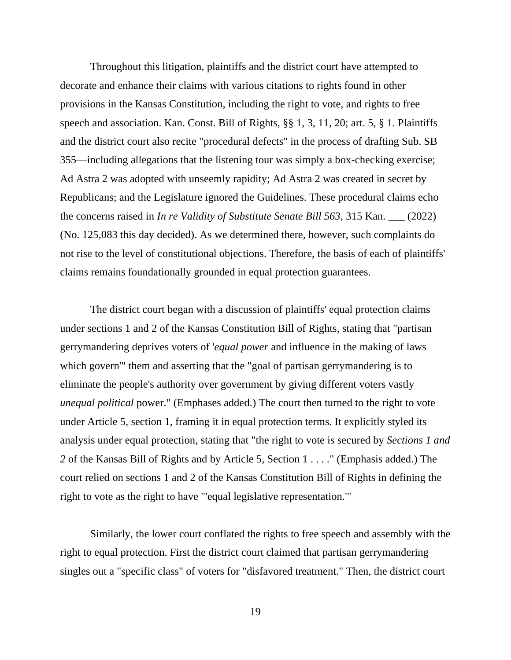Throughout this litigation, plaintiffs and the district court have attempted to decorate and enhance their claims with various citations to rights found in other provisions in the Kansas Constitution, including the right to vote, and rights to free speech and association. Kan. Const. Bill of Rights, §§ 1, 3, 11, 20; art. 5, § 1. Plaintiffs and the district court also recite "procedural defects" in the process of drafting Sub. SB 355—including allegations that the listening tour was simply a box-checking exercise; Ad Astra 2 was adopted with unseemly rapidity; Ad Astra 2 was created in secret by Republicans; and the Legislature ignored the Guidelines. These procedural claims echo the concerns raised in *In re Validity of Substitute Senate Bill 563*, 315 Kan. \_\_\_ (2022) (No. 125,083 this day decided). As we determined there, however, such complaints do not rise to the level of constitutional objections. Therefore, the basis of each of plaintiffs' claims remains foundationally grounded in equal protection guarantees.

The district court began with a discussion of plaintiffs' equal protection claims under sections 1 and 2 of the Kansas Constitution Bill of Rights, stating that "partisan gerrymandering deprives voters of '*equal power* and influence in the making of laws which govern''' them and asserting that the "goal of partisan gerrymandering is to eliminate the people's authority over government by giving different voters vastly *unequal political* power." (Emphases added.) The court then turned to the right to vote under Article 5, section 1, framing it in equal protection terms. It explicitly styled its analysis under equal protection, stating that "the right to vote is secured by *Sections 1 and 2* of the Kansas Bill of Rights and by Article 5, Section 1 . . . ." (Emphasis added.) The court relied on sections 1 and 2 of the Kansas Constitution Bill of Rights in defining the right to vote as the right to have "'equal legislative representation.'"

Similarly, the lower court conflated the rights to free speech and assembly with the right to equal protection. First the district court claimed that partisan gerrymandering singles out a "specific class" of voters for "disfavored treatment." Then, the district court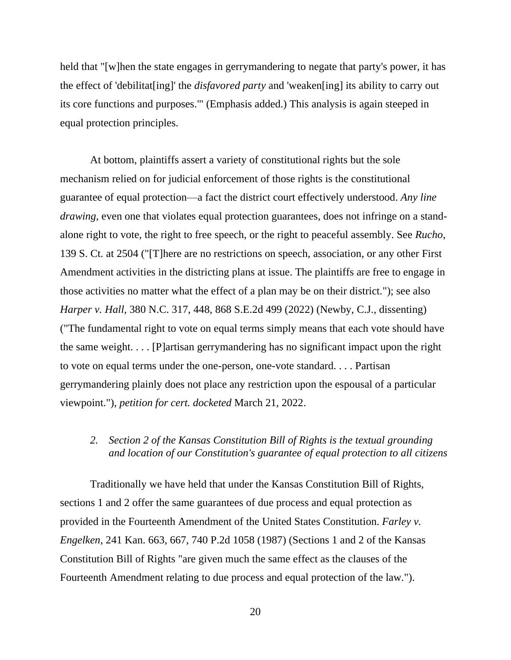held that "[w]hen the state engages in gerrymandering to negate that party's power, it has the effect of 'debilitat[ing]' the *disfavored party* and 'weaken[ing] its ability to carry out its core functions and purposes.'" (Emphasis added.) This analysis is again steeped in equal protection principles.

At bottom, plaintiffs assert a variety of constitutional rights but the sole mechanism relied on for judicial enforcement of those rights is the constitutional guarantee of equal protection—a fact the district court effectively understood. *Any line drawing*, even one that violates equal protection guarantees, does not infringe on a standalone right to vote, the right to free speech, or the right to peaceful assembly. See *Rucho*, 139 S. Ct. at 2504 ("[T]here are no restrictions on speech, association, or any other First Amendment activities in the districting plans at issue. The plaintiffs are free to engage in those activities no matter what the effect of a plan may be on their district."); see also *Harper v. Hall*, 380 N.C. 317, 448, 868 S.E.2d 499 (2022) (Newby, C.J., dissenting) ("The fundamental right to vote on equal terms simply means that each vote should have the same weight. . . . [P]artisan gerrymandering has no significant impact upon the right to vote on equal terms under the one-person, one-vote standard. . . . Partisan gerrymandering plainly does not place any restriction upon the espousal of a particular viewpoint."), *petition for cert. docketed* March 21, 2022.

# *2. Section 2 of the Kansas Constitution Bill of Rights is the textual grounding and location of our Constitution's guarantee of equal protection to all citizens*

Traditionally we have held that under the Kansas Constitution Bill of Rights, sections 1 and 2 offer the same guarantees of due process and equal protection as provided in the Fourteenth Amendment of the United States Constitution. *Farley v. Engelken,* 241 Kan. 663, 667, 740 P.2d 1058 (1987) (Sections 1 and 2 of the Kansas Constitution Bill of Rights "are given much the same effect as the clauses of the Fourteenth Amendment relating to due process and equal protection of the law.").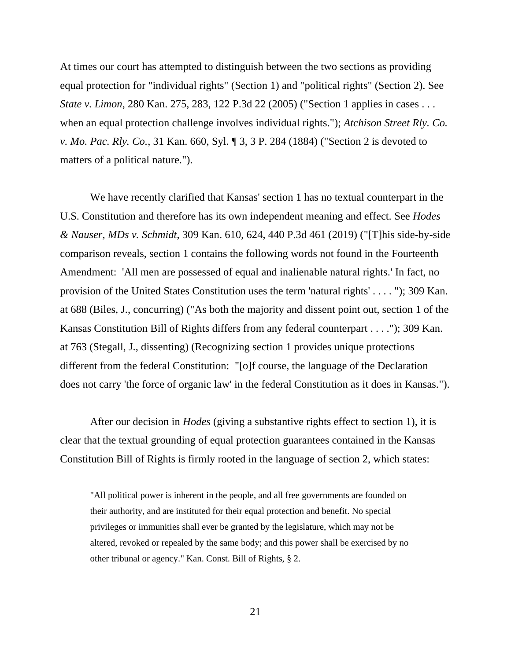At times our court has attempted to distinguish between the two sections as providing equal protection for "individual rights" (Section 1) and "political rights" (Section 2). See *State v. Limon*, 280 Kan. 275, 283, 122 P.3d 22 (2005) ("Section 1 applies in cases . . . when an equal protection challenge involves individual rights."); *Atchison Street Rly. Co. v. Mo. Pac. Rly. Co.*, 31 Kan. 660, Syl. ¶ 3, 3 P. 284 (1884) ("Section 2 is devoted to matters of a political nature.").

We have recently clarified that Kansas' section 1 has no textual counterpart in the U.S. Constitution and therefore has its own independent meaning and effect. See *Hodes & Nauser, MDs v. Schmidt*, 309 Kan. 610, 624, 440 P.3d 461 (2019) ("[T]his side-by-side comparison reveals, section 1 contains the following words not found in the Fourteenth Amendment: 'All men are possessed of equal and inalienable natural rights.' In fact, no provision of the United States Constitution uses the term 'natural rights' . . . . "); 309 Kan. at 688 (Biles, J., concurring) ("As both the majority and dissent point out, section 1 of the Kansas Constitution Bill of Rights differs from any federal counterpart . . . ."); 309 Kan. at 763 (Stegall, J., dissenting) (Recognizing section 1 provides unique protections different from the federal Constitution: "[o]f course, the language of the Declaration does not carry 'the force of organic law' in the federal Constitution as it does in Kansas.").

After our decision in *Hodes* (giving a substantive rights effect to section 1), it is clear that the textual grounding of equal protection guarantees contained in the Kansas Constitution Bill of Rights is firmly rooted in the language of section 2, which states:

"All political power is inherent in the people, and all free governments are founded on their authority, and are instituted for their equal protection and benefit. No special privileges or immunities shall ever be granted by the legislature, which may not be altered, revoked or repealed by the same body; and this power shall be exercised by no other tribunal or agency." Kan. Const. Bill of Rights, § 2.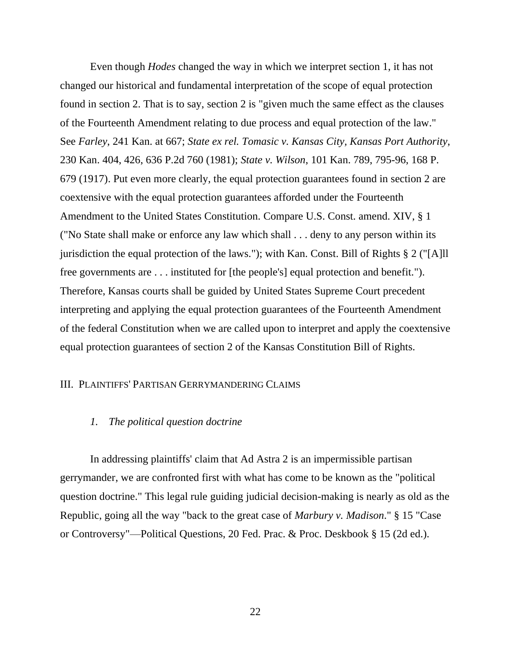Even though *Hodes* changed the way in which we interpret section 1, it has not changed our historical and fundamental interpretation of the scope of equal protection found in section 2. That is to say, section 2 is "given much the same effect as the clauses of the Fourteenth Amendment relating to due process and equal protection of the law." See *Farley*, 241 Kan. at 667; *State ex rel. Tomasic v. Kansas City, Kansas Port Authority*, 230 Kan. 404, 426, 636 P.2d 760 (1981); *State v. Wilson*, 101 Kan. 789, 795-96, 168 P. 679 (1917). Put even more clearly, the equal protection guarantees found in section 2 are coextensive with the equal protection guarantees afforded under the Fourteenth Amendment to the United States Constitution. Compare U.S. Const. amend. XIV, § 1 ("No State shall make or enforce any law which shall . . . deny to any person within its jurisdiction the equal protection of the laws."); with Kan. Const. Bill of Rights § 2 ("[A]ll free governments are . . . instituted for [the people's] equal protection and benefit."). Therefore, Kansas courts shall be guided by United States Supreme Court precedent interpreting and applying the equal protection guarantees of the Fourteenth Amendment of the federal Constitution when we are called upon to interpret and apply the coextensive equal protection guarantees of section 2 of the Kansas Constitution Bill of Rights.

## III. PLAINTIFFS' PARTISAN GERRYMANDERING CLAIMS

### *1. The political question doctrine*

In addressing plaintiffs' claim that Ad Astra 2 is an impermissible partisan gerrymander, we are confronted first with what has come to be known as the "political question doctrine." This legal rule guiding judicial decision-making is nearly as old as the Republic, going all the way "back to the great case of *Marbury v. Madison*." § 15 "Case or Controversy"—Political Questions, 20 Fed. Prac. & Proc. Deskbook § 15 (2d ed.).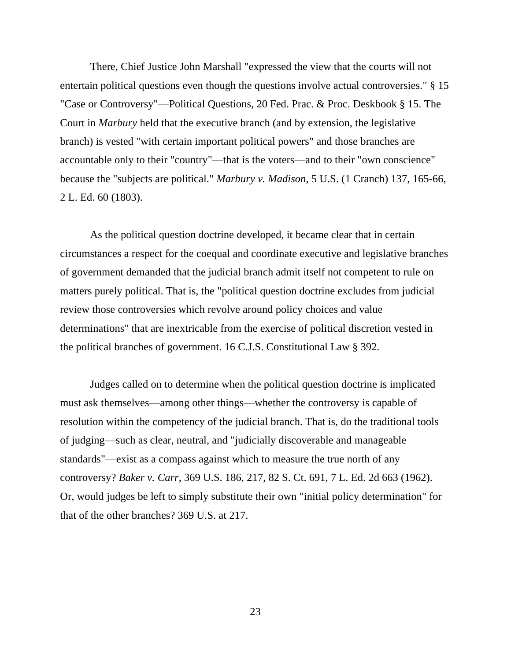There, Chief Justice John Marshall "expressed the view that the courts will not entertain political questions even though the questions involve actual controversies." § 15 "Case or Controversy"—Political Questions, 20 Fed. Prac. & Proc. Deskbook § 15. The Court in *Marbury* held that the executive branch (and by extension, the legislative branch) is vested "with certain important political powers" and those branches are accountable only to their "country"—that is the voters—and to their "own conscience" because the "subjects are political." *Marbury v. Madison*, 5 U.S. (1 Cranch) 137, 165-66, 2 L. Ed. 60 (1803).

As the political question doctrine developed, it became clear that in certain circumstances a respect for the coequal and coordinate executive and legislative branches of government demanded that the judicial branch admit itself not competent to rule on matters purely political. That is, the "political question doctrine excludes from judicial review those controversies which revolve around policy choices and value determinations" that are inextricable from the exercise of political discretion vested in the political branches of government. 16 C.J.S. Constitutional Law § 392.

Judges called on to determine when the political question doctrine is implicated must ask themselves—among other things—whether the controversy is capable of resolution within the competency of the judicial branch. That is, do the traditional tools of judging—such as clear, neutral, and "judicially discoverable and manageable standards"—exist as a compass against which to measure the true north of any controversy? *Baker v. Carr*, 369 U.S. 186, 217, 82 S. Ct. 691, 7 L. Ed. 2d 663 (1962). Or, would judges be left to simply substitute their own "initial policy determination" for that of the other branches? 369 U.S. at 217.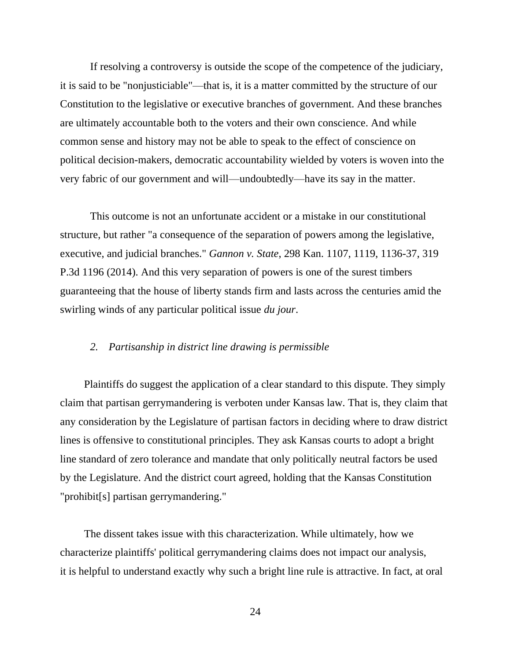If resolving a controversy is outside the scope of the competence of the judiciary, it is said to be "nonjusticiable"—that is, it is a matter committed by the structure of our Constitution to the legislative or executive branches of government. And these branches are ultimately accountable both to the voters and their own conscience. And while common sense and history may not be able to speak to the effect of conscience on political decision-makers, democratic accountability wielded by voters is woven into the very fabric of our government and will—undoubtedly—have its say in the matter.

This outcome is not an unfortunate accident or a mistake in our constitutional structure, but rather "a consequence of the separation of powers among the legislative, executive, and judicial branches." *Gannon v. State*, 298 Kan. 1107, 1119, 1136-37, 319 P.3d 1196 (2014). And this very separation of powers is one of the surest timbers guaranteeing that the house of liberty stands firm and lasts across the centuries amid the swirling winds of any particular political issue *du jour*.

#### *2. Partisanship in district line drawing is permissible*

Plaintiffs do suggest the application of a clear standard to this dispute. They simply claim that partisan gerrymandering is verboten under Kansas law. That is, they claim that any consideration by the Legislature of partisan factors in deciding where to draw district lines is offensive to constitutional principles. They ask Kansas courts to adopt a bright line standard of zero tolerance and mandate that only politically neutral factors be used by the Legislature. And the district court agreed, holding that the Kansas Constitution "prohibit[s] partisan gerrymandering."

The dissent takes issue with this characterization. While ultimately, how we characterize plaintiffs' political gerrymandering claims does not impact our analysis, it is helpful to understand exactly why such a bright line rule is attractive. In fact, at oral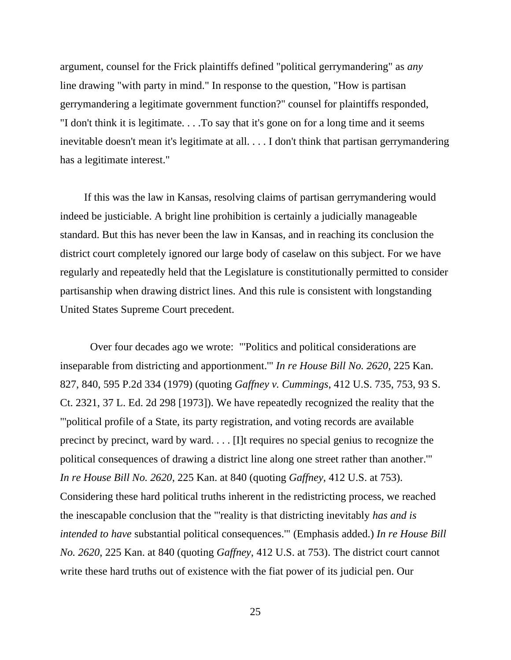argument, counsel for the Frick plaintiffs defined "political gerrymandering" as *any* line drawing "with party in mind." In response to the question, "How is partisan gerrymandering a legitimate government function?" counsel for plaintiffs responded, "I don't think it is legitimate. . . .To say that it's gone on for a long time and it seems inevitable doesn't mean it's legitimate at all. . . . I don't think that partisan gerrymandering has a legitimate interest."

If this was the law in Kansas, resolving claims of partisan gerrymandering would indeed be justiciable. A bright line prohibition is certainly a judicially manageable standard. But this has never been the law in Kansas, and in reaching its conclusion the district court completely ignored our large body of caselaw on this subject. For we have regularly and repeatedly held that the Legislature is constitutionally permitted to consider partisanship when drawing district lines. And this rule is consistent with longstanding United States Supreme Court precedent.

Over four decades ago we wrote: "'Politics and political considerations are inseparable from districting and apportionment.'" *In re House Bill No. 2620*, 225 Kan. 827, 840, 595 P.2d 334 (1979) (quoting *Gaffney v. Cummings*, 412 U.S. 735, 753, 93 S. Ct. 2321, 37 L. Ed. 2d 298 [1973]). We have repeatedly recognized the reality that the "'political profile of a State, its party registration, and voting records are available precinct by precinct, ward by ward. . . . [I]t requires no special genius to recognize the political consequences of drawing a district line along one street rather than another.'" *In re House Bill No. 2620*, 225 Kan. at 840 (quoting *Gaffney*, 412 U.S. at 753). Considering these hard political truths inherent in the redistricting process, we reached the inescapable conclusion that the "'reality is that districting inevitably *has and is intended to have* substantial political consequences.'" (Emphasis added.) *In re House Bill No. 2620*, 225 Kan. at 840 (quoting *Gaffney*, 412 U.S. at 753). The district court cannot write these hard truths out of existence with the fiat power of its judicial pen. Our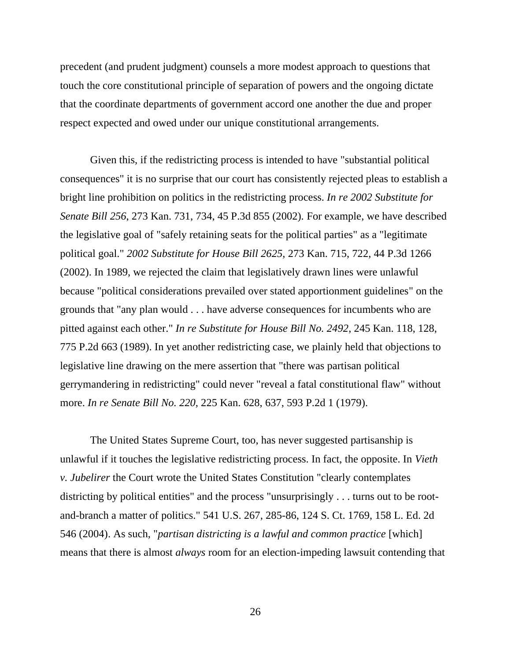precedent (and prudent judgment) counsels a more modest approach to questions that touch the core constitutional principle of separation of powers and the ongoing dictate that the coordinate departments of government accord one another the due and proper respect expected and owed under our unique constitutional arrangements.

Given this, if the redistricting process is intended to have "substantial political consequences" it is no surprise that our court has consistently rejected pleas to establish a bright line prohibition on politics in the redistricting process. *In re 2002 Substitute for Senate Bill 256*, 273 Kan. 731, 734, 45 P.3d 855 (2002). For example, we have described the legislative goal of "safely retaining seats for the political parties" as a "legitimate political goal." *2002 Substitute for House Bill 2625*, 273 Kan. 715, 722, 44 P.3d 1266 (2002). In 1989, we rejected the claim that legislatively drawn lines were unlawful because "political considerations prevailed over stated apportionment guidelines" on the grounds that "any plan would . . . have adverse consequences for incumbents who are pitted against each other." *In re Substitute for House Bill No. 2492*, 245 Kan. 118, 128, 775 P.2d 663 (1989). In yet another redistricting case, we plainly held that objections to legislative line drawing on the mere assertion that "there was partisan political gerrymandering in redistricting" could never "reveal a fatal constitutional flaw" without more. *In re Senate Bill No. 220*, 225 Kan. 628, 637, 593 P.2d 1 (1979).

The United States Supreme Court, too, has never suggested partisanship is unlawful if it touches the legislative redistricting process. In fact, the opposite. In *Vieth v. Jubelirer* the Court wrote the United States Constitution "clearly contemplates districting by political entities" and the process "unsurprisingly . . . turns out to be rootand-branch a matter of politics." 541 U.S. 267, 285-86, 124 S. Ct. 1769, 158 L. Ed. 2d 546 (2004). As such, "*partisan districting is a lawful and common practice* [which] means that there is almost *always* room for an election-impeding lawsuit contending that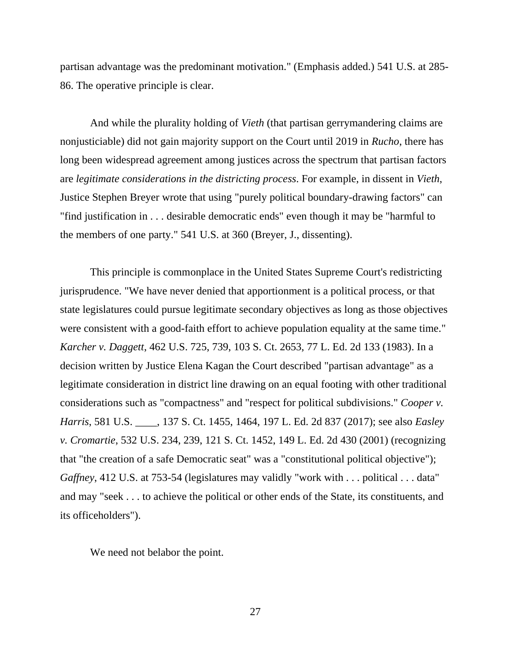partisan advantage was the predominant motivation." (Emphasis added.) 541 U.S. at 285- 86. The operative principle is clear.

And while the plurality holding of *Vieth* (that partisan gerrymandering claims are nonjusticiable) did not gain majority support on the Court until 2019 in *Rucho*, there has long been widespread agreement among justices across the spectrum that partisan factors are *legitimate considerations in the districting process*. For example, in dissent in *Vieth*, Justice Stephen Breyer wrote that using "purely political boundary-drawing factors" can "find justification in . . . desirable democratic ends" even though it may be "harmful to the members of one party." 541 U.S. at 360 (Breyer, J., dissenting).

This principle is commonplace in the United States Supreme Court's redistricting jurisprudence. "We have never denied that apportionment is a political process, or that state legislatures could pursue legitimate secondary objectives as long as those objectives were consistent with a good-faith effort to achieve population equality at the same time." *Karcher v. Daggett*, 462 U.S. 725, 739, 103 S. Ct. 2653, 77 L. Ed. 2d 133 (1983). In a decision written by Justice Elena Kagan the Court described "partisan advantage" as a legitimate consideration in district line drawing on an equal footing with other traditional considerations such as "compactness" and "respect for political subdivisions." *Cooper v. Harris*, 581 U.S. \_\_\_\_, 137 S. Ct. 1455, 1464, 197 L. Ed. 2d 837 (2017); see also *Easley v. Cromartie*, 532 U.S. 234, 239, 121 S. Ct. 1452, 149 L. Ed. 2d 430 (2001) (recognizing that "the creation of a safe Democratic seat" was a "constitutional political objective"); *Gaffney*, 412 U.S. at 753-54 (legislatures may validly "work with . . . political . . . data" and may "seek . . . to achieve the political or other ends of the State, its constituents, and its officeholders").

We need not belabor the point.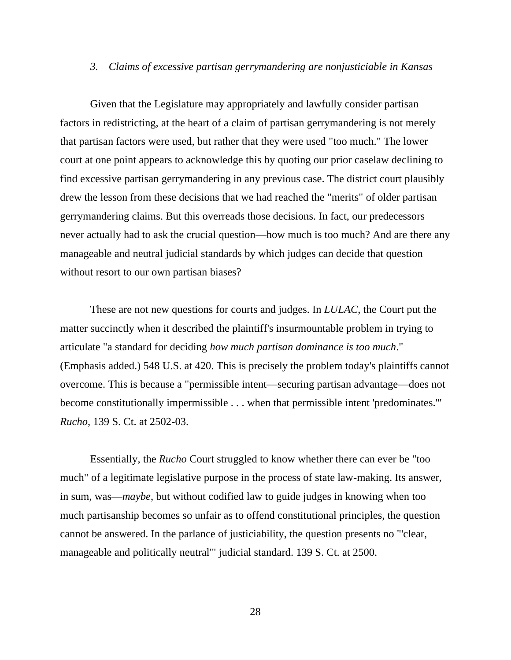#### *3. Claims of excessive partisan gerrymandering are nonjusticiable in Kansas*

Given that the Legislature may appropriately and lawfully consider partisan factors in redistricting, at the heart of a claim of partisan gerrymandering is not merely that partisan factors were used, but rather that they were used "too much." The lower court at one point appears to acknowledge this by quoting our prior caselaw declining to find excessive partisan gerrymandering in any previous case. The district court plausibly drew the lesson from these decisions that we had reached the "merits" of older partisan gerrymandering claims. But this overreads those decisions. In fact, our predecessors never actually had to ask the crucial question—how much is too much? And are there any manageable and neutral judicial standards by which judges can decide that question without resort to our own partisan biases?

These are not new questions for courts and judges. In *LULAC*, the Court put the matter succinctly when it described the plaintiff's insurmountable problem in trying to articulate "a standard for deciding *how much partisan dominance is too much*." (Emphasis added.) 548 U.S. at 420. This is precisely the problem today's plaintiffs cannot overcome. This is because a "permissible intent—securing partisan advantage—does not become constitutionally impermissible . . . when that permissible intent 'predominates.'" *Rucho*, 139 S. Ct. at 2502-03.

Essentially, the *Rucho* Court struggled to know whether there can ever be "too much" of a legitimate legislative purpose in the process of state law-making. Its answer, in sum, was—*maybe*, but without codified law to guide judges in knowing when too much partisanship becomes so unfair as to offend constitutional principles, the question cannot be answered. In the parlance of justiciability, the question presents no "'clear, manageable and politically neutral'" judicial standard. 139 S. Ct. at 2500.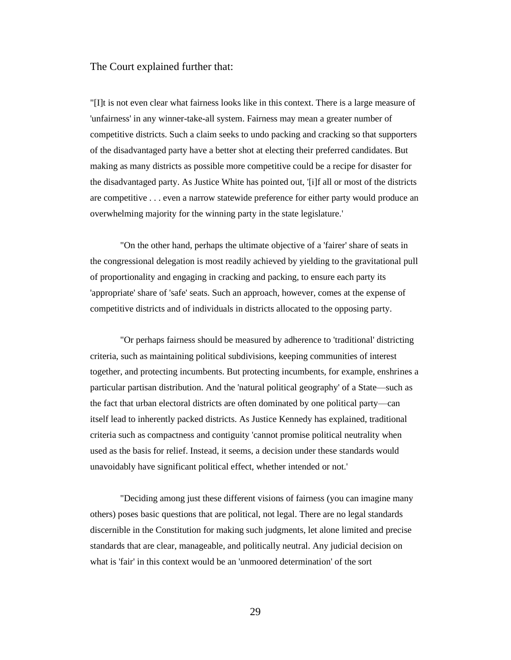#### The Court explained further that:

"[I]t is not even clear what fairness looks like in this context. There is a large measure of 'unfairness' in any winner-take-all system. Fairness may mean a greater number of competitive districts. Such a claim seeks to undo packing and cracking so that supporters of the disadvantaged party have a better shot at electing their preferred candidates. But making as many districts as possible more competitive could be a recipe for disaster for the disadvantaged party. As Justice White has pointed out, '[i]f all or most of the districts are competitive . . . even a narrow statewide preference for either party would produce an overwhelming majority for the winning party in the state legislature.'

"On the other hand, perhaps the ultimate objective of a 'fairer' share of seats in the congressional delegation is most readily achieved by yielding to the gravitational pull of proportionality and engaging in cracking and packing, to ensure each party its 'appropriate' share of 'safe' seats. Such an approach, however, comes at the expense of competitive districts and of individuals in districts allocated to the opposing party.

"Or perhaps fairness should be measured by adherence to 'traditional' districting criteria, such as maintaining political subdivisions, keeping communities of interest together, and protecting incumbents. But protecting incumbents, for example, enshrines a particular partisan distribution. And the 'natural political geography' of a State—such as the fact that urban electoral districts are often dominated by one political party—can itself lead to inherently packed districts. As Justice Kennedy has explained, traditional criteria such as compactness and contiguity 'cannot promise political neutrality when used as the basis for relief. Instead, it seems, a decision under these standards would unavoidably have significant political effect, whether intended or not.'

"Deciding among just these different visions of fairness (you can imagine many others) poses basic questions that are political, not legal. There are no legal standards discernible in the Constitution for making such judgments, let alone limited and precise standards that are clear, manageable, and politically neutral. Any judicial decision on what is 'fair' in this context would be an 'unmoored determination' of the sort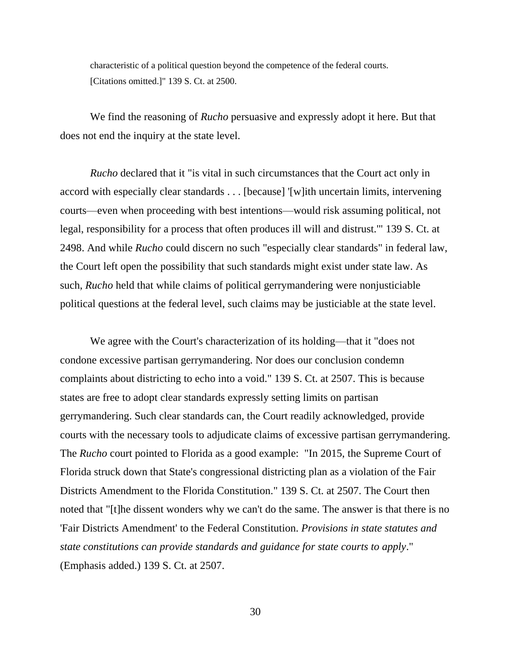characteristic of a political question beyond the competence of the federal courts. [Citations omitted.]" 139 S. Ct. at 2500.

We find the reasoning of *Rucho* persuasive and expressly adopt it here. But that does not end the inquiry at the state level.

*Rucho* declared that it "is vital in such circumstances that the Court act only in accord with especially clear standards . . . [because] '[w]ith uncertain limits, intervening courts—even when proceeding with best intentions—would risk assuming political, not legal, responsibility for a process that often produces ill will and distrust.'" 139 S. Ct. at 2498. And while *Rucho* could discern no such "especially clear standards" in federal law, the Court left open the possibility that such standards might exist under state law. As such, *Rucho* held that while claims of political gerrymandering were nonjusticiable political questions at the federal level, such claims may be justiciable at the state level.

We agree with the Court's characterization of its holding—that it "does not condone excessive partisan gerrymandering. Nor does our conclusion condemn complaints about districting to echo into a void." 139 S. Ct. at 2507. This is because states are free to adopt clear standards expressly setting limits on partisan gerrymandering. Such clear standards can, the Court readily acknowledged, provide courts with the necessary tools to adjudicate claims of excessive partisan gerrymandering. The *Rucho* court pointed to Florida as a good example: "In 2015, the Supreme Court of Florida struck down that State's congressional districting plan as a violation of the Fair Districts Amendment to the Florida Constitution." 139 S. Ct. at 2507. The Court then noted that "[t]he dissent wonders why we can't do the same. The answer is that there is no 'Fair Districts Amendment' to the Federal Constitution. *Provisions in state statutes and state constitutions can provide standards and guidance for state courts to apply*." (Emphasis added.) 139 S. Ct. at 2507.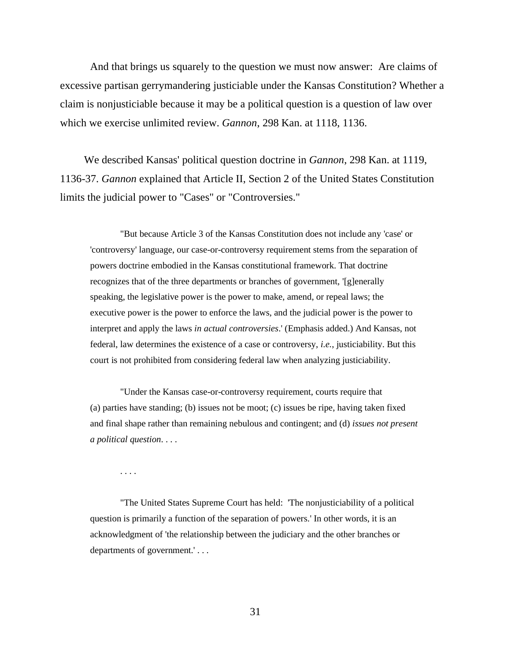And that brings us squarely to the question we must now answer: Are claims of excessive partisan gerrymandering justiciable under the Kansas Constitution? Whether a claim is nonjusticiable because it may be a political question is a question of law over which we exercise unlimited review. *Gannon*, 298 Kan. at 1118, 1136.

We described Kansas' political question doctrine in *Gannon*, 298 Kan. at 1119, 1136-37. *Gannon* explained that Article II, Section 2 of the United States Constitution limits the judicial power to "Cases" or "Controversies."

"But because Article 3 of the Kansas Constitution does not include any 'case' or 'controversy' language, our case-or-controversy requirement stems from the separation of powers doctrine embodied in the Kansas constitutional framework. That doctrine recognizes that of the three departments or branches of government, '[g]enerally speaking, the legislative power is the power to make, amend, or repeal laws; the executive power is the power to enforce the laws, and the judicial power is the power to interpret and apply the laws *in actual controversies*.' (Emphasis added.) And Kansas, not federal, law determines the existence of a case or controversy, *i.e.*, justiciability. But this court is not prohibited from considering federal law when analyzing justiciability.

"Under the Kansas case-or-controversy requirement, courts require that (a) parties have standing; (b) issues not be moot; (c) issues be ripe, having taken fixed and final shape rather than remaining nebulous and contingent; and (d) *issues not present a political question*. . . .

. . . .

"The United States Supreme Court has held: 'The nonjusticiability of a political question is primarily a function of the separation of powers.' In other words, it is an acknowledgment of 'the relationship between the judiciary and the other branches or departments of government.' . . .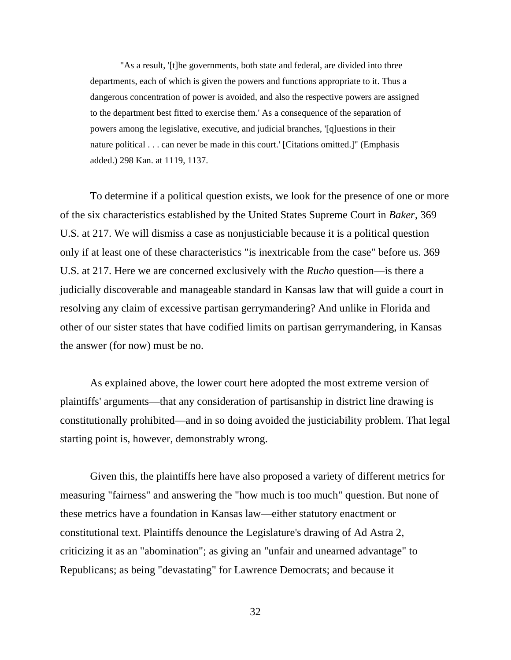"As a result, '[t]he governments, both state and federal, are divided into three departments, each of which is given the powers and functions appropriate to it. Thus a dangerous concentration of power is avoided, and also the respective powers are assigned to the department best fitted to exercise them.' As a consequence of the separation of powers among the legislative, executive, and judicial branches, '[q]uestions in their nature political . . . can never be made in this court.' [Citations omitted.]" (Emphasis added.) 298 Kan. at 1119, 1137.

To determine if a political question exists, we look for the presence of one or more of the six characteristics established by the United States Supreme Court in *Baker*, 369 U.S. at 217. We will dismiss a case as nonjusticiable because it is a political question only if at least one of these characteristics "is inextricable from the case" before us. 369 U.S. at 217. Here we are concerned exclusively with the *Rucho* question—is there a judicially discoverable and manageable standard in Kansas law that will guide a court in resolving any claim of excessive partisan gerrymandering? And unlike in Florida and other of our sister states that have codified limits on partisan gerrymandering, in Kansas the answer (for now) must be no.

As explained above, the lower court here adopted the most extreme version of plaintiffs' arguments—that any consideration of partisanship in district line drawing is constitutionally prohibited—and in so doing avoided the justiciability problem. That legal starting point is, however, demonstrably wrong.

Given this, the plaintiffs here have also proposed a variety of different metrics for measuring "fairness" and answering the "how much is too much" question. But none of these metrics have a foundation in Kansas law—either statutory enactment or constitutional text. Plaintiffs denounce the Legislature's drawing of Ad Astra 2, criticizing it as an "abomination"; as giving an "unfair and unearned advantage" to Republicans; as being "devastating" for Lawrence Democrats; and because it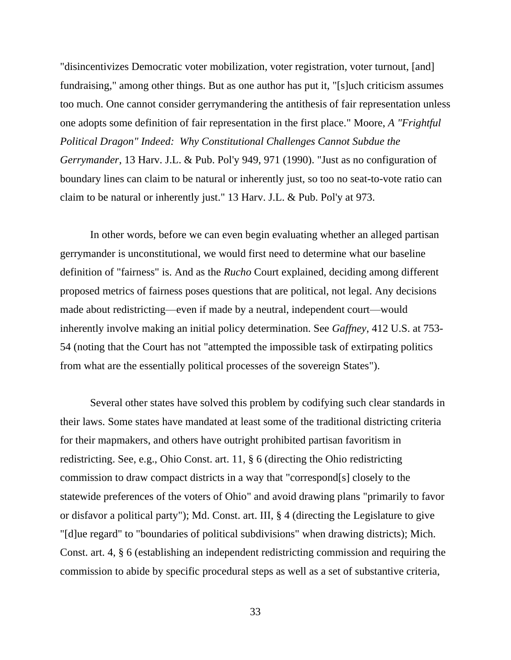"disincentivizes Democratic voter mobilization, voter registration, voter turnout, [and] fundraising," among other things. But as one author has put it, "[s]uch criticism assumes too much. One cannot consider gerrymandering the antithesis of fair representation unless one adopts some definition of fair representation in the first place." Moore, *A "Frightful Political Dragon" Indeed: Why Constitutional Challenges Cannot Subdue the Gerrymander*, 13 Harv. J.L. & Pub. Pol'y 949, 971 (1990). "Just as no configuration of boundary lines can claim to be natural or inherently just, so too no seat-to-vote ratio can claim to be natural or inherently just." 13 Harv. J.L. & Pub. Pol'y at 973.

In other words, before we can even begin evaluating whether an alleged partisan gerrymander is unconstitutional, we would first need to determine what our baseline definition of "fairness" is. And as the *Rucho* Court explained, deciding among different proposed metrics of fairness poses questions that are political, not legal. Any decisions made about redistricting—even if made by a neutral, independent court—would inherently involve making an initial policy determination. See *Gaffney*, 412 U.S. at 753- 54 (noting that the Court has not "attempted the impossible task of extirpating politics from what are the essentially political processes of the sovereign States").

Several other states have solved this problem by codifying such clear standards in their laws. Some states have mandated at least some of the traditional districting criteria for their mapmakers, and others have outright prohibited partisan favoritism in redistricting. See, e.g., Ohio Const. art. 11, § 6 (directing the Ohio redistricting commission to draw compact districts in a way that "correspond[s] closely to the statewide preferences of the voters of Ohio" and avoid drawing plans "primarily to favor or disfavor a political party"); Md. Const. art. III, § 4 (directing the Legislature to give "[d]ue regard" to "boundaries of political subdivisions" when drawing districts); Mich. Const. art. 4, § 6 (establishing an independent redistricting commission and requiring the commission to abide by specific procedural steps as well as a set of substantive criteria,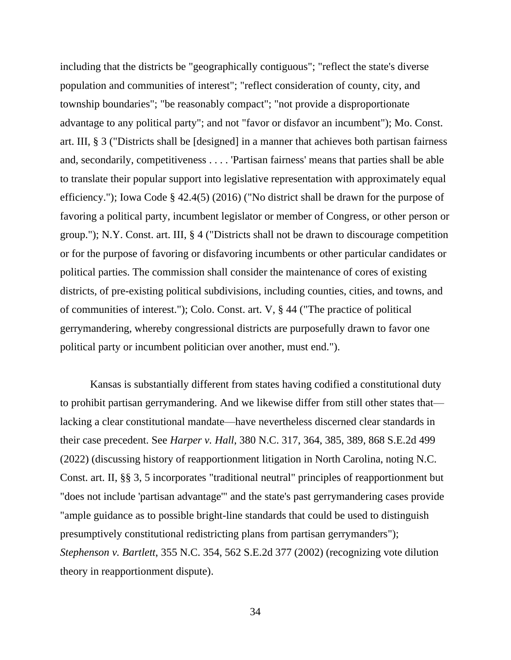including that the districts be "geographically contiguous"; "reflect the state's diverse population and communities of interest"; "reflect consideration of county, city, and township boundaries"; "be reasonably compact"; "not provide a disproportionate advantage to any political party"; and not "favor or disfavor an incumbent"); Mo. Const. art. III, § 3 ("Districts shall be [designed] in a manner that achieves both partisan fairness and, secondarily, competitiveness . . . . 'Partisan fairness' means that parties shall be able to translate their popular support into legislative representation with approximately equal efficiency."); Iowa Code § 42.4(5) (2016) ("No district shall be drawn for the purpose of favoring a political party, incumbent legislator or member of Congress, or other person or group."); N.Y. Const. art. III, § 4 ("Districts shall not be drawn to discourage competition or for the purpose of favoring or disfavoring incumbents or other particular candidates or political parties. The commission shall consider the maintenance of cores of existing districts, of pre-existing political subdivisions, including counties, cities, and towns, and of communities of interest."); Colo. Const. art. V, § 44 ("The practice of political gerrymandering, whereby congressional districts are purposefully drawn to favor one political party or incumbent politician over another, must end.").

Kansas is substantially different from states having codified a constitutional duty to prohibit partisan gerrymandering. And we likewise differ from still other states that lacking a clear constitutional mandate—have nevertheless discerned clear standards in their case precedent. See *Harper v. Hall*, 380 N.C. 317, 364, 385, 389, 868 S.E.2d 499 (2022) (discussing history of reapportionment litigation in North Carolina, noting N.C. Const. art. II, §§ 3, 5 incorporates "traditional neutral" principles of reapportionment but "does not include 'partisan advantage'" and the state's past gerrymandering cases provide "ample guidance as to possible bright-line standards that could be used to distinguish presumptively constitutional redistricting plans from partisan gerrymanders"); *Stephenson v. Bartlett*, 355 N.C. 354, 562 S.E.2d 377 (2002) (recognizing vote dilution theory in reapportionment dispute).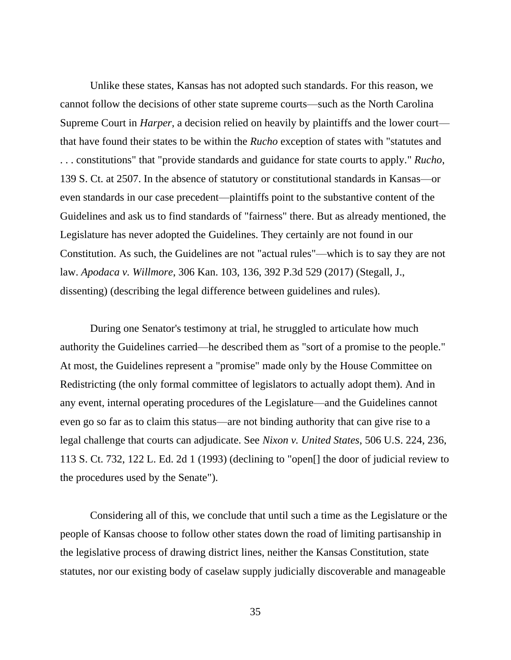Unlike these states, Kansas has not adopted such standards. For this reason, we cannot follow the decisions of other state supreme courts—such as the North Carolina Supreme Court in *Harper*, a decision relied on heavily by plaintiffs and the lower court that have found their states to be within the *Rucho* exception of states with "statutes and . . . constitutions" that "provide standards and guidance for state courts to apply." *Rucho*, 139 S. Ct. at 2507. In the absence of statutory or constitutional standards in Kansas—or even standards in our case precedent—plaintiffs point to the substantive content of the Guidelines and ask us to find standards of "fairness" there. But as already mentioned, the Legislature has never adopted the Guidelines. They certainly are not found in our Constitution. As such, the Guidelines are not "actual rules"—which is to say they are not law. *Apodaca v. Willmore*, 306 Kan. 103, 136, 392 P.3d 529 (2017) (Stegall, J., dissenting) (describing the legal difference between guidelines and rules).

During one Senator's testimony at trial, he struggled to articulate how much authority the Guidelines carried—he described them as "sort of a promise to the people." At most, the Guidelines represent a "promise" made only by the House Committee on Redistricting (the only formal committee of legislators to actually adopt them). And in any event, internal operating procedures of the Legislature—and the Guidelines cannot even go so far as to claim this status—are not binding authority that can give rise to a legal challenge that courts can adjudicate. See *Nixon v. United States*, 506 U.S. 224, 236, 113 S. Ct. 732, 122 L. Ed. 2d 1 (1993) (declining to "open[] the door of judicial review to the procedures used by the Senate").

Considering all of this, we conclude that until such a time as the Legislature or the people of Kansas choose to follow other states down the road of limiting partisanship in the legislative process of drawing district lines, neither the Kansas Constitution, state statutes, nor our existing body of caselaw supply judicially discoverable and manageable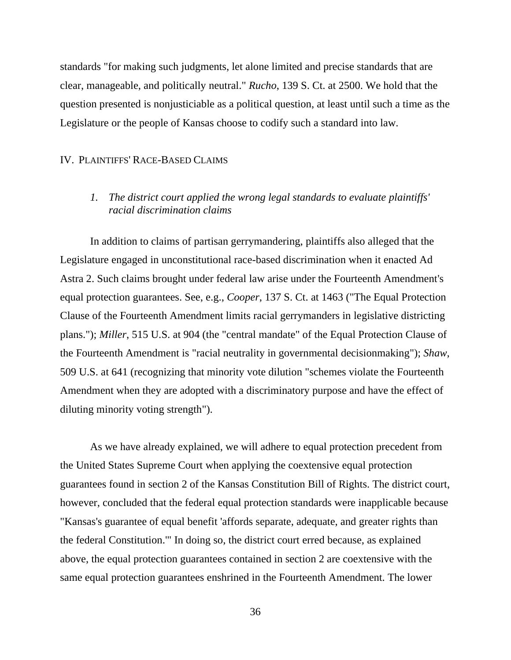standards "for making such judgments, let alone limited and precise standards that are clear, manageable, and politically neutral." *Rucho*, 139 S. Ct. at 2500. We hold that the question presented is nonjusticiable as a political question, at least until such a time as the Legislature or the people of Kansas choose to codify such a standard into law.

### IV. PLAINTIFFS' RACE-BASED CLAIMS

## *1. The district court applied the wrong legal standards to evaluate plaintiffs' racial discrimination claims*

In addition to claims of partisan gerrymandering, plaintiffs also alleged that the Legislature engaged in unconstitutional race-based discrimination when it enacted Ad Astra 2. Such claims brought under federal law arise under the Fourteenth Amendment's equal protection guarantees. See, e.g., *Cooper*, 137 S. Ct. at 1463 ("The Equal Protection Clause of the Fourteenth Amendment limits racial gerrymanders in legislative districting plans."); *Miller*, 515 U.S. at 904 (the "central mandate" of the Equal Protection Clause of the Fourteenth Amendment is "racial neutrality in governmental decisionmaking"); *Shaw*, 509 U.S. at 641 (recognizing that minority vote dilution "schemes violate the Fourteenth Amendment when they are adopted with a discriminatory purpose and have the effect of diluting minority voting strength").

As we have already explained, we will adhere to equal protection precedent from the United States Supreme Court when applying the coextensive equal protection guarantees found in section 2 of the Kansas Constitution Bill of Rights. The district court, however, concluded that the federal equal protection standards were inapplicable because "Kansas's guarantee of equal benefit 'affords separate, adequate, and greater rights than the federal Constitution.'" In doing so, the district court erred because, as explained above, the equal protection guarantees contained in section 2 are coextensive with the same equal protection guarantees enshrined in the Fourteenth Amendment. The lower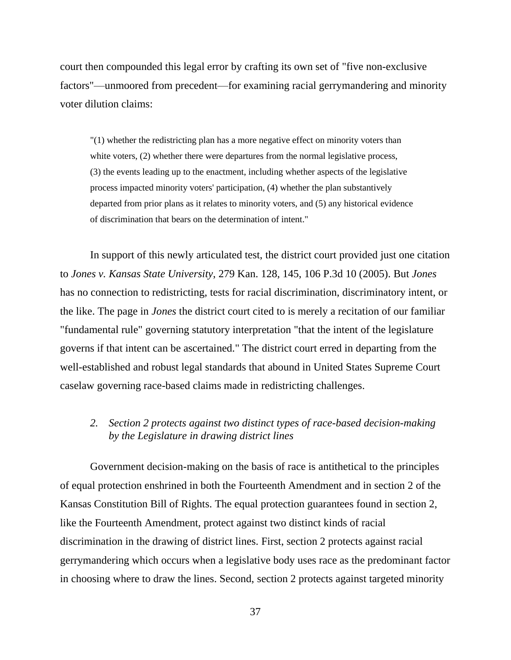court then compounded this legal error by crafting its own set of "five non-exclusive factors"—unmoored from precedent—for examining racial gerrymandering and minority voter dilution claims:

"(1) whether the redistricting plan has a more negative effect on minority voters than white voters, (2) whether there were departures from the normal legislative process, (3) the events leading up to the enactment, including whether aspects of the legislative process impacted minority voters' participation, (4) whether the plan substantively departed from prior plans as it relates to minority voters, and (5) any historical evidence of discrimination that bears on the determination of intent."

In support of this newly articulated test, the district court provided just one citation to *Jones v. Kansas State University*, 279 Kan. 128, 145, 106 P.3d 10 (2005). But *Jones* has no connection to redistricting, tests for racial discrimination, discriminatory intent, or the like. The page in *Jones* the district court cited to is merely a recitation of our familiar "fundamental rule" governing statutory interpretation "that the intent of the legislature governs if that intent can be ascertained." The district court erred in departing from the well-established and robust legal standards that abound in United States Supreme Court caselaw governing race-based claims made in redistricting challenges.

## *2. Section 2 protects against two distinct types of race-based decision-making by the Legislature in drawing district lines*

Government decision-making on the basis of race is antithetical to the principles of equal protection enshrined in both the Fourteenth Amendment and in section 2 of the Kansas Constitution Bill of Rights. The equal protection guarantees found in section 2, like the Fourteenth Amendment, protect against two distinct kinds of racial discrimination in the drawing of district lines. First, section 2 protects against racial gerrymandering which occurs when a legislative body uses race as the predominant factor in choosing where to draw the lines. Second, section 2 protects against targeted minority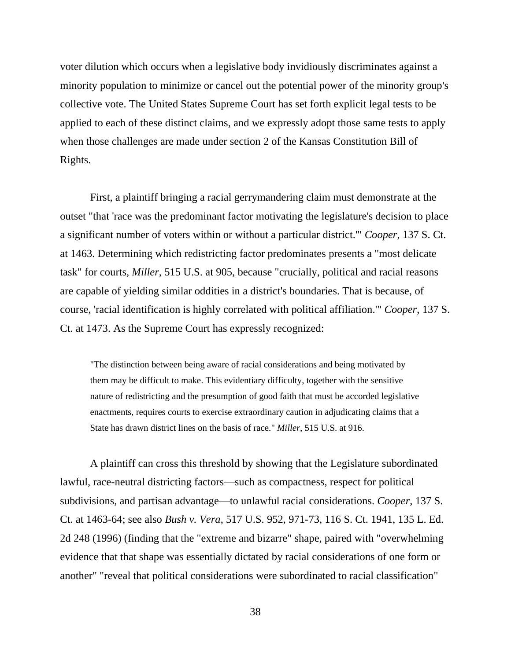voter dilution which occurs when a legislative body invidiously discriminates against a minority population to minimize or cancel out the potential power of the minority group's collective vote. The United States Supreme Court has set forth explicit legal tests to be applied to each of these distinct claims, and we expressly adopt those same tests to apply when those challenges are made under section 2 of the Kansas Constitution Bill of Rights.

First, a plaintiff bringing a racial gerrymandering claim must demonstrate at the outset "that 'race was the predominant factor motivating the legislature's decision to place a significant number of voters within or without a particular district.'" *Cooper*, 137 S. Ct. at 1463. Determining which redistricting factor predominates presents a "most delicate task" for courts, *Miller*, 515 U.S. at 905, because "crucially, political and racial reasons are capable of yielding similar oddities in a district's boundaries. That is because, of course, 'racial identification is highly correlated with political affiliation.'" *Cooper*, 137 S. Ct. at 1473. As the Supreme Court has expressly recognized:

"The distinction between being aware of racial considerations and being motivated by them may be difficult to make. This evidentiary difficulty, together with the sensitive nature of redistricting and the presumption of good faith that must be accorded legislative enactments, requires courts to exercise extraordinary caution in adjudicating claims that a State has drawn district lines on the basis of race." *Miller*, 515 U.S. at 916.

A plaintiff can cross this threshold by showing that the Legislature subordinated lawful, race-neutral districting factors—such as compactness, respect for political subdivisions, and partisan advantage—to unlawful racial considerations. *Cooper*, 137 S. Ct. at 1463-64; see also *Bush v. Vera*, 517 U.S. 952, 971-73, 116 S. Ct. 1941, 135 L. Ed. 2d 248 (1996) (finding that the "extreme and bizarre" shape, paired with "overwhelming evidence that that shape was essentially dictated by racial considerations of one form or another" "reveal that political considerations were subordinated to racial classification"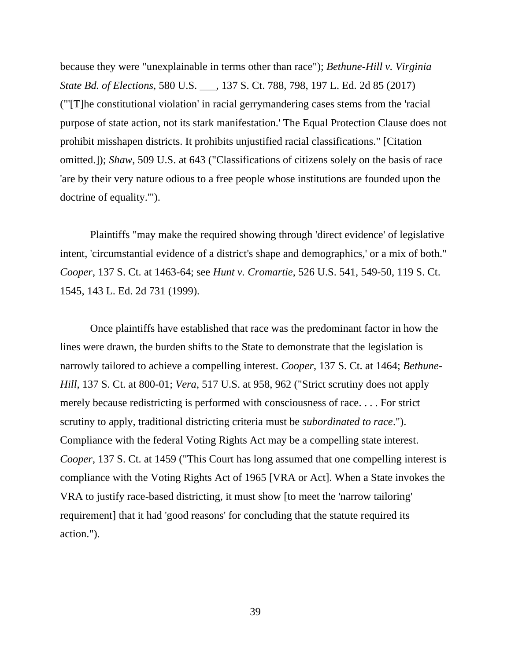because they were "unexplainable in terms other than race"); *Bethune-Hill v. Virginia State Bd. of Elections*, 580 U.S. \_\_\_, 137 S. Ct. 788, 798, 197 L. Ed. 2d 85 (2017) ("'[T]he constitutional violation' in racial gerrymandering cases stems from the 'racial purpose of state action, not its stark manifestation.' The Equal Protection Clause does not prohibit misshapen districts. It prohibits unjustified racial classifications." [Citation omitted.]); *Shaw*, 509 U.S. at 643 ("Classifications of citizens solely on the basis of race 'are by their very nature odious to a free people whose institutions are founded upon the doctrine of equality.'").

Plaintiffs "may make the required showing through 'direct evidence' of legislative intent, 'circumstantial evidence of a district's shape and demographics,' or a mix of both." *Cooper*, 137 S. Ct. at 1463-64; see *Hunt v. Cromartie*, 526 U.S. 541, 549-50, 119 S. Ct. 1545, 143 L. Ed. 2d 731 (1999).

Once plaintiffs have established that race was the predominant factor in how the lines were drawn, the burden shifts to the State to demonstrate that the legislation is narrowly tailored to achieve a compelling interest. *Cooper*, 137 S. Ct. at 1464; *Bethune-Hill*, 137 S. Ct. at 800-01; *Vera*, 517 U.S. at 958, 962 ("Strict scrutiny does not apply merely because redistricting is performed with consciousness of race. . . . For strict scrutiny to apply, traditional districting criteria must be *subordinated to race*."). Compliance with the federal Voting Rights Act may be a compelling state interest. *Cooper*, 137 S. Ct. at 1459 ("This Court has long assumed that one compelling interest is compliance with the Voting Rights Act of 1965 [VRA or Act]. When a State invokes the VRA to justify race-based districting, it must show [to meet the 'narrow tailoring' requirement] that it had 'good reasons' for concluding that the statute required its action.").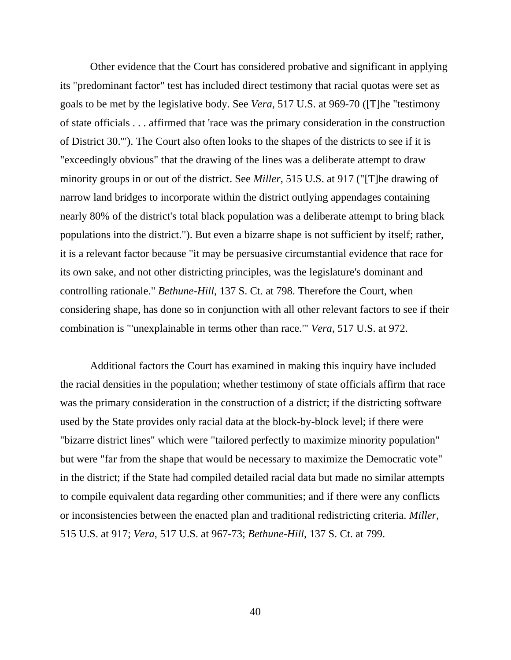Other evidence that the Court has considered probative and significant in applying its "predominant factor" test has included direct testimony that racial quotas were set as goals to be met by the legislative body. See *Vera*, 517 U.S. at 969-70 ([T]he "testimony of state officials . . . affirmed that 'race was the primary consideration in the construction of District 30.'"). The Court also often looks to the shapes of the districts to see if it is "exceedingly obvious" that the drawing of the lines was a deliberate attempt to draw minority groups in or out of the district. See *Miller*, 515 U.S. at 917 ("[T]he drawing of narrow land bridges to incorporate within the district outlying appendages containing nearly 80% of the district's total black population was a deliberate attempt to bring black populations into the district."). But even a bizarre shape is not sufficient by itself; rather, it is a relevant factor because "it may be persuasive circumstantial evidence that race for its own sake, and not other districting principles, was the legislature's dominant and controlling rationale." *Bethune-Hill*, 137 S. Ct. at 798. Therefore the Court, when considering shape, has done so in conjunction with all other relevant factors to see if their combination is "'unexplainable in terms other than race.'" *Vera*, 517 U.S. at 972.

Additional factors the Court has examined in making this inquiry have included the racial densities in the population; whether testimony of state officials affirm that race was the primary consideration in the construction of a district; if the districting software used by the State provides only racial data at the block-by-block level; if there were "bizarre district lines" which were "tailored perfectly to maximize minority population" but were "far from the shape that would be necessary to maximize the Democratic vote" in the district; if the State had compiled detailed racial data but made no similar attempts to compile equivalent data regarding other communities; and if there were any conflicts or inconsistencies between the enacted plan and traditional redistricting criteria. *Miller*, 515 U.S. at 917; *Vera*, 517 U.S. at 967-73; *Bethune-Hill*, 137 S. Ct. at 799.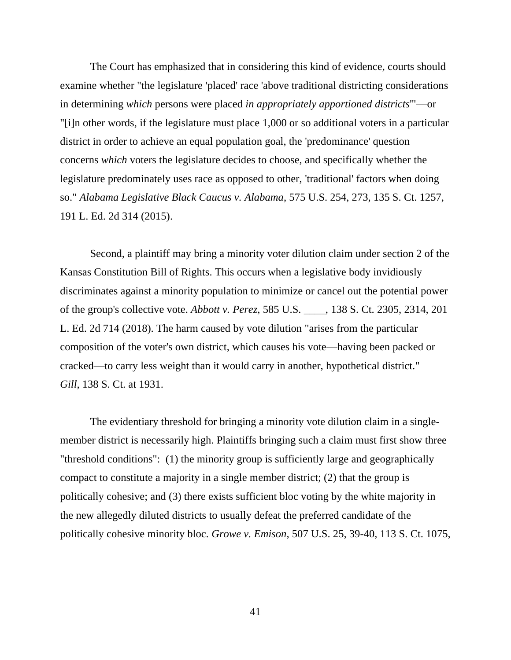The Court has emphasized that in considering this kind of evidence, courts should examine whether "the legislature 'placed' race 'above traditional districting considerations in determining *which* persons were placed *in appropriately apportioned districts*'"—or "[i]n other words, if the legislature must place 1,000 or so additional voters in a particular district in order to achieve an equal population goal, the 'predominance' question concerns *which* voters the legislature decides to choose, and specifically whether the legislature predominately uses race as opposed to other, 'traditional' factors when doing so." *Alabama Legislative Black Caucus v. Alabama*, 575 U.S. 254, 273, 135 S. Ct. 1257, 191 L. Ed. 2d 314 (2015).

Second, a plaintiff may bring a minority voter dilution claim under section 2 of the Kansas Constitution Bill of Rights. This occurs when a legislative body invidiously discriminates against a minority population to minimize or cancel out the potential power of the group's collective vote. *Abbott v. Perez*, 585 U.S. \_\_\_\_, 138 S. Ct. 2305, 2314, 201 L. Ed. 2d 714 (2018). The harm caused by vote dilution "arises from the particular composition of the voter's own district, which causes his vote—having been packed or cracked—to carry less weight than it would carry in another, hypothetical district." *Gill*, 138 S. Ct. at 1931.

The evidentiary threshold for bringing a minority vote dilution claim in a singlemember district is necessarily high. Plaintiffs bringing such a claim must first show three "threshold conditions": (1) the minority group is sufficiently large and geographically compact to constitute a majority in a single member district; (2) that the group is politically cohesive; and (3) there exists sufficient bloc voting by the white majority in the new allegedly diluted districts to usually defeat the preferred candidate of the politically cohesive minority bloc. *Growe v. Emison*, 507 U.S. 25, 39-40, 113 S. Ct. 1075,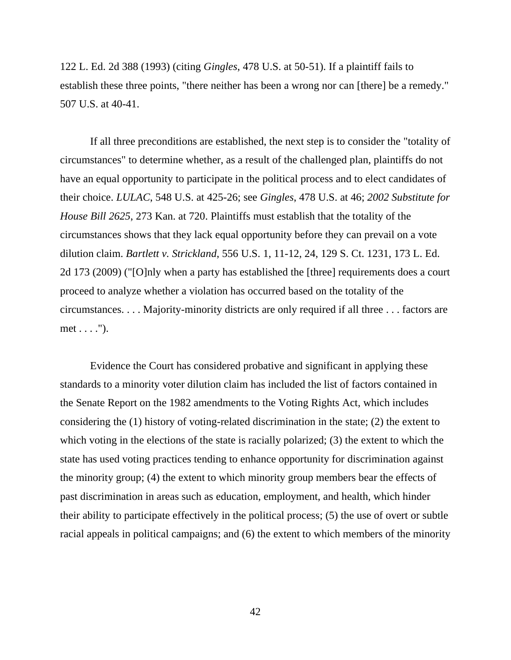122 L. Ed. 2d 388 (1993) (citing *Gingles*, 478 U.S. at 50-51). If a plaintiff fails to establish these three points, "there neither has been a wrong nor can [there] be a remedy." 507 U.S. at 40-41.

If all three preconditions are established, the next step is to consider the "totality of circumstances" to determine whether, as a result of the challenged plan, plaintiffs do not have an equal opportunity to participate in the political process and to elect candidates of their choice. *LULAC*, 548 U.S. at 425-26; see *Gingles*, 478 U.S. at 46; *2002 Substitute for House Bill 2625*, 273 Kan. at 720. Plaintiffs must establish that the totality of the circumstances shows that they lack equal opportunity before they can prevail on a vote dilution claim. *Bartlett v. Strickland*, 556 U.S. 1, 11-12, 24, 129 S. Ct. 1231, 173 L. Ed. 2d 173 (2009) ("[O]nly when a party has established the [three] requirements does a court proceed to analyze whether a violation has occurred based on the totality of the circumstances. . . . Majority-minority districts are only required if all three . . . factors are met . . . .").

Evidence the Court has considered probative and significant in applying these standards to a minority voter dilution claim has included the list of factors contained in the Senate Report on the 1982 amendments to the Voting Rights Act, which includes considering the (1) history of voting-related discrimination in the state; (2) the extent to which voting in the elections of the state is racially polarized; (3) the extent to which the state has used voting practices tending to enhance opportunity for discrimination against the minority group; (4) the extent to which minority group members bear the effects of past discrimination in areas such as education, employment, and health, which hinder their ability to participate effectively in the political process; (5) the use of overt or subtle racial appeals in political campaigns; and (6) the extent to which members of the minority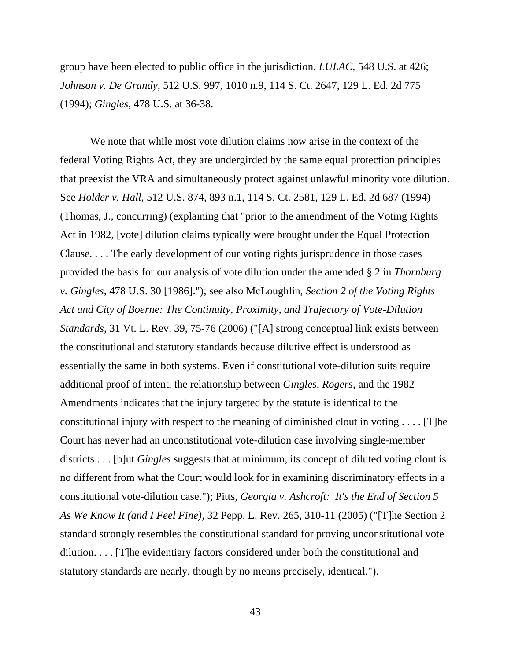group have been elected to public office in the jurisdiction. *LULAC*, 548 U.S. at 426; *Johnson v. De Grandy*, 512 U.S. 997, 1010 n.9, 114 S. Ct. 2647, 129 L. Ed. 2d 775 (1994); *Gingles*, 478 U.S. at 36-38.

We note that while most vote dilution claims now arise in the context of the federal Voting Rights Act, they are undergirded by the same equal protection principles that preexist the VRA and simultaneously protect against unlawful minority vote dilution. See *Holder v. Hall*, 512 U.S. 874, 893 n.1, 114 S. Ct. 2581, 129 L. Ed. 2d 687 (1994) (Thomas, J., concurring) (explaining that "prior to the amendment of the Voting Rights Act in 1982, [vote] dilution claims typically were brought under the Equal Protection Clause. . . . The early development of our voting rights jurisprudence in those cases provided the basis for our analysis of vote dilution under the amended § 2 in *Thornburg v. Gingles*, 478 U.S. 30 [1986]."); see also McLoughlin, *Section 2 of the Voting Rights Act and City of Boerne: The Continuity, Proximity, and Trajectory of Vote-Dilution Standards*, 31 Vt. L. Rev. 39, 75-76 (2006) ("[A] strong conceptual link exists between the constitutional and statutory standards because dilutive effect is understood as essentially the same in both systems. Even if constitutional vote-dilution suits require additional proof of intent, the relationship between *Gingles*, *Rogers*, and the 1982 Amendments indicates that the injury targeted by the statute is identical to the constitutional injury with respect to the meaning of diminished clout in voting . . . . [T]he Court has never had an unconstitutional vote-dilution case involving single-member districts . . . [b]ut *Gingles* suggests that at minimum, its concept of diluted voting clout is no different from what the Court would look for in examining discriminatory effects in a constitutional vote-dilution case."); Pitts, *Georgia v. Ashcroft: It's the End of Section 5 As We Know It (and I Feel Fine)*, 32 Pepp. L. Rev. 265, 310-11 (2005) ("[T]he Section 2 standard strongly resembles the constitutional standard for proving unconstitutional vote dilution. . . . [T]he evidentiary factors considered under both the constitutional and statutory standards are nearly, though by no means precisely, identical.").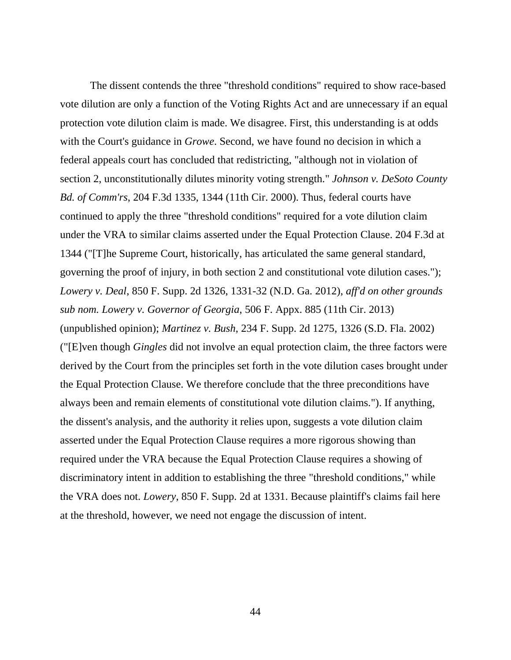The dissent contends the three "threshold conditions" required to show race-based vote dilution are only a function of the Voting Rights Act and are unnecessary if an equal protection vote dilution claim is made. We disagree. First, this understanding is at odds with the Court's guidance in *Growe*. Second, we have found no decision in which a federal appeals court has concluded that redistricting, "although not in violation of section 2, unconstitutionally dilutes minority voting strength." *Johnson v. DeSoto County Bd. of Comm'rs*, 204 F.3d 1335, 1344 (11th Cir. 2000). Thus, federal courts have continued to apply the three "threshold conditions" required for a vote dilution claim under the VRA to similar claims asserted under the Equal Protection Clause. 204 F.3d at 1344 ("[T]he Supreme Court, historically, has articulated the same general standard, governing the proof of injury, in both section 2 and constitutional vote dilution cases."); *Lowery v. Deal*, 850 F. Supp. 2d 1326, 1331-32 (N.D. Ga. 2012), *aff'd on other grounds sub nom. Lowery v. Governor of Georgia*, 506 F. Appx. 885 (11th Cir. 2013) (unpublished opinion); *Martinez v. Bush*, 234 F. Supp. 2d 1275, 1326 (S.D. Fla. 2002) ("[E]ven though *Gingles* did not involve an equal protection claim, the three factors were derived by the Court from the principles set forth in the vote dilution cases brought under the Equal Protection Clause. We therefore conclude that the three preconditions have always been and remain elements of constitutional vote dilution claims."). If anything, the dissent's analysis, and the authority it relies upon, suggests a vote dilution claim asserted under the Equal Protection Clause requires a more rigorous showing than required under the VRA because the Equal Protection Clause requires a showing of discriminatory intent in addition to establishing the three "threshold conditions," while the VRA does not. *Lowery*, 850 F. Supp. 2d at 1331. Because plaintiff's claims fail here at the threshold, however, we need not engage the discussion of intent.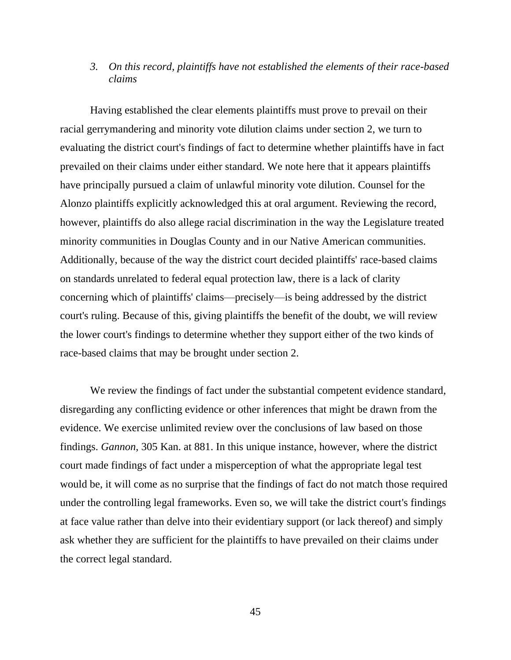# *3. On this record, plaintiffs have not established the elements of their race-based claims*

Having established the clear elements plaintiffs must prove to prevail on their racial gerrymandering and minority vote dilution claims under section 2, we turn to evaluating the district court's findings of fact to determine whether plaintiffs have in fact prevailed on their claims under either standard. We note here that it appears plaintiffs have principally pursued a claim of unlawful minority vote dilution. Counsel for the Alonzo plaintiffs explicitly acknowledged this at oral argument. Reviewing the record, however, plaintiffs do also allege racial discrimination in the way the Legislature treated minority communities in Douglas County and in our Native American communities. Additionally, because of the way the district court decided plaintiffs' race-based claims on standards unrelated to federal equal protection law, there is a lack of clarity concerning which of plaintiffs' claims—precisely—is being addressed by the district court's ruling. Because of this, giving plaintiffs the benefit of the doubt, we will review the lower court's findings to determine whether they support either of the two kinds of race-based claims that may be brought under section 2.

We review the findings of fact under the substantial competent evidence standard, disregarding any conflicting evidence or other inferences that might be drawn from the evidence. We exercise unlimited review over the conclusions of law based on those findings. *Gannon*, 305 Kan. at 881. In this unique instance, however, where the district court made findings of fact under a misperception of what the appropriate legal test would be, it will come as no surprise that the findings of fact do not match those required under the controlling legal frameworks. Even so, we will take the district court's findings at face value rather than delve into their evidentiary support (or lack thereof) and simply ask whether they are sufficient for the plaintiffs to have prevailed on their claims under the correct legal standard.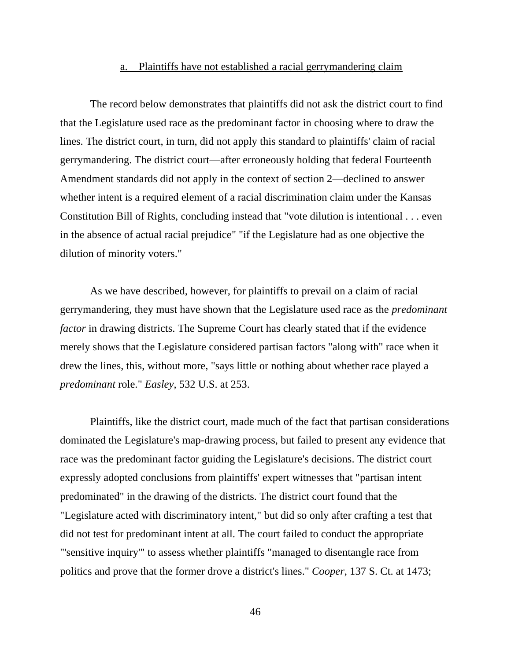#### a. Plaintiffs have not established a racial gerrymandering claim

The record below demonstrates that plaintiffs did not ask the district court to find that the Legislature used race as the predominant factor in choosing where to draw the lines. The district court, in turn, did not apply this standard to plaintiffs' claim of racial gerrymandering. The district court—after erroneously holding that federal Fourteenth Amendment standards did not apply in the context of section 2—declined to answer whether intent is a required element of a racial discrimination claim under the Kansas Constitution Bill of Rights, concluding instead that "vote dilution is intentional . . . even in the absence of actual racial prejudice" "if the Legislature had as one objective the dilution of minority voters."

As we have described, however, for plaintiffs to prevail on a claim of racial gerrymandering, they must have shown that the Legislature used race as the *predominant factor* in drawing districts. The Supreme Court has clearly stated that if the evidence merely shows that the Legislature considered partisan factors "along with" race when it drew the lines, this, without more, "says little or nothing about whether race played a *predominant* role." *Easley*, 532 U.S. at 253.

Plaintiffs, like the district court, made much of the fact that partisan considerations dominated the Legislature's map-drawing process, but failed to present any evidence that race was the predominant factor guiding the Legislature's decisions. The district court expressly adopted conclusions from plaintiffs' expert witnesses that "partisan intent predominated" in the drawing of the districts. The district court found that the "Legislature acted with discriminatory intent," but did so only after crafting a test that did not test for predominant intent at all. The court failed to conduct the appropriate "'sensitive inquiry'" to assess whether plaintiffs "managed to disentangle race from politics and prove that the former drove a district's lines." *Cooper*, 137 S. Ct. at 1473;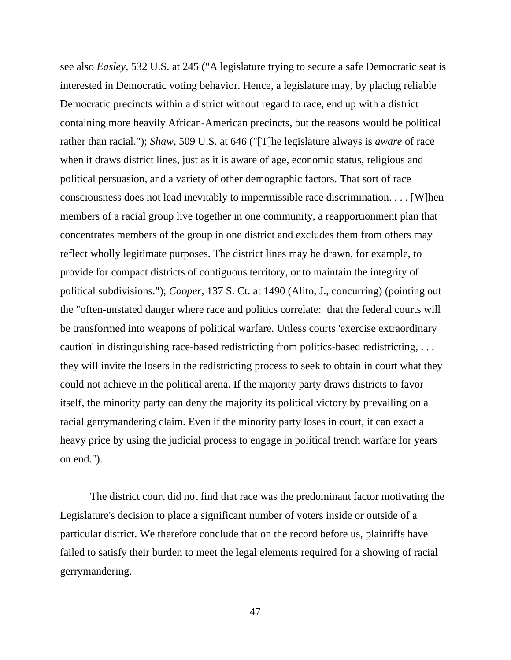see also *Easley,* 532 U.S. at 245 ("A legislature trying to secure a safe Democratic seat is interested in Democratic voting behavior. Hence, a legislature may, by placing reliable Democratic precincts within a district without regard to race, end up with a district containing more heavily African-American precincts, but the reasons would be political rather than racial."); *Shaw*, 509 U.S. at 646 ("[T]he legislature always is *aware* of race when it draws district lines, just as it is aware of age, economic status, religious and political persuasion, and a variety of other demographic factors. That sort of race consciousness does not lead inevitably to impermissible race discrimination. . . . [W]hen members of a racial group live together in one community, a reapportionment plan that concentrates members of the group in one district and excludes them from others may reflect wholly legitimate purposes. The district lines may be drawn, for example, to provide for compact districts of contiguous territory, or to maintain the integrity of political subdivisions."); *Cooper*, 137 S. Ct. at 1490 (Alito, J., concurring) (pointing out the "often-unstated danger where race and politics correlate: that the federal courts will be transformed into weapons of political warfare. Unless courts 'exercise extraordinary caution' in distinguishing race-based redistricting from politics-based redistricting, . . . they will invite the losers in the redistricting process to seek to obtain in court what they could not achieve in the political arena. If the majority party draws districts to favor itself, the minority party can deny the majority its political victory by prevailing on a racial gerrymandering claim. Even if the minority party loses in court, it can exact a heavy price by using the judicial process to engage in political trench warfare for years on end.").

The district court did not find that race was the predominant factor motivating the Legislature's decision to place a significant number of voters inside or outside of a particular district. We therefore conclude that on the record before us, plaintiffs have failed to satisfy their burden to meet the legal elements required for a showing of racial gerrymandering.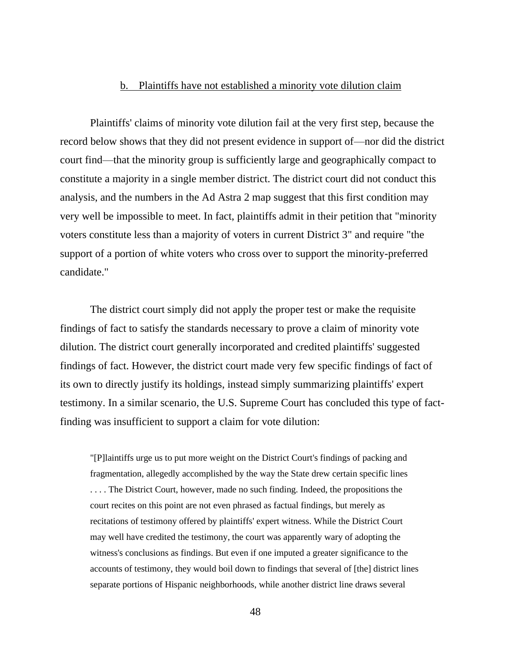### b. Plaintiffs have not established a minority vote dilution claim

Plaintiffs' claims of minority vote dilution fail at the very first step, because the record below shows that they did not present evidence in support of—nor did the district court find—that the minority group is sufficiently large and geographically compact to constitute a majority in a single member district. The district court did not conduct this analysis, and the numbers in the Ad Astra 2 map suggest that this first condition may very well be impossible to meet. In fact, plaintiffs admit in their petition that "minority voters constitute less than a majority of voters in current District 3" and require "the support of a portion of white voters who cross over to support the minority-preferred candidate."

The district court simply did not apply the proper test or make the requisite findings of fact to satisfy the standards necessary to prove a claim of minority vote dilution. The district court generally incorporated and credited plaintiffs' suggested findings of fact. However, the district court made very few specific findings of fact of its own to directly justify its holdings, instead simply summarizing plaintiffs' expert testimony. In a similar scenario, the U.S. Supreme Court has concluded this type of factfinding was insufficient to support a claim for vote dilution:

"[P]laintiffs urge us to put more weight on the District Court's findings of packing and fragmentation, allegedly accomplished by the way the State drew certain specific lines . . . . The District Court, however, made no such finding. Indeed, the propositions the court recites on this point are not even phrased as factual findings, but merely as recitations of testimony offered by plaintiffs' expert witness. While the District Court may well have credited the testimony, the court was apparently wary of adopting the witness's conclusions as findings. But even if one imputed a greater significance to the accounts of testimony, they would boil down to findings that several of [the] district lines separate portions of Hispanic neighborhoods, while another district line draws several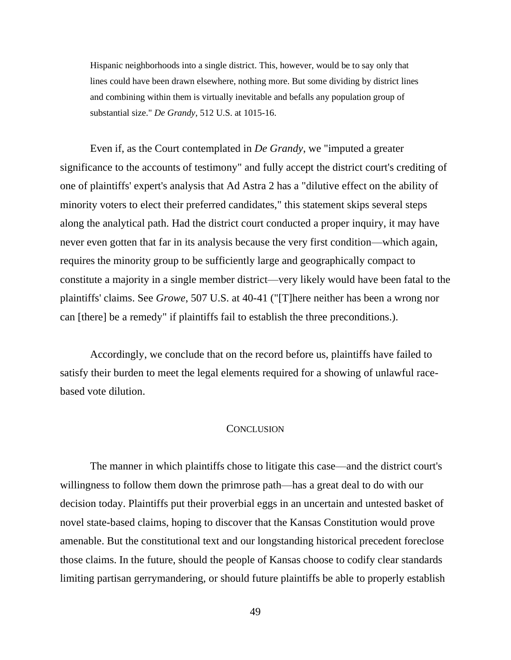Hispanic neighborhoods into a single district. This, however, would be to say only that lines could have been drawn elsewhere, nothing more. But some dividing by district lines and combining within them is virtually inevitable and befalls any population group of substantial size." *De Grandy*, 512 U.S. at 1015-16.

Even if, as the Court contemplated in *De Grandy*, we "imputed a greater significance to the accounts of testimony" and fully accept the district court's crediting of one of plaintiffs' expert's analysis that Ad Astra 2 has a "dilutive effect on the ability of minority voters to elect their preferred candidates," this statement skips several steps along the analytical path. Had the district court conducted a proper inquiry, it may have never even gotten that far in its analysis because the very first condition—which again, requires the minority group to be sufficiently large and geographically compact to constitute a majority in a single member district—very likely would have been fatal to the plaintiffs' claims. See *Growe*, 507 U.S. at 40-41 ("[T]here neither has been a wrong nor can [there] be a remedy" if plaintiffs fail to establish the three preconditions.).

Accordingly, we conclude that on the record before us, plaintiffs have failed to satisfy their burden to meet the legal elements required for a showing of unlawful racebased vote dilution.

#### **CONCLUSION**

The manner in which plaintiffs chose to litigate this case—and the district court's willingness to follow them down the primrose path—has a great deal to do with our decision today. Plaintiffs put their proverbial eggs in an uncertain and untested basket of novel state-based claims, hoping to discover that the Kansas Constitution would prove amenable. But the constitutional text and our longstanding historical precedent foreclose those claims. In the future, should the people of Kansas choose to codify clear standards limiting partisan gerrymandering, or should future plaintiffs be able to properly establish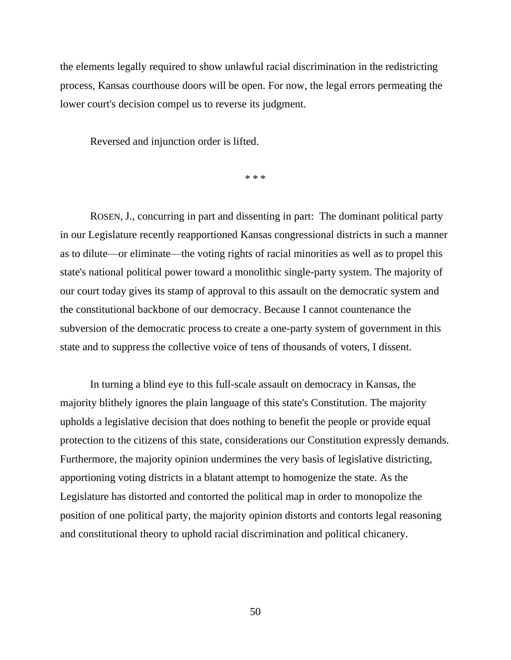the elements legally required to show unlawful racial discrimination in the redistricting process, Kansas courthouse doors will be open. For now, the legal errors permeating the lower court's decision compel us to reverse its judgment.

Reversed and injunction order is lifted.

\* \* \*

ROSEN, J., concurring in part and dissenting in part: The dominant political party in our Legislature recently reapportioned Kansas congressional districts in such a manner as to dilute—or eliminate—the voting rights of racial minorities as well as to propel this state's national political power toward a monolithic single-party system. The majority of our court today gives its stamp of approval to this assault on the democratic system and the constitutional backbone of our democracy. Because I cannot countenance the subversion of the democratic process to create a one-party system of government in this state and to suppress the collective voice of tens of thousands of voters, I dissent.

In turning a blind eye to this full-scale assault on democracy in Kansas, the majority blithely ignores the plain language of this state's Constitution. The majority upholds a legislative decision that does nothing to benefit the people or provide equal protection to the citizens of this state, considerations our Constitution expressly demands. Furthermore, the majority opinion undermines the very basis of legislative districting, apportioning voting districts in a blatant attempt to homogenize the state. As the Legislature has distorted and contorted the political map in order to monopolize the position of one political party, the majority opinion distorts and contorts legal reasoning and constitutional theory to uphold racial discrimination and political chicanery.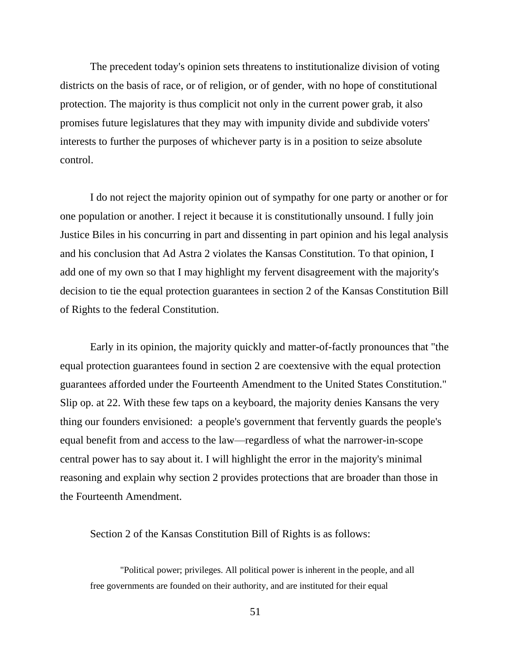The precedent today's opinion sets threatens to institutionalize division of voting districts on the basis of race, or of religion, or of gender, with no hope of constitutional protection. The majority is thus complicit not only in the current power grab, it also promises future legislatures that they may with impunity divide and subdivide voters' interests to further the purposes of whichever party is in a position to seize absolute control.

I do not reject the majority opinion out of sympathy for one party or another or for one population or another. I reject it because it is constitutionally unsound. I fully join Justice Biles in his concurring in part and dissenting in part opinion and his legal analysis and his conclusion that Ad Astra 2 violates the Kansas Constitution. To that opinion, I add one of my own so that I may highlight my fervent disagreement with the majority's decision to tie the equal protection guarantees in section 2 of the Kansas Constitution Bill of Rights to the federal Constitution.

Early in its opinion, the majority quickly and matter-of-factly pronounces that "the equal protection guarantees found in section 2 are coextensive with the equal protection guarantees afforded under the Fourteenth Amendment to the United States Constitution." Slip op. at 22. With these few taps on a keyboard, the majority denies Kansans the very thing our founders envisioned: a people's government that fervently guards the people's equal benefit from and access to the law—regardless of what the narrower-in-scope central power has to say about it. I will highlight the error in the majority's minimal reasoning and explain why section 2 provides protections that are broader than those in the Fourteenth Amendment.

Section 2 of the Kansas Constitution Bill of Rights is as follows:

"Political power; privileges. All political power is inherent in the people, and all free governments are founded on their authority, and are instituted for their equal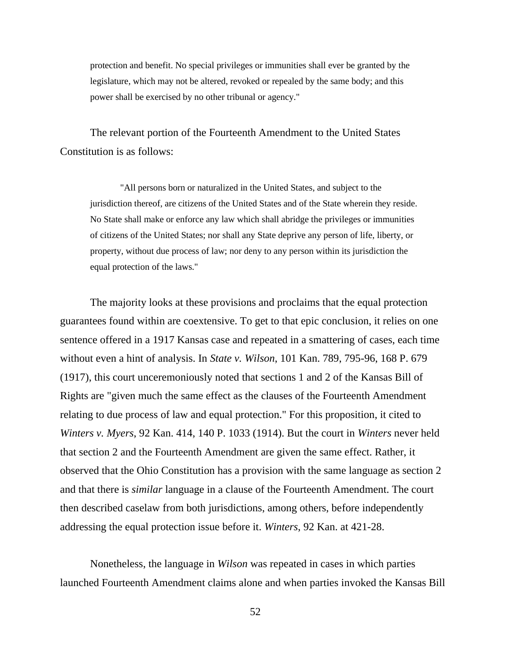protection and benefit. No special privileges or immunities shall ever be granted by the legislature, which may not be altered, revoked or repealed by the same body; and this power shall be exercised by no other tribunal or agency."

The relevant portion of the Fourteenth Amendment to the United States Constitution is as follows:

"All persons born or naturalized in the United States, and subject to the jurisdiction thereof, are citizens of the United States and of the State wherein they reside. No State shall make or enforce any law which shall abridge the privileges or immunities of citizens of the United States; nor shall any State deprive any person of life, liberty, or property, without due process of law; nor deny to any person within its jurisdiction the equal protection of the laws."

The majority looks at these provisions and proclaims that the equal protection guarantees found within are coextensive. To get to that epic conclusion, it relies on one sentence offered in a 1917 Kansas case and repeated in a smattering of cases, each time without even a hint of analysis. In *State v. Wilson*, 101 Kan. 789, 795-96, 168 P. 679 (1917), this court unceremoniously noted that sections 1 and 2 of the Kansas Bill of Rights are "given much the same effect as the clauses of the Fourteenth Amendment relating to due process of law and equal protection." For this proposition, it cited to *Winters v. Myers*, 92 Kan. 414, 140 P. 1033 (1914). But the court in *Winters* never held that section 2 and the Fourteenth Amendment are given the same effect. Rather, it observed that the Ohio Constitution has a provision with the same language as section 2 and that there is *similar* language in a clause of the Fourteenth Amendment. The court then described caselaw from both jurisdictions, among others, before independently addressing the equal protection issue before it. *Winters*, 92 Kan. at 421-28.

Nonetheless, the language in *Wilson* was repeated in cases in which parties launched Fourteenth Amendment claims alone and when parties invoked the Kansas Bill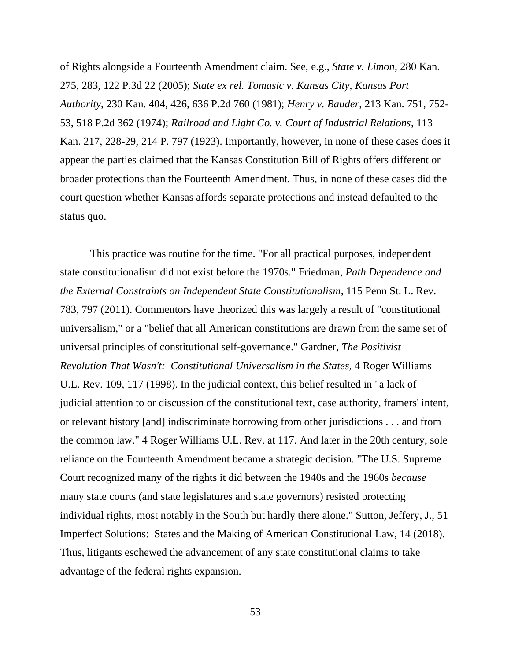of Rights alongside a Fourteenth Amendment claim. See, e.g., *State v. Limon*, 280 Kan. 275, 283, 122 P.3d 22 (2005); *State ex rel. Tomasic v. Kansas City, Kansas Port Authority*, 230 Kan. 404, 426, 636 P.2d 760 (1981); *Henry v. Bauder*, 213 Kan. 751, 752- 53, 518 P.2d 362 (1974); *Railroad and Light Co. v. Court of Industrial Relations*, 113 Kan. 217, 228-29, 214 P. 797 (1923). Importantly, however, in none of these cases does it appear the parties claimed that the Kansas Constitution Bill of Rights offers different or broader protections than the Fourteenth Amendment. Thus, in none of these cases did the court question whether Kansas affords separate protections and instead defaulted to the status quo.

This practice was routine for the time. "For all practical purposes, independent state constitutionalism did not exist before the 1970s." Friedman, *Path Dependence and the External Constraints on Independent State Constitutionalism*, 115 Penn St. L. Rev. 783, 797 (2011). Commentors have theorized this was largely a result of "constitutional universalism," or a "belief that all American constitutions are drawn from the same set of universal principles of constitutional self-governance." Gardner, *The Positivist Revolution That Wasn't: Constitutional Universalism in the States*, 4 Roger Williams U.L. Rev. 109, 117 (1998). In the judicial context, this belief resulted in "a lack of judicial attention to or discussion of the constitutional text, case authority, framers' intent, or relevant history [and] indiscriminate borrowing from other jurisdictions . . . and from the common law." 4 Roger Williams U.L. Rev. at 117. And later in the 20th century, sole reliance on the Fourteenth Amendment became a strategic decision. "The U.S. Supreme Court recognized many of the rights it did between the 1940s and the 1960s *because*  many state courts (and state legislatures and state governors) resisted protecting individual rights, most notably in the South but hardly there alone." Sutton, Jeffery, J., 51 Imperfect Solutions: States and the Making of American Constitutional Law, 14 (2018). Thus, litigants eschewed the advancement of any state constitutional claims to take advantage of the federal rights expansion.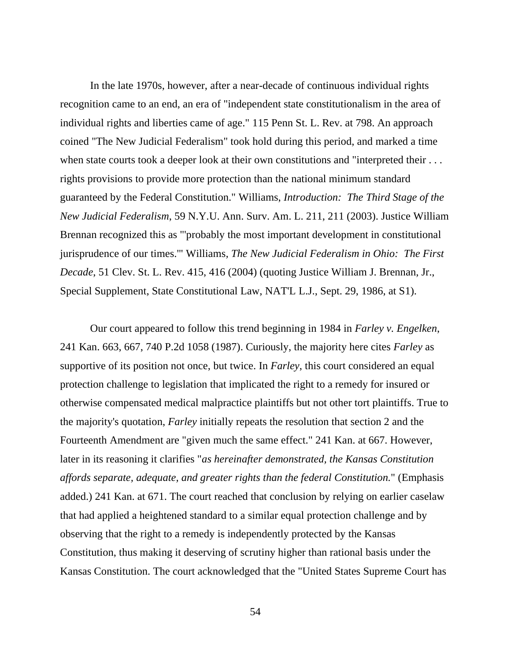In the late 1970s, however, after a near-decade of continuous individual rights recognition came to an end, an era of "independent state constitutionalism in the area of individual rights and liberties came of age." 115 Penn St. L. Rev. at 798. An approach coined "The New Judicial Federalism" took hold during this period, and marked a time when state courts took a deeper look at their own constitutions and "interpreted their ... rights provisions to provide more protection than the national minimum standard guaranteed by the Federal Constitution." Williams, *Introduction: The Third Stage of the New Judicial Federalism*, 59 N.Y.U. Ann. Surv. Am. L. 211, 211 (2003). Justice William Brennan recognized this as "'probably the most important development in constitutional jurisprudence of our times.'" Williams*, The New Judicial Federalism in Ohio: The First Decade*, 51 Clev. St. L. Rev. 415, 416 (2004) (quoting Justice William J. Brennan, Jr., Special Supplement, State Constitutional Law, NAT'L L.J., Sept. 29, 1986, at S1).

Our court appeared to follow this trend beginning in 1984 in *Farley v. Engelken*, 241 Kan. 663, 667, 740 P.2d 1058 (1987). Curiously, the majority here cites *Farley* as supportive of its position not once, but twice. In *Farley*, this court considered an equal protection challenge to legislation that implicated the right to a remedy for insured or otherwise compensated medical malpractice plaintiffs but not other tort plaintiffs. True to the majority's quotation, *Farley* initially repeats the resolution that section 2 and the Fourteenth Amendment are "given much the same effect." 241 Kan. at 667. However, later in its reasoning it clarifies "*as hereinafter demonstrated, the Kansas Constitution affords separate, adequate, and greater rights than the federal Constitution.*" (Emphasis added.) 241 Kan. at 671. The court reached that conclusion by relying on earlier caselaw that had applied a heightened standard to a similar equal protection challenge and by observing that the right to a remedy is independently protected by the Kansas Constitution, thus making it deserving of scrutiny higher than rational basis under the Kansas Constitution. The court acknowledged that the "United States Supreme Court has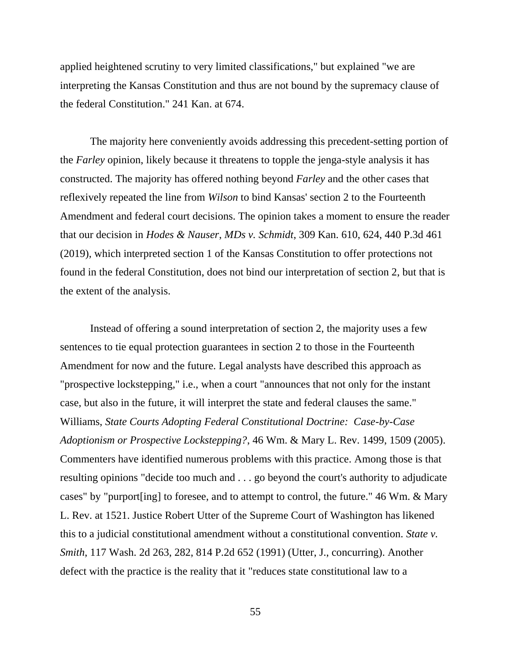applied heightened scrutiny to very limited classifications," but explained "we are interpreting the Kansas Constitution and thus are not bound by the supremacy clause of the federal Constitution." 241 Kan. at 674.

The majority here conveniently avoids addressing this precedent-setting portion of the *Farley* opinion, likely because it threatens to topple the jenga-style analysis it has constructed. The majority has offered nothing beyond *Farley* and the other cases that reflexively repeated the line from *Wilson* to bind Kansas' section 2 to the Fourteenth Amendment and federal court decisions. The opinion takes a moment to ensure the reader that our decision in *Hodes & Nauser*, *MDs v. Schmidt*, 309 Kan. 610, 624, 440 P.3d 461 (2019), which interpreted section 1 of the Kansas Constitution to offer protections not found in the federal Constitution, does not bind our interpretation of section 2, but that is the extent of the analysis.

Instead of offering a sound interpretation of section 2, the majority uses a few sentences to tie equal protection guarantees in section 2 to those in the Fourteenth Amendment for now and the future. Legal analysts have described this approach as "prospective lockstepping," i.e., when a court "announces that not only for the instant case, but also in the future, it will interpret the state and federal clauses the same." Williams, *State Courts Adopting Federal Constitutional Doctrine: Case-by-Case Adoptionism or Prospective Lockstepping?*, 46 Wm. & Mary L. Rev. 1499, 1509 (2005). Commenters have identified numerous problems with this practice. Among those is that resulting opinions "decide too much and . . . go beyond the court's authority to adjudicate cases" by "purport[ing] to foresee, and to attempt to control, the future." 46 Wm. & Mary L. Rev. at 1521. Justice Robert Utter of the Supreme Court of Washington has likened this to a judicial constitutional amendment without a constitutional convention. *State v. Smith*, 117 Wash. 2d 263, 282, 814 P.2d 652 (1991) (Utter, J., concurring). Another defect with the practice is the reality that it "reduces state constitutional law to a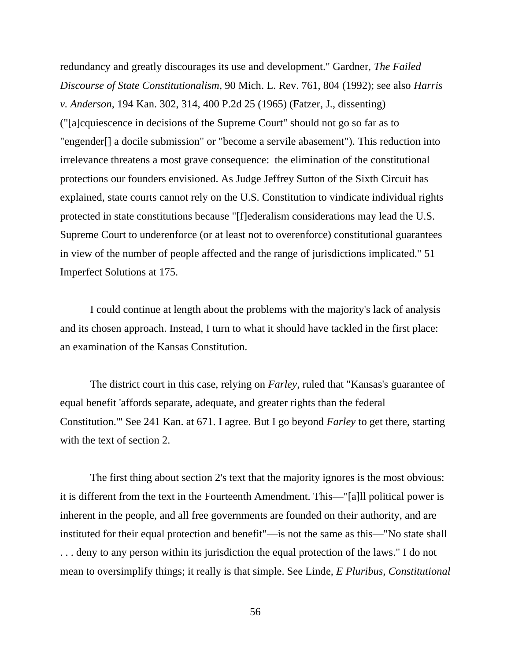redundancy and greatly discourages its use and development." Gardner, *The Failed Discourse of State Constitutionalism*, 90 Mich. L. Rev. 761, 804 (1992); see also *Harris v. Anderson*, 194 Kan. 302, 314, 400 P.2d 25 (1965) (Fatzer, J., dissenting) ("[a]cquiescence in decisions of the Supreme Court" should not go so far as to "engender[] a docile submission" or "become a servile abasement"). This reduction into irrelevance threatens a most grave consequence: the elimination of the constitutional protections our founders envisioned. As Judge Jeffrey Sutton of the Sixth Circuit has explained, state courts cannot rely on the U.S. Constitution to vindicate individual rights protected in state constitutions because "[f]ederalism considerations may lead the U.S. Supreme Court to underenforce (or at least not to overenforce) constitutional guarantees in view of the number of people affected and the range of jurisdictions implicated." 51 Imperfect Solutions at 175.

I could continue at length about the problems with the majority's lack of analysis and its chosen approach. Instead, I turn to what it should have tackled in the first place: an examination of the Kansas Constitution.

The district court in this case, relying on *Farley*, ruled that "Kansas's guarantee of equal benefit 'affords separate, adequate, and greater rights than the federal Constitution.'" See 241 Kan. at 671. I agree. But I go beyond *Farley* to get there, starting with the text of section 2.

The first thing about section 2's text that the majority ignores is the most obvious: it is different from the text in the Fourteenth Amendment. This—"[a]ll political power is inherent in the people, and all free governments are founded on their authority, and are instituted for their equal protection and benefit"—is not the same as this—"No state shall . . . deny to any person within its jurisdiction the equal protection of the laws." I do not mean to oversimplify things; it really is that simple. See Linde, *E Pluribus, Constitutional*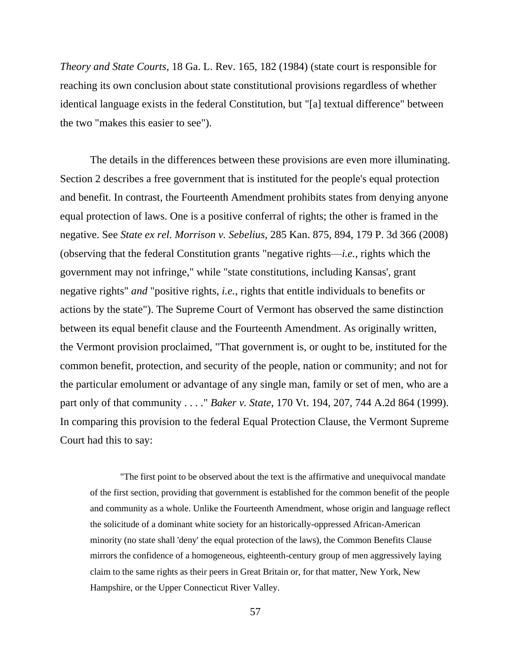*Theory and State Courts*, 18 Ga. L. Rev. 165, 182 (1984) (state court is responsible for reaching its own conclusion about state constitutional provisions regardless of whether identical language exists in the federal Constitution, but "[a] textual difference" between the two "makes this easier to see").

The details in the differences between these provisions are even more illuminating. Section 2 describes a free government that is instituted for the people's equal protection and benefit. In contrast, the Fourteenth Amendment prohibits states from denying anyone equal protection of laws. One is a positive conferral of rights; the other is framed in the negative. See *State ex rel. Morrison v. Sebelius*, 285 Kan. 875, 894, 179 P. 3d 366 (2008) (observing that the federal Constitution grants "negative rights—*i.e.*, rights which the government may not infringe," while "state constitutions, including Kansas', grant negative rights" *and* "positive rights, *i.e.*, rights that entitle individuals to benefits or actions by the state"). The Supreme Court of Vermont has observed the same distinction between its equal benefit clause and the Fourteenth Amendment. As originally written, the Vermont provision proclaimed, "That government is, or ought to be, instituted for the common benefit, protection, and security of the people, nation or community; and not for the particular emolument or advantage of any single man, family or set of men, who are a part only of that community . . . ." *Baker v. State*, 170 Vt. 194, 207, 744 A.2d 864 (1999). In comparing this provision to the federal Equal Protection Clause, the Vermont Supreme Court had this to say:

"The first point to be observed about the text is the affirmative and unequivocal mandate of the first section, providing that government is established for the common benefit of the people and community as a whole. Unlike the Fourteenth Amendment, whose origin and language reflect the solicitude of a dominant white society for an historically-oppressed African-American minority (no state shall 'deny' the equal protection of the laws), the Common Benefits Clause mirrors the confidence of a homogeneous, eighteenth-century group of men aggressively laying claim to the same rights as their peers in Great Britain or, for that matter, New York, New Hampshire, or the Upper Connecticut River Valley.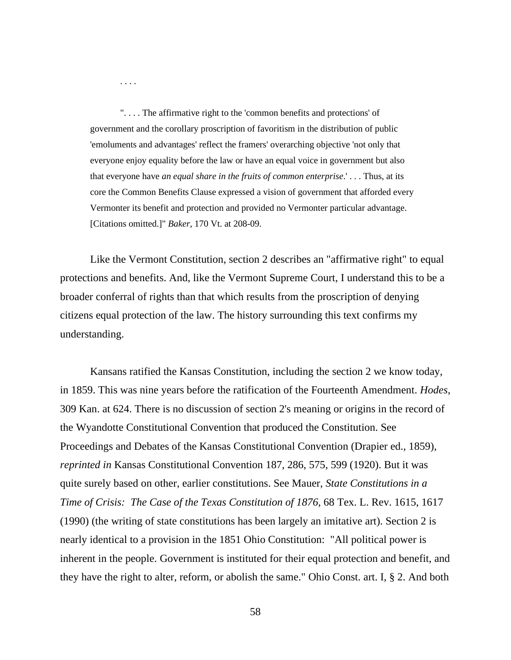". . . . The affirmative right to the 'common benefits and protections' of government and the corollary proscription of favoritism in the distribution of public 'emoluments and advantages' reflect the framers' overarching objective 'not only that everyone enjoy equality before the law or have an equal voice in government but also that everyone have *an equal share in the fruits of common enterprise*.' . . . Thus, at its core the Common Benefits Clause expressed a vision of government that afforded every Vermonter its benefit and protection and provided no Vermonter particular advantage. [Citations omitted.]" *Baker*, 170 Vt. at 208-09.

. . . .

Like the Vermont Constitution, section 2 describes an "affirmative right" to equal protections and benefits. And, like the Vermont Supreme Court, I understand this to be a broader conferral of rights than that which results from the proscription of denying citizens equal protection of the law. The history surrounding this text confirms my understanding.

Kansans ratified the Kansas Constitution, including the section 2 we know today, in 1859. This was nine years before the ratification of the Fourteenth Amendment. *Hodes*, 309 Kan. at 624. There is no discussion of section 2's meaning or origins in the record of the Wyandotte Constitutional Convention that produced the Constitution. See Proceedings and Debates of the Kansas Constitutional Convention (Drapier ed., 1859), *reprinted in* Kansas Constitutional Convention 187, 286, 575, 599 (1920). But it was quite surely based on other, earlier constitutions. See Mauer, *State Constitutions in a Time of Crisis: The Case of the Texas Constitution of 1876*, 68 Tex. L. Rev. 1615, 1617 (1990) (the writing of state constitutions has been largely an imitative art). Section 2 is nearly identical to a provision in the 1851 Ohio Constitution: "All political power is inherent in the people. Government is instituted for their equal protection and benefit, and they have the right to alter, reform, or abolish the same." Ohio Const. art. I, § 2. And both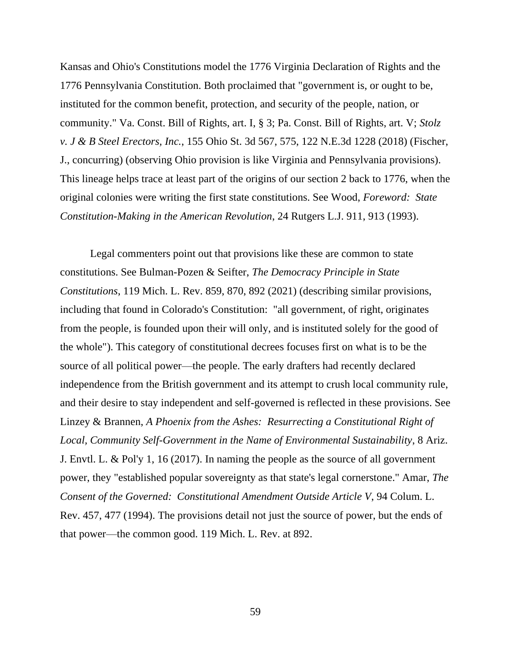Kansas and Ohio's Constitutions model the 1776 Virginia Declaration of Rights and the 1776 Pennsylvania Constitution. Both proclaimed that "government is, or ought to be, instituted for the common benefit, protection, and security of the people, nation, or community." Va. Const. Bill of Rights, art. I, § 3; Pa. Const. Bill of Rights, art. V; *Stolz v. J & B Steel Erectors, Inc.*, 155 Ohio St. 3d 567, 575, 122 N.E.3d 1228 (2018) (Fischer, J., concurring) (observing Ohio provision is like Virginia and Pennsylvania provisions). This lineage helps trace at least part of the origins of our section 2 back to 1776, when the original colonies were writing the first state constitutions. See Wood, *Foreword: State Constitution-Making in the American Revolution*, 24 Rutgers L.J. 911, 913 (1993).

Legal commenters point out that provisions like these are common to state constitutions. See Bulman-Pozen & Seifter, *The Democracy Principle in State Constitutions*, 119 Mich. L. Rev. 859, 870, 892 (2021) (describing similar provisions, including that found in Colorado's Constitution: "all government, of right, originates from the people, is founded upon their will only, and is instituted solely for the good of the whole"). This category of constitutional decrees focuses first on what is to be the source of all political power—the people. The early drafters had recently declared independence from the British government and its attempt to crush local community rule, and their desire to stay independent and self-governed is reflected in these provisions. See Linzey & Brannen, *A Phoenix from the Ashes: Resurrecting a Constitutional Right of Local, Community Self-Government in the Name of Environmental Sustainability*, 8 Ariz. J. Envtl. L. & Pol'y 1, 16 (2017). In naming the people as the source of all government power, they "established popular sovereignty as that state's legal cornerstone." Amar, *The Consent of the Governed: Constitutional Amendment Outside Article V*, 94 Colum. L. Rev. 457, 477 (1994). The provisions detail not just the source of power, but the ends of that power—the common good. 119 Mich. L. Rev. at 892.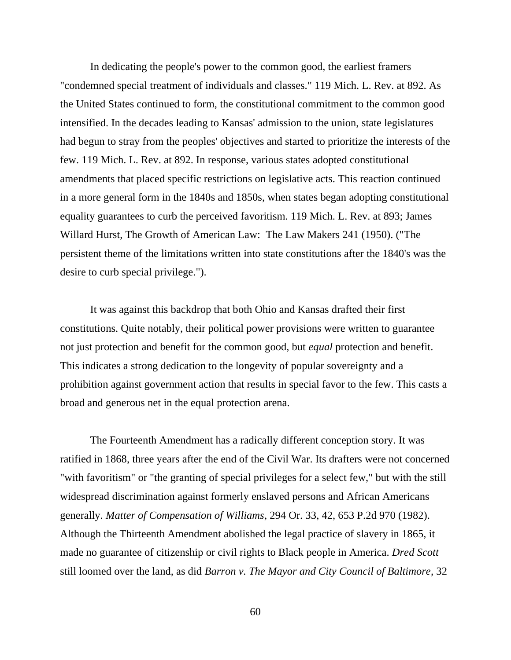In dedicating the people's power to the common good, the earliest framers "condemned special treatment of individuals and classes." 119 Mich. L. Rev. at 892. As the United States continued to form, the constitutional commitment to the common good intensified. In the decades leading to Kansas' admission to the union, state legislatures had begun to stray from the peoples' objectives and started to prioritize the interests of the few. 119 Mich. L. Rev. at 892. In response, various states adopted constitutional amendments that placed specific restrictions on legislative acts. This reaction continued in a more general form in the 1840s and 1850s, when states began adopting constitutional equality guarantees to curb the perceived favoritism. 119 Mich. L. Rev. at 893; James Willard Hurst, The Growth of American Law: The Law Makers 241 (1950). ("The persistent theme of the limitations written into state constitutions after the 1840's was the desire to curb special privilege.").

It was against this backdrop that both Ohio and Kansas drafted their first constitutions. Quite notably, their political power provisions were written to guarantee not just protection and benefit for the common good, but *equal* protection and benefit. This indicates a strong dedication to the longevity of popular sovereignty and a prohibition against government action that results in special favor to the few. This casts a broad and generous net in the equal protection arena.

The Fourteenth Amendment has a radically different conception story. It was ratified in 1868, three years after the end of the Civil War. Its drafters were not concerned "with favoritism" or "the granting of special privileges for a select few," but with the still widespread discrimination against formerly enslaved persons and African Americans generally. *Matter of Compensation of Williams*, 294 Or. 33, 42, 653 P.2d 970 (1982). Although the Thirteenth Amendment abolished the legal practice of slavery in 1865, it made no guarantee of citizenship or civil rights to Black people in America. *Dred Scott*  still loomed over the land, as did *Barron v. The Mayor and City Council of Baltimore*, 32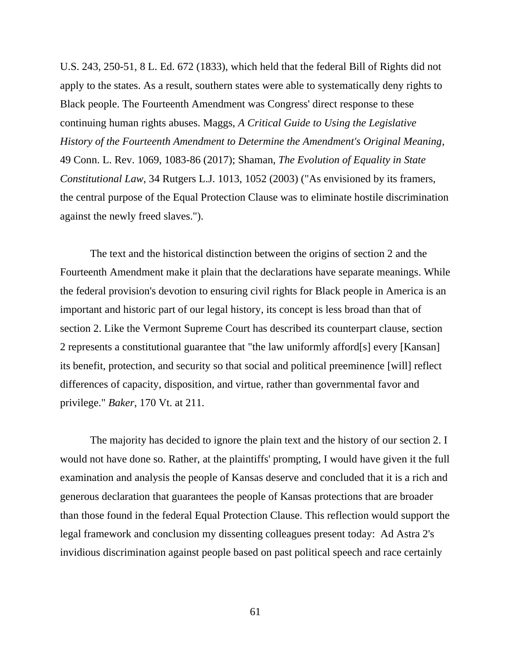U.S. 243, 250-51, 8 L. Ed. 672 (1833), which held that the federal Bill of Rights did not apply to the states. As a result, southern states were able to systematically deny rights to Black people. The Fourteenth Amendment was Congress' direct response to these continuing human rights abuses. Maggs, *A Critical Guide to Using the Legislative History of the Fourteenth Amendment to Determine the Amendment's Original Meaning*, 49 Conn. L. Rev. 1069, 1083-86 (2017); Shaman, *The Evolution of Equality in State Constitutional Law*, 34 Rutgers L.J. 1013, 1052 (2003) ("As envisioned by its framers, the central purpose of the Equal Protection Clause was to eliminate hostile discrimination against the newly freed slaves.").

The text and the historical distinction between the origins of section 2 and the Fourteenth Amendment make it plain that the declarations have separate meanings. While the federal provision's devotion to ensuring civil rights for Black people in America is an important and historic part of our legal history, its concept is less broad than that of section 2. Like the Vermont Supreme Court has described its counterpart clause, section 2 represents a constitutional guarantee that "the law uniformly afford[s] every [Kansan] its benefit, protection, and security so that social and political preeminence [will] reflect differences of capacity, disposition, and virtue, rather than governmental favor and privilege." *Baker*, 170 Vt. at 211.

The majority has decided to ignore the plain text and the history of our section 2. I would not have done so. Rather, at the plaintiffs' prompting, I would have given it the full examination and analysis the people of Kansas deserve and concluded that it is a rich and generous declaration that guarantees the people of Kansas protections that are broader than those found in the federal Equal Protection Clause. This reflection would support the legal framework and conclusion my dissenting colleagues present today: Ad Astra 2's invidious discrimination against people based on past political speech and race certainly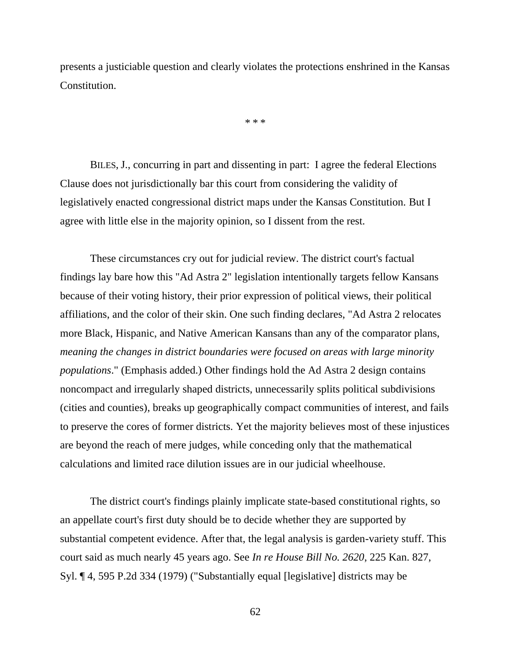presents a justiciable question and clearly violates the protections enshrined in the Kansas Constitution.

\* \* \*

BILES, J., concurring in part and dissenting in part: I agree the federal Elections Clause does not jurisdictionally bar this court from considering the validity of legislatively enacted congressional district maps under the Kansas Constitution. But I agree with little else in the majority opinion, so I dissent from the rest.

These circumstances cry out for judicial review. The district court's factual findings lay bare how this "Ad Astra 2" legislation intentionally targets fellow Kansans because of their voting history, their prior expression of political views, their political affiliations, and the color of their skin. One such finding declares, "Ad Astra 2 relocates more Black, Hispanic, and Native American Kansans than any of the comparator plans, *meaning the changes in district boundaries were focused on areas with large minority populations*." (Emphasis added.) Other findings hold the Ad Astra 2 design contains noncompact and irregularly shaped districts, unnecessarily splits political subdivisions (cities and counties), breaks up geographically compact communities of interest, and fails to preserve the cores of former districts. Yet the majority believes most of these injustices are beyond the reach of mere judges, while conceding only that the mathematical calculations and limited race dilution issues are in our judicial wheelhouse.

The district court's findings plainly implicate state-based constitutional rights, so an appellate court's first duty should be to decide whether they are supported by substantial competent evidence. After that, the legal analysis is garden-variety stuff. This court said as much nearly 45 years ago. See *In re House Bill No. 2620*, 225 Kan. 827, Syl. ¶ 4, 595 P.2d 334 (1979) ("Substantially equal [legislative] districts may be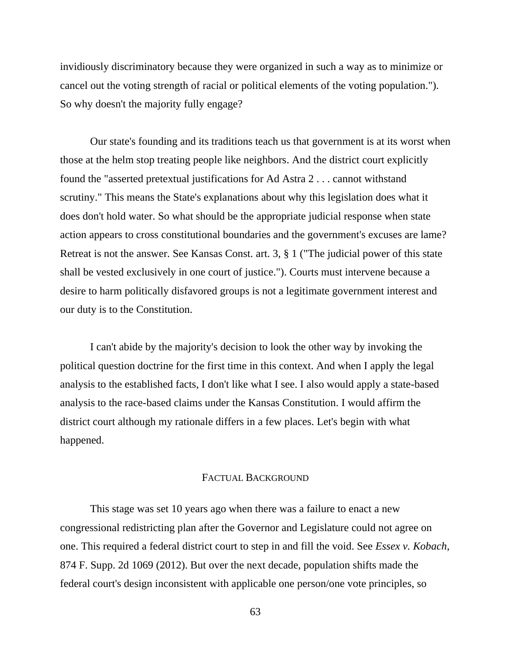invidiously discriminatory because they were organized in such a way as to minimize or cancel out the voting strength of racial or political elements of the voting population."). So why doesn't the majority fully engage?

Our state's founding and its traditions teach us that government is at its worst when those at the helm stop treating people like neighbors. And the district court explicitly found the "asserted pretextual justifications for Ad Astra 2 . . . cannot withstand scrutiny." This means the State's explanations about why this legislation does what it does don't hold water. So what should be the appropriate judicial response when state action appears to cross constitutional boundaries and the government's excuses are lame? Retreat is not the answer. See Kansas Const. art. 3, § 1 ("The judicial power of this state shall be vested exclusively in one court of justice."). Courts must intervene because a desire to harm politically disfavored groups is not a legitimate government interest and our duty is to the Constitution.

I can't abide by the majority's decision to look the other way by invoking the political question doctrine for the first time in this context. And when I apply the legal analysis to the established facts, I don't like what I see. I also would apply a state-based analysis to the race-based claims under the Kansas Constitution. I would affirm the district court although my rationale differs in a few places. Let's begin with what happened.

## FACTUAL BACKGROUND

This stage was set 10 years ago when there was a failure to enact a new congressional redistricting plan after the Governor and Legislature could not agree on one. This required a federal district court to step in and fill the void. See *Essex v. Kobach*, 874 F. Supp. 2d 1069 (2012). But over the next decade, population shifts made the federal court's design inconsistent with applicable one person/one vote principles, so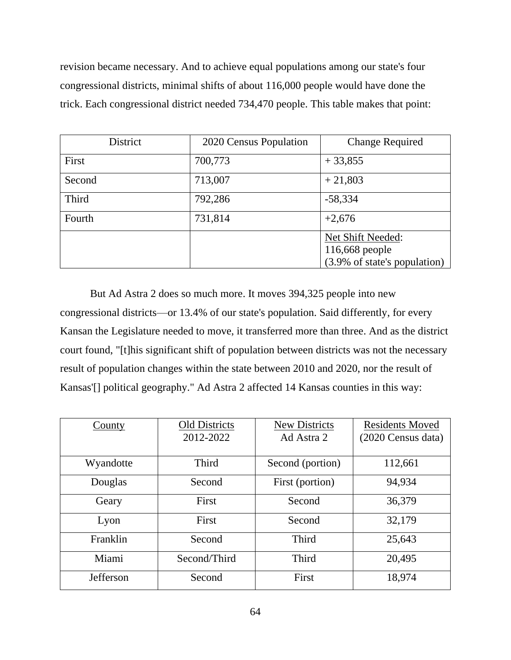revision became necessary. And to achieve equal populations among our state's four congressional districts, minimal shifts of about 116,000 people would have done the trick. Each congressional district needed 734,470 people. This table makes that point:

| <b>District</b> | 2020 Census Population | <b>Change Required</b>       |
|-----------------|------------------------|------------------------------|
| First           | 700,773                | $+33,855$                    |
| Second          | 713,007                | $+21,803$                    |
| Third           | 792,286                | $-58,334$                    |
| Fourth          | 731,814                | $+2,676$                     |
|                 |                        | Net Shift Needed:            |
|                 |                        | 116,668 people               |
|                 |                        | (3.9% of state's population) |

But Ad Astra 2 does so much more. It moves 394,325 people into new congressional districts—or 13.4% of our state's population. Said differently, for every Kansan the Legislature needed to move, it transferred more than three. And as the district court found, "[t]his significant shift of population between districts was not the necessary result of population changes within the state between 2010 and 2020, nor the result of Kansas'[] political geography." Ad Astra 2 affected 14 Kansas counties in this way:

| County    | <b>Old Districts</b> | <b>New Districts</b> | <b>Residents Moved</b> |
|-----------|----------------------|----------------------|------------------------|
|           | 2012-2022            | Ad Astra 2           | (2020 Census data)     |
|           |                      |                      |                        |
| Wyandotte | <b>Third</b>         | Second (portion)     | 112,661                |
| Douglas   | Second               | First (portion)      | 94,934                 |
| Geary     | First                | Second               | 36,379                 |
| Lyon      | First                | Second               | 32,179                 |
| Franklin  | Second               | Third                | 25,643                 |
| Miami     | Second/Third         | Third                | 20,495                 |
| Jefferson | Second               | First                | 18,974                 |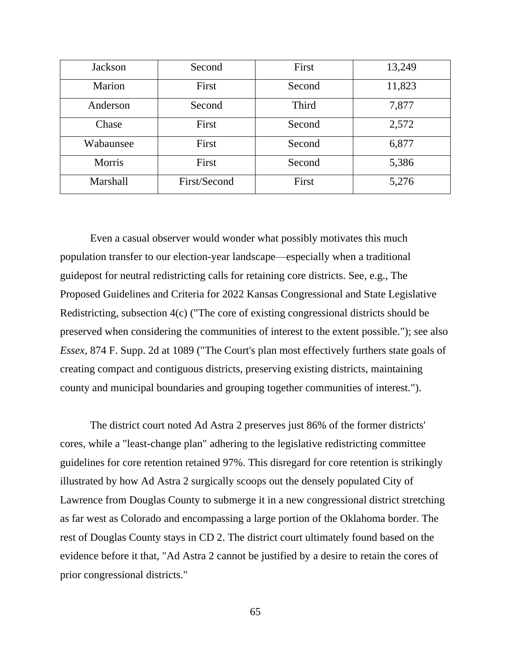| Jackson   | Second       | First  | 13,249 |
|-----------|--------------|--------|--------|
| Marion    | First        | Second | 11,823 |
| Anderson  | Second       | Third  | 7,877  |
| Chase     | First        | Second | 2,572  |
| Wabaunsee | First        | Second | 6,877  |
| Morris    | First        | Second | 5,386  |
| Marshall  | First/Second | First  | 5,276  |

Even a casual observer would wonder what possibly motivates this much population transfer to our election-year landscape—especially when a traditional guidepost for neutral redistricting calls for retaining core districts. See, e.g., The Proposed Guidelines and Criteria for 2022 Kansas Congressional and State Legislative Redistricting, subsection 4(c) ("The core of existing congressional districts should be preserved when considering the communities of interest to the extent possible."); see also *Essex*, 874 F. Supp. 2d at 1089 ("The Court's plan most effectively furthers state goals of creating compact and contiguous districts, preserving existing districts, maintaining county and municipal boundaries and grouping together communities of interest.").

The district court noted Ad Astra 2 preserves just 86% of the former districts' cores, while a "least-change plan" adhering to the legislative redistricting committee guidelines for core retention retained 97%. This disregard for core retention is strikingly illustrated by how Ad Astra 2 surgically scoops out the densely populated City of Lawrence from Douglas County to submerge it in a new congressional district stretching as far west as Colorado and encompassing a large portion of the Oklahoma border. The rest of Douglas County stays in CD 2. The district court ultimately found based on the evidence before it that, "Ad Astra 2 cannot be justified by a desire to retain the cores of prior congressional districts."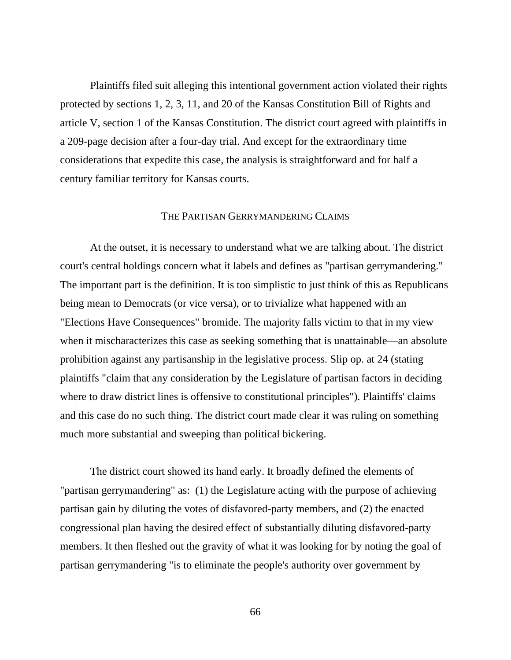Plaintiffs filed suit alleging this intentional government action violated their rights protected by sections 1, 2, 3, 11, and 20 of the Kansas Constitution Bill of Rights and article V, section 1 of the Kansas Constitution. The district court agreed with plaintiffs in a 209-page decision after a four-day trial. And except for the extraordinary time considerations that expedite this case, the analysis is straightforward and for half a century familiar territory for Kansas courts.

## THE PARTISAN GERRYMANDERING CLAIMS

At the outset, it is necessary to understand what we are talking about. The district court's central holdings concern what it labels and defines as "partisan gerrymandering." The important part is the definition. It is too simplistic to just think of this as Republicans being mean to Democrats (or vice versa), or to trivialize what happened with an "Elections Have Consequences" bromide. The majority falls victim to that in my view when it mischaracterizes this case as seeking something that is unattainable—an absolute prohibition against any partisanship in the legislative process. Slip op. at 24 (stating plaintiffs "claim that any consideration by the Legislature of partisan factors in deciding where to draw district lines is offensive to constitutional principles"). Plaintiffs' claims and this case do no such thing. The district court made clear it was ruling on something much more substantial and sweeping than political bickering.

The district court showed its hand early. It broadly defined the elements of "partisan gerrymandering" as: (1) the Legislature acting with the purpose of achieving partisan gain by diluting the votes of disfavored-party members, and (2) the enacted congressional plan having the desired effect of substantially diluting disfavored-party members. It then fleshed out the gravity of what it was looking for by noting the goal of partisan gerrymandering "is to eliminate the people's authority over government by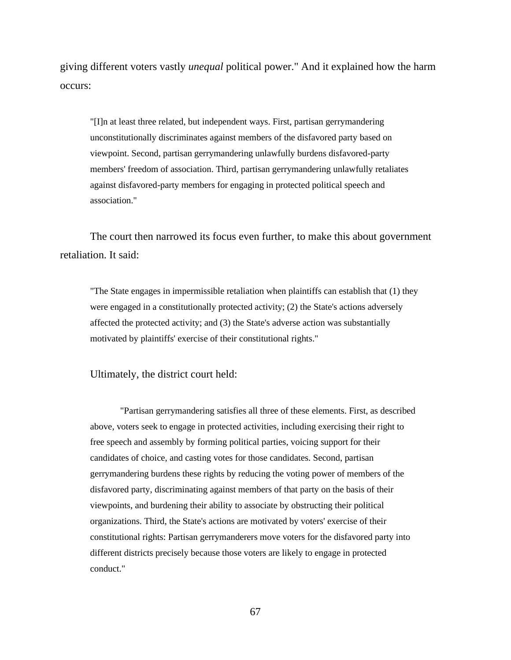giving different voters vastly *unequal* political power." And it explained how the harm occurs:

"[I]n at least three related, but independent ways. First, partisan gerrymandering unconstitutionally discriminates against members of the disfavored party based on viewpoint. Second, partisan gerrymandering unlawfully burdens disfavored-party members' freedom of association. Third, partisan gerrymandering unlawfully retaliates against disfavored-party members for engaging in protected political speech and association."

The court then narrowed its focus even further, to make this about government retaliation. It said:

"The State engages in impermissible retaliation when plaintiffs can establish that (1) they were engaged in a constitutionally protected activity; (2) the State's actions adversely affected the protected activity; and (3) the State's adverse action was substantially motivated by plaintiffs' exercise of their constitutional rights."

Ultimately, the district court held:

"Partisan gerrymandering satisfies all three of these elements. First, as described above, voters seek to engage in protected activities, including exercising their right to free speech and assembly by forming political parties, voicing support for their candidates of choice, and casting votes for those candidates. Second, partisan gerrymandering burdens these rights by reducing the voting power of members of the disfavored party, discriminating against members of that party on the basis of their viewpoints, and burdening their ability to associate by obstructing their political organizations. Third, the State's actions are motivated by voters' exercise of their constitutional rights: Partisan gerrymanderers move voters for the disfavored party into different districts precisely because those voters are likely to engage in protected conduct."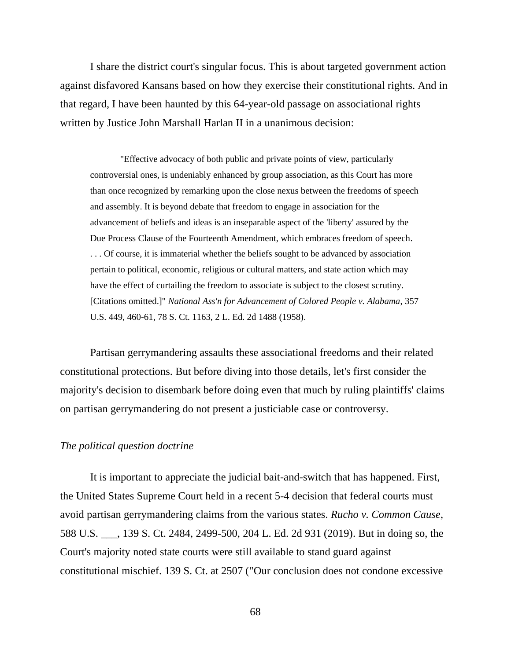I share the district court's singular focus. This is about targeted government action against disfavored Kansans based on how they exercise their constitutional rights. And in that regard, I have been haunted by this 64-year-old passage on associational rights written by Justice John Marshall Harlan II in a unanimous decision:

"Effective advocacy of both public and private points of view, particularly controversial ones, is undeniably enhanced by group association, as this Court has more than once recognized by remarking upon the close nexus between the freedoms of speech and assembly. It is beyond debate that freedom to engage in association for the advancement of beliefs and ideas is an inseparable aspect of the 'liberty' assured by the Due Process Clause of the Fourteenth Amendment, which embraces freedom of speech. . . . Of course, it is immaterial whether the beliefs sought to be advanced by association pertain to political, economic, religious or cultural matters, and state action which may have the effect of curtailing the freedom to associate is subject to the closest scrutiny. [Citations omitted.]" *National Ass'n for Advancement of Colored People v. Alabama*, 357 U.S. 449, 460-61, 78 S. Ct. 1163, 2 L. Ed. 2d 1488 (1958).

Partisan gerrymandering assaults these associational freedoms and their related constitutional protections. But before diving into those details, let's first consider the majority's decision to disembark before doing even that much by ruling plaintiffs' claims on partisan gerrymandering do not present a justiciable case or controversy.

## *The political question doctrine*

It is important to appreciate the judicial bait-and-switch that has happened. First, the United States Supreme Court held in a recent 5-4 decision that federal courts must avoid partisan gerrymandering claims from the various states. *Rucho v. Common Cause*, 588 U.S. \_\_\_, 139 S. Ct. 2484, 2499-500, 204 L. Ed. 2d 931 (2019). But in doing so, the Court's majority noted state courts were still available to stand guard against constitutional mischief. 139 S. Ct. at 2507 ("Our conclusion does not condone excessive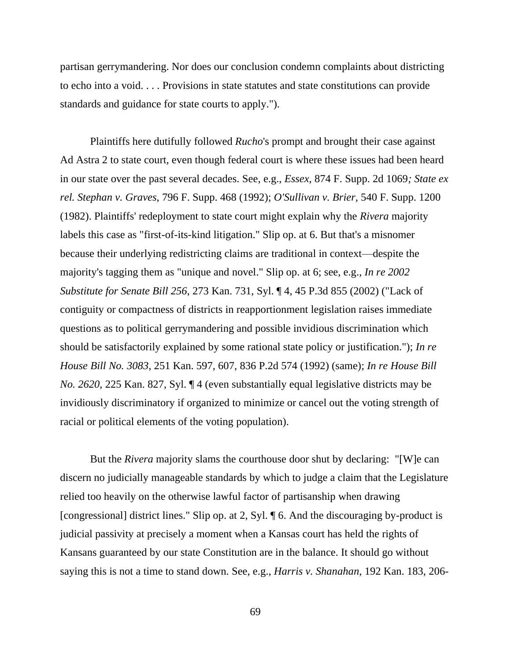partisan gerrymandering. Nor does our conclusion condemn complaints about districting to echo into a void. . . . Provisions in state statutes and state constitutions can provide standards and guidance for state courts to apply.").

Plaintiffs here dutifully followed *Rucho*'s prompt and brought their case against Ad Astra 2 to state court, even though federal court is where these issues had been heard in our state over the past several decades. See, e.g., *Essex*, 874 F. Supp. 2d 1069*; State ex rel. Stephan v. Graves*, 796 F. Supp. 468 (1992); *O'Sullivan v. Brier,* 540 F. Supp. 1200 (1982). Plaintiffs' redeployment to state court might explain why the *Rivera* majority labels this case as "first-of-its-kind litigation." Slip op. at 6. But that's a misnomer because their underlying redistricting claims are traditional in context—despite the majority's tagging them as "unique and novel." Slip op. at 6; see, e.g., *In re 2002 Substitute for Senate Bill 256*, 273 Kan. 731, Syl. ¶ 4, 45 P.3d 855 (2002) ("Lack of contiguity or compactness of districts in reapportionment legislation raises immediate questions as to political gerrymandering and possible invidious discrimination which should be satisfactorily explained by some rational state policy or justification."); *In re House Bill No. 3083*, 251 Kan. 597, 607, 836 P.2d 574 (1992) (same); *In re House Bill No. 2620*, 225 Kan. 827, Syl. ¶ 4 (even substantially equal legislative districts may be invidiously discriminatory if organized to minimize or cancel out the voting strength of racial or political elements of the voting population).

But the *Rivera* majority slams the courthouse door shut by declaring: "[W]e can discern no judicially manageable standards by which to judge a claim that the Legislature relied too heavily on the otherwise lawful factor of partisanship when drawing [congressional] district lines." Slip op. at 2, Syl. ¶ 6. And the discouraging by-product is judicial passivity at precisely a moment when a Kansas court has held the rights of Kansans guaranteed by our state Constitution are in the balance. It should go without saying this is not a time to stand down. See, e.g., *Harris v. Shanahan*, 192 Kan. 183, 206-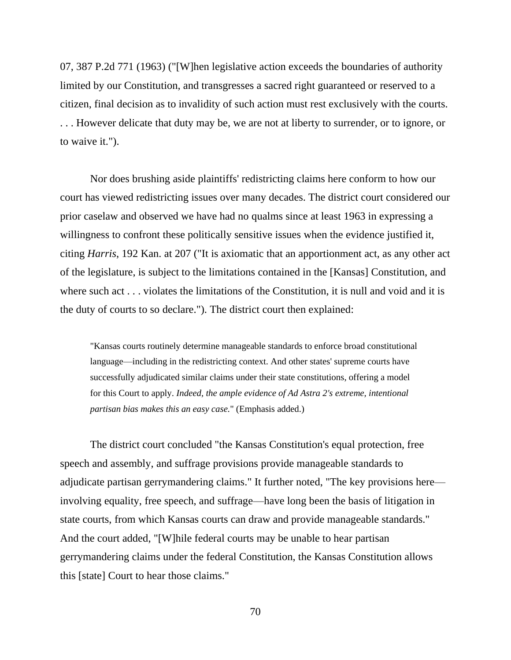07, 387 P.2d 771 (1963) ("[W]hen legislative action exceeds the boundaries of authority limited by our Constitution, and transgresses a sacred right guaranteed or reserved to a citizen, final decision as to invalidity of such action must rest exclusively with the courts. . . . However delicate that duty may be, we are not at liberty to surrender, or to ignore, or to waive it.").

Nor does brushing aside plaintiffs' redistricting claims here conform to how our court has viewed redistricting issues over many decades. The district court considered our prior caselaw and observed we have had no qualms since at least 1963 in expressing a willingness to confront these politically sensitive issues when the evidence justified it, citing *Harris*, 192 Kan. at 207 ("It is axiomatic that an apportionment act, as any other act of the legislature, is subject to the limitations contained in the [Kansas] Constitution, and where such act . . . violates the limitations of the Constitution, it is null and void and it is the duty of courts to so declare."). The district court then explained:

"Kansas courts routinely determine manageable standards to enforce broad constitutional language—including in the redistricting context. And other states' supreme courts have successfully adjudicated similar claims under their state constitutions, offering a model for this Court to apply. *Indeed, the ample evidence of Ad Astra 2's extreme, intentional partisan bias makes this an easy case.*" (Emphasis added.)

The district court concluded "the Kansas Constitution's equal protection, free speech and assembly, and suffrage provisions provide manageable standards to adjudicate partisan gerrymandering claims." It further noted, "The key provisions here involving equality, free speech, and suffrage—have long been the basis of litigation in state courts, from which Kansas courts can draw and provide manageable standards." And the court added, "[W]hile federal courts may be unable to hear partisan gerrymandering claims under the federal Constitution, the Kansas Constitution allows this [state] Court to hear those claims."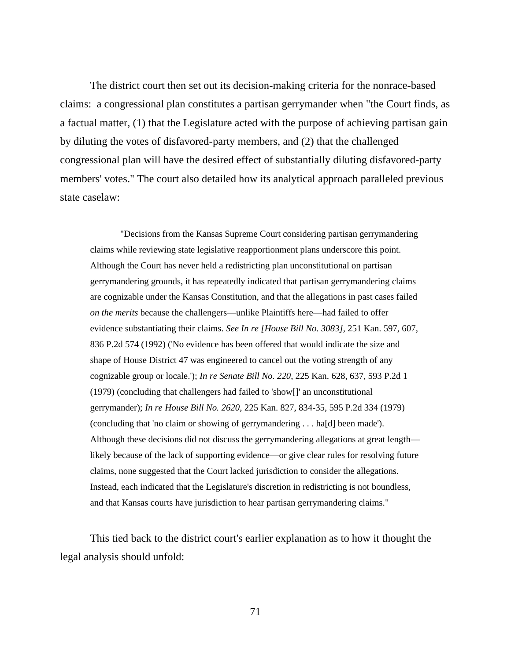The district court then set out its decision-making criteria for the nonrace-based claims: a congressional plan constitutes a partisan gerrymander when "the Court finds, as a factual matter, (1) that the Legislature acted with the purpose of achieving partisan gain by diluting the votes of disfavored-party members, and (2) that the challenged congressional plan will have the desired effect of substantially diluting disfavored-party members' votes." The court also detailed how its analytical approach paralleled previous state caselaw:

"Decisions from the Kansas Supreme Court considering partisan gerrymandering claims while reviewing state legislative reapportionment plans underscore this point. Although the Court has never held a redistricting plan unconstitutional on partisan gerrymandering grounds, it has repeatedly indicated that partisan gerrymandering claims are cognizable under the Kansas Constitution, and that the allegations in past cases failed *on the merits* because the challengers—unlike Plaintiffs here—had failed to offer evidence substantiating their claims. *See In re [House Bill No. 3083]*, 251 Kan. 597, 607, 836 P.2d 574 (1992) ('No evidence has been offered that would indicate the size and shape of House District 47 was engineered to cancel out the voting strength of any cognizable group or locale.'); *In re Senate Bill No. 220*, 225 Kan. 628, 637, 593 P.2d 1 (1979) (concluding that challengers had failed to 'show[]' an unconstitutional gerrymander); *In re House Bill No. 2620*, 225 Kan. 827, 834-35, 595 P.2d 334 (1979) (concluding that 'no claim or showing of gerrymandering . . . ha[d] been made'). Although these decisions did not discuss the gerrymandering allegations at great length likely because of the lack of supporting evidence—or give clear rules for resolving future claims, none suggested that the Court lacked jurisdiction to consider the allegations. Instead, each indicated that the Legislature's discretion in redistricting is not boundless, and that Kansas courts have jurisdiction to hear partisan gerrymandering claims."

This tied back to the district court's earlier explanation as to how it thought the legal analysis should unfold: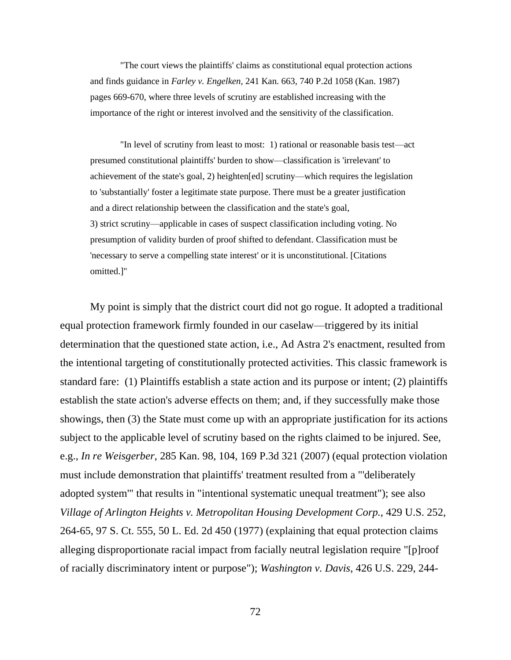"The court views the plaintiffs' claims as constitutional equal protection actions and finds guidance in *Farley v. Engelken,* 241 Kan. 663, 740 P.2d 1058 (Kan. 1987) pages 669-670, where three levels of scrutiny are established increasing with the importance of the right or interest involved and the sensitivity of the classification.

"In level of scrutiny from least to most: 1) rational or reasonable basis test—act presumed constitutional plaintiffs' burden to show—classification is 'irrelevant' to achievement of the state's goal, 2) heighten[ed] scrutiny—which requires the legislation to 'substantially' foster a legitimate state purpose. There must be a greater justification and a direct relationship between the classification and the state's goal, 3) strict scrutiny—applicable in cases of suspect classification including voting. No presumption of validity burden of proof shifted to defendant. Classification must be 'necessary to serve a compelling state interest' or it is unconstitutional. [Citations omitted.]"

My point is simply that the district court did not go rogue. It adopted a traditional equal protection framework firmly founded in our caselaw—triggered by its initial determination that the questioned state action, i.e., Ad Astra 2's enactment, resulted from the intentional targeting of constitutionally protected activities. This classic framework is standard fare: (1) Plaintiffs establish a state action and its purpose or intent; (2) plaintiffs establish the state action's adverse effects on them; and, if they successfully make those showings, then (3) the State must come up with an appropriate justification for its actions subject to the applicable level of scrutiny based on the rights claimed to be injured. See, e.g., *In re Weisgerber*, 285 Kan. 98, 104, 169 P.3d 321 (2007) (equal protection violation must include demonstration that plaintiffs' treatment resulted from a "'deliberately adopted system'" that results in "intentional systematic unequal treatment"); see also *Village of Arlington Heights v. Metropolitan Housing Development Corp.*, 429 U.S. 252, 264-65, 97 S. Ct. 555, 50 L. Ed. 2d 450 (1977) (explaining that equal protection claims alleging disproportionate racial impact from facially neutral legislation require "[p]roof of racially discriminatory intent or purpose"); *Washington v. Davis*, 426 U.S. 229, 244-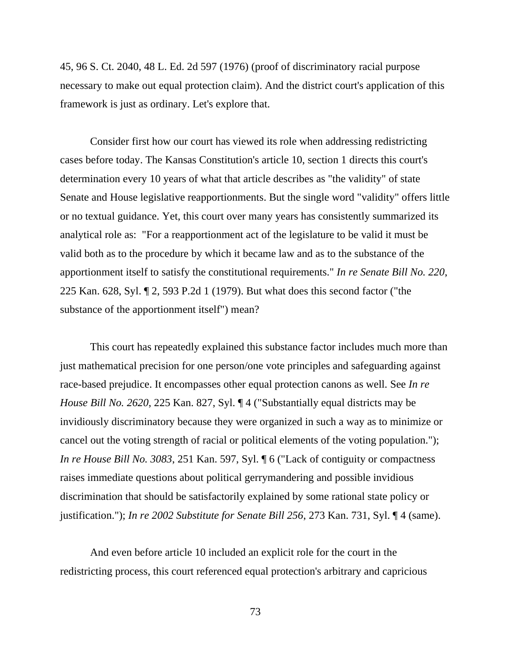45, 96 S. Ct. 2040, 48 L. Ed. 2d 597 (1976) (proof of discriminatory racial purpose necessary to make out equal protection claim). And the district court's application of this framework is just as ordinary. Let's explore that.

Consider first how our court has viewed its role when addressing redistricting cases before today. The Kansas Constitution's article 10, section 1 directs this court's determination every 10 years of what that article describes as "the validity" of state Senate and House legislative reapportionments. But the single word "validity" offers little or no textual guidance. Yet, this court over many years has consistently summarized its analytical role as: "For a reapportionment act of the legislature to be valid it must be valid both as to the procedure by which it became law and as to the substance of the apportionment itself to satisfy the constitutional requirements." *In re Senate Bill No. 220*, 225 Kan. 628, Syl. ¶ 2, 593 P.2d 1 (1979). But what does this second factor ("the substance of the apportionment itself") mean?

This court has repeatedly explained this substance factor includes much more than just mathematical precision for one person/one vote principles and safeguarding against race-based prejudice. It encompasses other equal protection canons as well. See *In re House Bill No. 2620*, 225 Kan. 827, Syl. ¶ 4 ("Substantially equal districts may be invidiously discriminatory because they were organized in such a way as to minimize or cancel out the voting strength of racial or political elements of the voting population."); *In re House Bill No. 3083*, 251 Kan. 597, Syl. ¶ 6 ("Lack of contiguity or compactness raises immediate questions about political gerrymandering and possible invidious discrimination that should be satisfactorily explained by some rational state policy or justification."); *In re 2002 Substitute for Senate Bill 256*, 273 Kan. 731, Syl. ¶ 4 (same).

And even before article 10 included an explicit role for the court in the redistricting process, this court referenced equal protection's arbitrary and capricious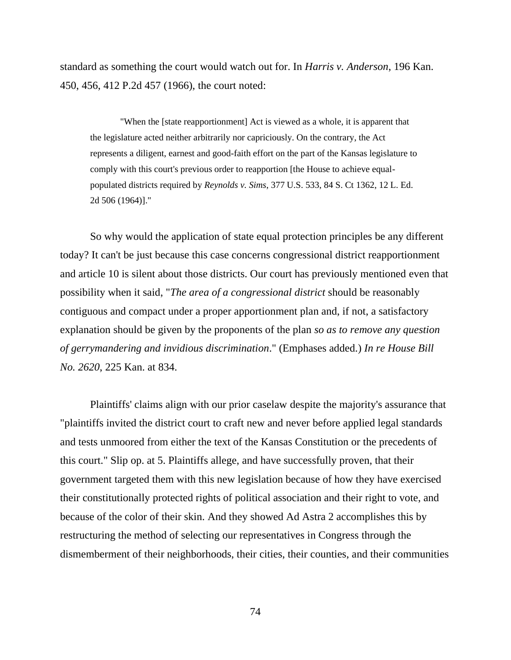standard as something the court would watch out for. In *Harris v. Anderson*, 196 Kan. 450, 456, 412 P.2d 457 (1966), the court noted:

"When the [state reapportionment] Act is viewed as a whole, it is apparent that the legislature acted neither arbitrarily nor capriciously. On the contrary, the Act represents a diligent, earnest and good-faith effort on the part of the Kansas legislature to comply with this court's previous order to reapportion [the House to achieve equalpopulated districts required by *Reynolds v. Sims*, 377 U.S. 533, 84 S. Ct 1362, 12 L. Ed. 2d 506 (1964)]."

So why would the application of state equal protection principles be any different today? It can't be just because this case concerns congressional district reapportionment and article 10 is silent about those districts. Our court has previously mentioned even that possibility when it said, "*The area of a congressional district* should be reasonably contiguous and compact under a proper apportionment plan and, if not, a satisfactory explanation should be given by the proponents of the plan *so as to remove any question of gerrymandering and invidious discrimination*." (Emphases added.) *In re House Bill No. 2620*, 225 Kan. at 834.

Plaintiffs' claims align with our prior caselaw despite the majority's assurance that "plaintiffs invited the district court to craft new and never before applied legal standards and tests unmoored from either the text of the Kansas Constitution or the precedents of this court." Slip op. at 5. Plaintiffs allege, and have successfully proven, that their government targeted them with this new legislation because of how they have exercised their constitutionally protected rights of political association and their right to vote, and because of the color of their skin. And they showed Ad Astra 2 accomplishes this by restructuring the method of selecting our representatives in Congress through the dismemberment of their neighborhoods, their cities, their counties, and their communities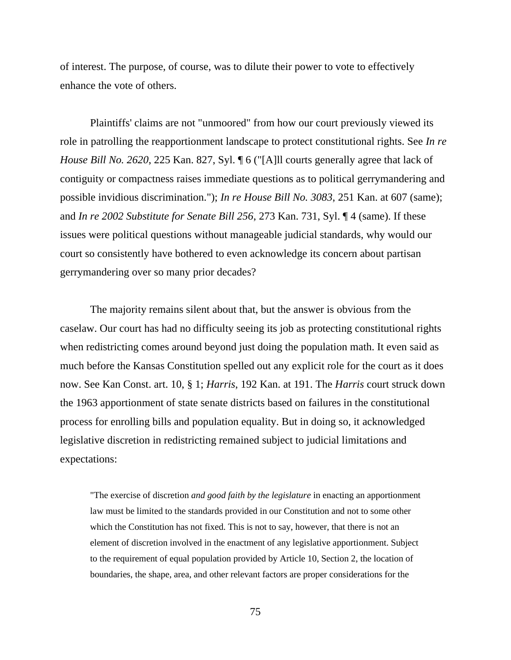of interest. The purpose, of course, was to dilute their power to vote to effectively enhance the vote of others.

Plaintiffs' claims are not "unmoored" from how our court previously viewed its role in patrolling the reapportionment landscape to protect constitutional rights. See *In re House Bill No. 2620, 225 Kan. 827, Syl.*  $\parallel$  6 ("[A]ll courts generally agree that lack of contiguity or compactness raises immediate questions as to political gerrymandering and possible invidious discrimination."); *In re House Bill No. 3083*, 251 Kan. at 607 (same); and *In re 2002 Substitute for Senate Bill 256*, 273 Kan. 731, Syl. ¶ 4 (same). If these issues were political questions without manageable judicial standards, why would our court so consistently have bothered to even acknowledge its concern about partisan gerrymandering over so many prior decades?

The majority remains silent about that, but the answer is obvious from the caselaw. Our court has had no difficulty seeing its job as protecting constitutional rights when redistricting comes around beyond just doing the population math. It even said as much before the Kansas Constitution spelled out any explicit role for the court as it does now. See Kan Const. art. 10, § 1; *Harris*, 192 Kan. at 191. The *Harris* court struck down the 1963 apportionment of state senate districts based on failures in the constitutional process for enrolling bills and population equality. But in doing so, it acknowledged legislative discretion in redistricting remained subject to judicial limitations and expectations:

"The exercise of discretion *and good faith by the legislature* in enacting an apportionment law must be limited to the standards provided in our Constitution and not to some other which the Constitution has not fixed. This is not to say, however, that there is not an element of discretion involved in the enactment of any legislative apportionment. Subject to the requirement of equal population provided by Article 10, Section 2, the location of boundaries, the shape, area, and other relevant factors are proper considerations for the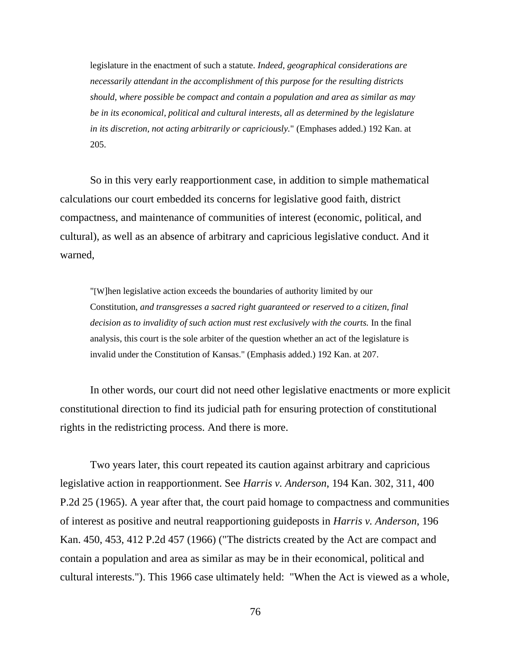legislature in the enactment of such a statute. *Indeed, geographical considerations are necessarily attendant in the accomplishment of this purpose for the resulting districts should, where possible be compact and contain a population and area as similar as may be in its economical, political and cultural interests, all as determined by the legislature in its discretion, not acting arbitrarily or capriciously.*" (Emphases added.) 192 Kan. at 205.

So in this very early reapportionment case, in addition to simple mathematical calculations our court embedded its concerns for legislative good faith, district compactness, and maintenance of communities of interest (economic, political, and cultural), as well as an absence of arbitrary and capricious legislative conduct. And it warned,

"[W]hen legislative action exceeds the boundaries of authority limited by our Constitution, *and transgresses a sacred right guaranteed or reserved to a citizen, final decision as to invalidity of such action must rest exclusively with the courts.* In the final analysis, this court is the sole arbiter of the question whether an act of the legislature is invalid under the Constitution of Kansas." (Emphasis added.) 192 Kan. at 207.

In other words, our court did not need other legislative enactments or more explicit constitutional direction to find its judicial path for ensuring protection of constitutional rights in the redistricting process. And there is more.

Two years later, this court repeated its caution against arbitrary and capricious legislative action in reapportionment. See *Harris v. Anderson*, 194 Kan. 302, 311, 400 P.2d 25 (1965). A year after that, the court paid homage to compactness and communities of interest as positive and neutral reapportioning guideposts in *Harris v. Anderson*, 196 Kan. 450, 453, 412 P.2d 457 (1966) ("The districts created by the Act are compact and contain a population and area as similar as may be in their economical, political and cultural interests."). This 1966 case ultimately held: "When the Act is viewed as a whole,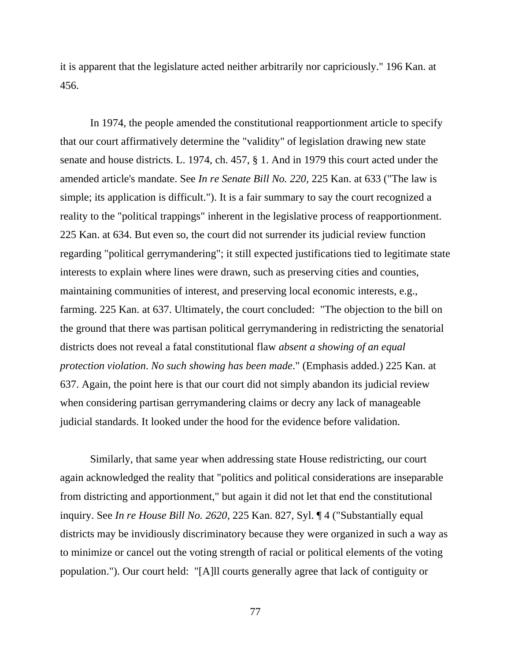it is apparent that the legislature acted neither arbitrarily nor capriciously." 196 Kan. at 456.

In 1974, the people amended the constitutional reapportionment article to specify that our court affirmatively determine the "validity" of legislation drawing new state senate and house districts. L. 1974, ch. 457, § 1. And in 1979 this court acted under the amended article's mandate. See *In re Senate Bill No. 220*, 225 Kan. at 633 ("The law is simple; its application is difficult."). It is a fair summary to say the court recognized a reality to the "political trappings" inherent in the legislative process of reapportionment. 225 Kan. at 634. But even so, the court did not surrender its judicial review function regarding "political gerrymandering"; it still expected justifications tied to legitimate state interests to explain where lines were drawn, such as preserving cities and counties, maintaining communities of interest, and preserving local economic interests, e.g., farming. 225 Kan. at 637. Ultimately, the court concluded: "The objection to the bill on the ground that there was partisan political gerrymandering in redistricting the senatorial districts does not reveal a fatal constitutional flaw *absent a showing of an equal protection violation*. *No such showing has been made*." (Emphasis added.) 225 Kan. at 637. Again, the point here is that our court did not simply abandon its judicial review when considering partisan gerrymandering claims or decry any lack of manageable judicial standards. It looked under the hood for the evidence before validation.

Similarly, that same year when addressing state House redistricting, our court again acknowledged the reality that "politics and political considerations are inseparable from districting and apportionment," but again it did not let that end the constitutional inquiry. See *In re House Bill No. 2620*, 225 Kan. 827, Syl. ¶ 4 ("Substantially equal districts may be invidiously discriminatory because they were organized in such a way as to minimize or cancel out the voting strength of racial or political elements of the voting population."). Our court held: "[A]ll courts generally agree that lack of contiguity or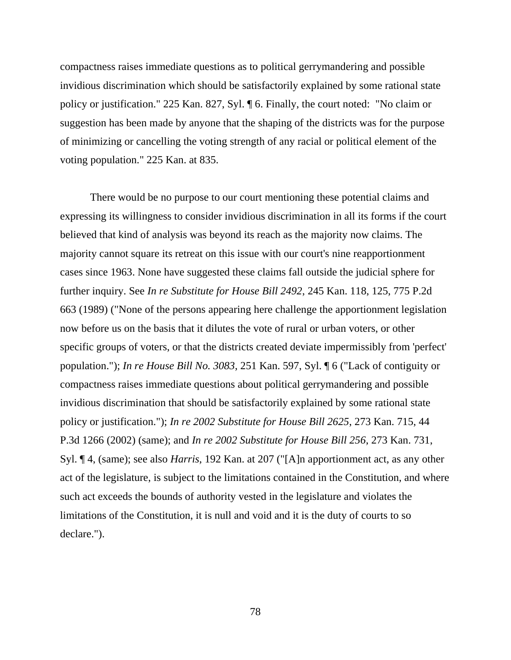compactness raises immediate questions as to political gerrymandering and possible invidious discrimination which should be satisfactorily explained by some rational state policy or justification." 225 Kan. 827, Syl. ¶ 6. Finally, the court noted: "No claim or suggestion has been made by anyone that the shaping of the districts was for the purpose of minimizing or cancelling the voting strength of any racial or political element of the voting population." 225 Kan. at 835.

There would be no purpose to our court mentioning these potential claims and expressing its willingness to consider invidious discrimination in all its forms if the court believed that kind of analysis was beyond its reach as the majority now claims. The majority cannot square its retreat on this issue with our court's nine reapportionment cases since 1963. None have suggested these claims fall outside the judicial sphere for further inquiry. See *In re Substitute for House Bill 2492*, 245 Kan. 118, 125, 775 P.2d 663 (1989) ("None of the persons appearing here challenge the apportionment legislation now before us on the basis that it dilutes the vote of rural or urban voters, or other specific groups of voters, or that the districts created deviate impermissibly from 'perfect' population."); *In re House Bill No. 3083*, 251 Kan. 597, Syl. ¶ 6 ("Lack of contiguity or compactness raises immediate questions about political gerrymandering and possible invidious discrimination that should be satisfactorily explained by some rational state policy or justification."); *In re 2002 Substitute for House Bill 2625*, 273 Kan. 715, 44 P.3d 1266 (2002) (same); and *In re 2002 Substitute for House Bill 256*, 273 Kan. 731, Syl. ¶ 4, (same); see also *Harris*, 192 Kan. at 207 ("[A]n apportionment act, as any other act of the legislature, is subject to the limitations contained in the Constitution, and where such act exceeds the bounds of authority vested in the legislature and violates the limitations of the Constitution, it is null and void and it is the duty of courts to so declare.").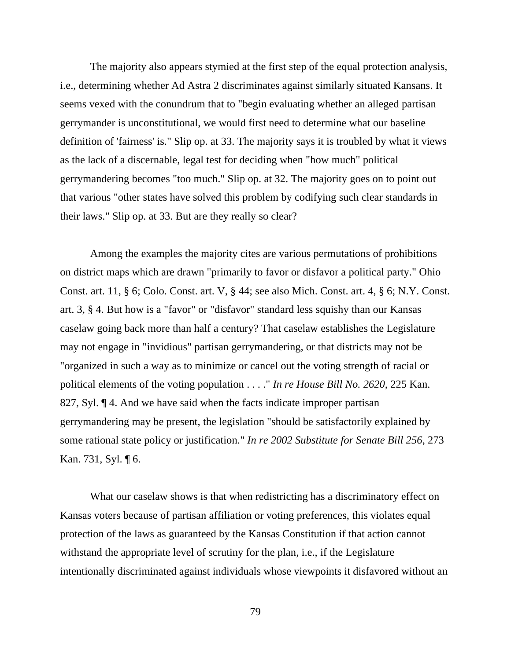The majority also appears stymied at the first step of the equal protection analysis, i.e., determining whether Ad Astra 2 discriminates against similarly situated Kansans. It seems vexed with the conundrum that to "begin evaluating whether an alleged partisan gerrymander is unconstitutional, we would first need to determine what our baseline definition of 'fairness' is." Slip op. at 33. The majority says it is troubled by what it views as the lack of a discernable, legal test for deciding when "how much" political gerrymandering becomes "too much." Slip op. at 32. The majority goes on to point out that various "other states have solved this problem by codifying such clear standards in their laws." Slip op. at 33. But are they really so clear?

Among the examples the majority cites are various permutations of prohibitions on district maps which are drawn "primarily to favor or disfavor a political party." Ohio Const. art. 11, § 6; Colo. Const. art. V, § 44; see also Mich. Const. art. 4, § 6; N.Y. Const. art. 3, § 4. But how is a "favor" or "disfavor" standard less squishy than our Kansas caselaw going back more than half a century? That caselaw establishes the Legislature may not engage in "invidious" partisan gerrymandering, or that districts may not be "organized in such a way as to minimize or cancel out the voting strength of racial or political elements of the voting population . . . ." *In re House Bill No. 2620*, 225 Kan. 827, Syl. ¶ 4. And we have said when the facts indicate improper partisan gerrymandering may be present, the legislation "should be satisfactorily explained by some rational state policy or justification." *In re 2002 Substitute for Senate Bill 256*, 273 Kan. 731, Syl. ¶ 6.

What our caselaw shows is that when redistricting has a discriminatory effect on Kansas voters because of partisan affiliation or voting preferences, this violates equal protection of the laws as guaranteed by the Kansas Constitution if that action cannot withstand the appropriate level of scrutiny for the plan, i.e., if the Legislature intentionally discriminated against individuals whose viewpoints it disfavored without an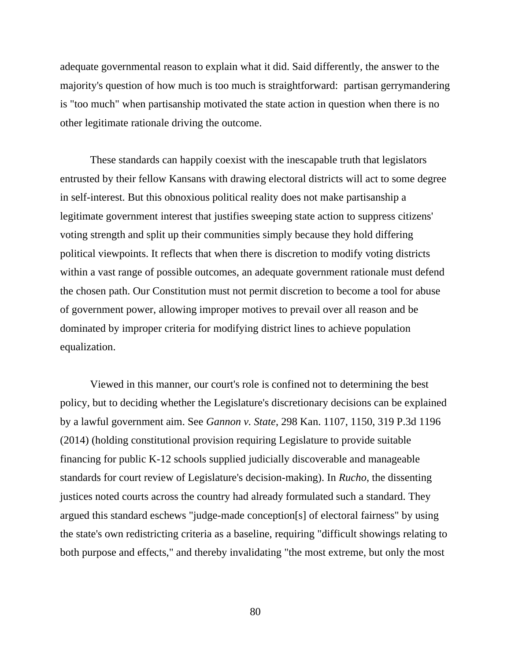adequate governmental reason to explain what it did. Said differently, the answer to the majority's question of how much is too much is straightforward: partisan gerrymandering is "too much" when partisanship motivated the state action in question when there is no other legitimate rationale driving the outcome.

These standards can happily coexist with the inescapable truth that legislators entrusted by their fellow Kansans with drawing electoral districts will act to some degree in self-interest. But this obnoxious political reality does not make partisanship a legitimate government interest that justifies sweeping state action to suppress citizens' voting strength and split up their communities simply because they hold differing political viewpoints. It reflects that when there is discretion to modify voting districts within a vast range of possible outcomes, an adequate government rationale must defend the chosen path. Our Constitution must not permit discretion to become a tool for abuse of government power, allowing improper motives to prevail over all reason and be dominated by improper criteria for modifying district lines to achieve population equalization.

Viewed in this manner, our court's role is confined not to determining the best policy, but to deciding whether the Legislature's discretionary decisions can be explained by a lawful government aim. See *Gannon v. State*, 298 Kan. 1107, 1150, 319 P.3d 1196 (2014) (holding constitutional provision requiring Legislature to provide suitable financing for public K-12 schools supplied judicially discoverable and manageable standards for court review of Legislature's decision-making). In *Rucho*, the dissenting justices noted courts across the country had already formulated such a standard. They argued this standard eschews "judge-made conception[s] of electoral fairness" by using the state's own redistricting criteria as a baseline, requiring "difficult showings relating to both purpose and effects," and thereby invalidating "the most extreme, but only the most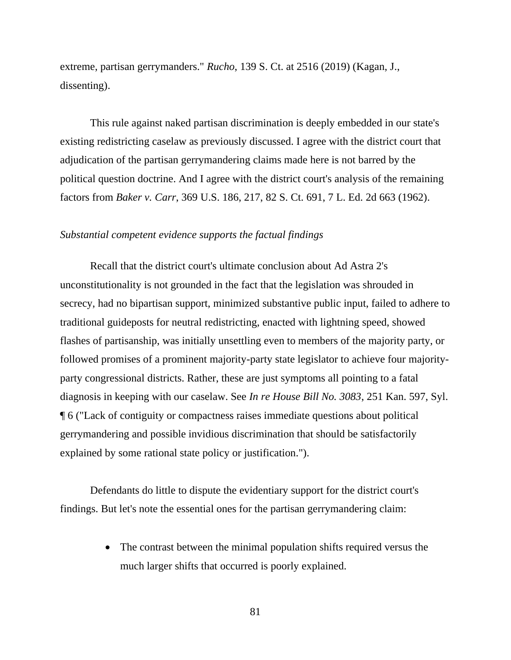extreme, partisan gerrymanders." *Rucho*, 139 S. Ct. at 2516 (2019) (Kagan, J., dissenting).

This rule against naked partisan discrimination is deeply embedded in our state's existing redistricting caselaw as previously discussed. I agree with the district court that adjudication of the partisan gerrymandering claims made here is not barred by the political question doctrine. And I agree with the district court's analysis of the remaining factors from *Baker v. Carr*, 369 U.S. 186, 217, 82 S. Ct. 691, 7 L. Ed. 2d 663 (1962).

## *Substantial competent evidence supports the factual findings*

Recall that the district court's ultimate conclusion about Ad Astra 2's unconstitutionality is not grounded in the fact that the legislation was shrouded in secrecy, had no bipartisan support, minimized substantive public input, failed to adhere to traditional guideposts for neutral redistricting, enacted with lightning speed, showed flashes of partisanship, was initially unsettling even to members of the majority party, or followed promises of a prominent majority-party state legislator to achieve four majorityparty congressional districts. Rather, these are just symptoms all pointing to a fatal diagnosis in keeping with our caselaw. See *In re House Bill No. 3083*, 251 Kan. 597, Syl. ¶ 6 ("Lack of contiguity or compactness raises immediate questions about political gerrymandering and possible invidious discrimination that should be satisfactorily explained by some rational state policy or justification.").

Defendants do little to dispute the evidentiary support for the district court's findings. But let's note the essential ones for the partisan gerrymandering claim:

> • The contrast between the minimal population shifts required versus the much larger shifts that occurred is poorly explained.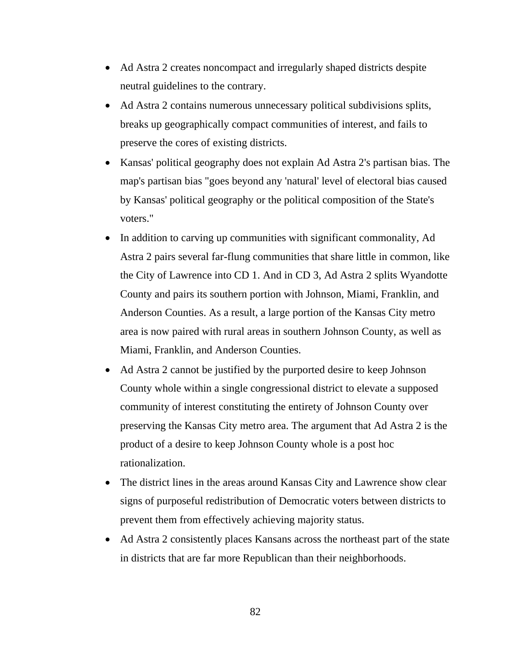- Ad Astra 2 creates noncompact and irregularly shaped districts despite neutral guidelines to the contrary.
- Ad Astra 2 contains numerous unnecessary political subdivisions splits, breaks up geographically compact communities of interest, and fails to preserve the cores of existing districts.
- Kansas' political geography does not explain Ad Astra 2's partisan bias. The map's partisan bias "goes beyond any 'natural' level of electoral bias caused by Kansas' political geography or the political composition of the State's voters."
- In addition to carving up communities with significant commonality, Ad Astra 2 pairs several far-flung communities that share little in common, like the City of Lawrence into CD 1. And in CD 3, Ad Astra 2 splits Wyandotte County and pairs its southern portion with Johnson, Miami, Franklin, and Anderson Counties. As a result, a large portion of the Kansas City metro area is now paired with rural areas in southern Johnson County, as well as Miami, Franklin, and Anderson Counties.
- Ad Astra 2 cannot be justified by the purported desire to keep Johnson County whole within a single congressional district to elevate a supposed community of interest constituting the entirety of Johnson County over preserving the Kansas City metro area. The argument that Ad Astra 2 is the product of a desire to keep Johnson County whole is a post hoc rationalization.
- The district lines in the areas around Kansas City and Lawrence show clear signs of purposeful redistribution of Democratic voters between districts to prevent them from effectively achieving majority status.
- Ad Astra 2 consistently places Kansans across the northeast part of the state in districts that are far more Republican than their neighborhoods.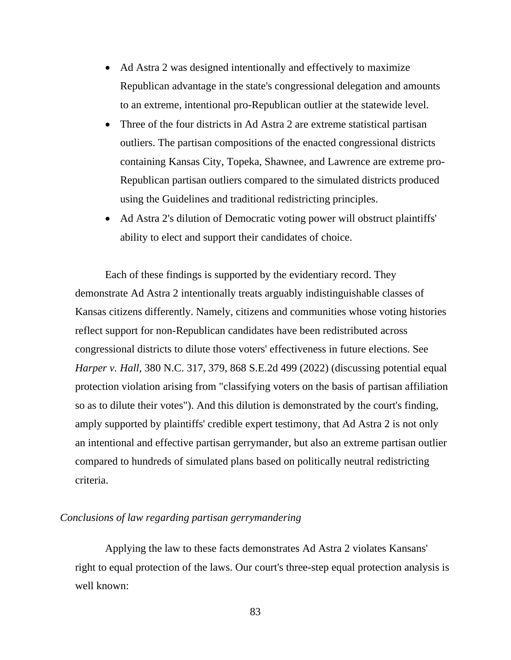- Ad Astra 2 was designed intentionally and effectively to maximize Republican advantage in the state's congressional delegation and amounts to an extreme, intentional pro-Republican outlier at the statewide level.
- Three of the four districts in Ad Astra 2 are extreme statistical partisan outliers. The partisan compositions of the enacted congressional districts containing Kansas City, Topeka, Shawnee, and Lawrence are extreme pro-Republican partisan outliers compared to the simulated districts produced using the Guidelines and traditional redistricting principles.
- Ad Astra 2's dilution of Democratic voting power will obstruct plaintiffs' ability to elect and support their candidates of choice.

Each of these findings is supported by the evidentiary record. They demonstrate Ad Astra 2 intentionally treats arguably indistinguishable classes of Kansas citizens differently. Namely, citizens and communities whose voting histories reflect support for non-Republican candidates have been redistributed across congressional districts to dilute those voters' effectiveness in future elections. See *Harper v. Hall*, 380 N.C. 317, 379, 868 S.E.2d 499 (2022) (discussing potential equal protection violation arising from "classifying voters on the basis of partisan affiliation so as to dilute their votes"). And this dilution is demonstrated by the court's finding, amply supported by plaintiffs' credible expert testimony, that Ad Astra 2 is not only an intentional and effective partisan gerrymander, but also an extreme partisan outlier compared to hundreds of simulated plans based on politically neutral redistricting criteria.

# *Conclusions of law regarding partisan gerrymandering*

Applying the law to these facts demonstrates Ad Astra 2 violates Kansans' right to equal protection of the laws. Our court's three-step equal protection analysis is well known: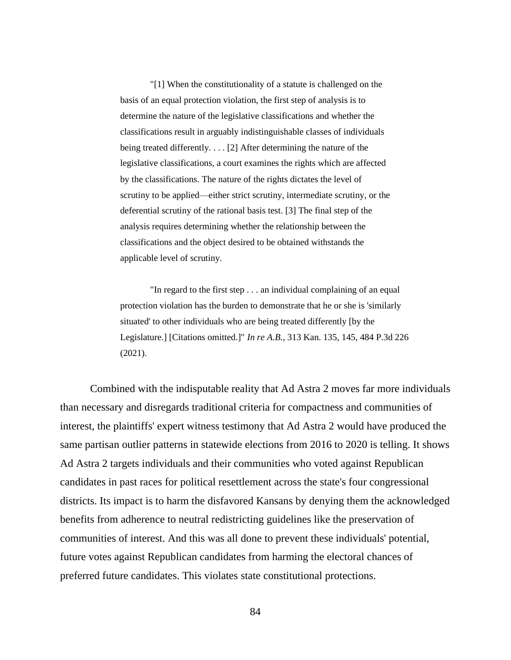"[1] When the constitutionality of a statute is challenged on the basis of an equal protection violation, the first step of analysis is to determine the nature of the legislative classifications and whether the classifications result in arguably indistinguishable classes of individuals being treated differently. . . . [2] After determining the nature of the legislative classifications, a court examines the rights which are affected by the classifications. The nature of the rights dictates the level of scrutiny to be applied—either strict scrutiny, intermediate scrutiny, or the deferential scrutiny of the rational basis test. [3] The final step of the analysis requires determining whether the relationship between the classifications and the object desired to be obtained withstands the applicable level of scrutiny.

"In regard to the first step . . . an individual complaining of an equal protection violation has the burden to demonstrate that he or she is 'similarly situated' to other individuals who are being treated differently [by the Legislature.] [Citations omitted.]" *In re A.B.*, 313 Kan. 135, 145, 484 P.3d 226 (2021).

Combined with the indisputable reality that Ad Astra 2 moves far more individuals than necessary and disregards traditional criteria for compactness and communities of interest, the plaintiffs' expert witness testimony that Ad Astra 2 would have produced the same partisan outlier patterns in statewide elections from 2016 to 2020 is telling. It shows Ad Astra 2 targets individuals and their communities who voted against Republican candidates in past races for political resettlement across the state's four congressional districts. Its impact is to harm the disfavored Kansans by denying them the acknowledged benefits from adherence to neutral redistricting guidelines like the preservation of communities of interest. And this was all done to prevent these individuals' potential, future votes against Republican candidates from harming the electoral chances of preferred future candidates. This violates state constitutional protections.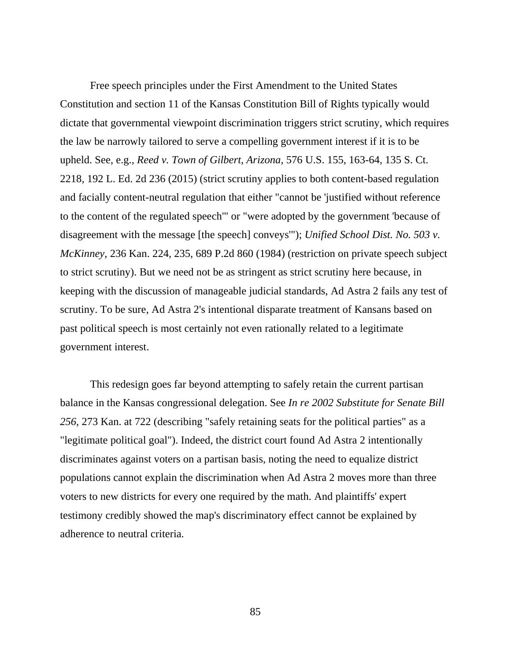Free speech principles under the First Amendment to the United States Constitution and section 11 of the Kansas Constitution Bill of Rights typically would dictate that governmental viewpoint discrimination triggers strict scrutiny, which requires the law be narrowly tailored to serve a compelling government interest if it is to be upheld. See, e.g., *Reed v. Town of Gilbert, Arizona*, 576 U.S. 155, 163-64, 135 S. Ct. 2218, 192 L. Ed. 2d 236 (2015) (strict scrutiny applies to both content-based regulation and facially content-neutral regulation that either "cannot be 'justified without reference to the content of the regulated speech'" or "were adopted by the government 'because of disagreement with the message [the speech] conveys'"); *Unified School Dist. No. 503 v. McKinney*, 236 Kan. 224, 235, 689 P.2d 860 (1984) (restriction on private speech subject to strict scrutiny). But we need not be as stringent as strict scrutiny here because, in keeping with the discussion of manageable judicial standards, Ad Astra 2 fails any test of scrutiny. To be sure, Ad Astra 2's intentional disparate treatment of Kansans based on past political speech is most certainly not even rationally related to a legitimate government interest.

This redesign goes far beyond attempting to safely retain the current partisan balance in the Kansas congressional delegation. See *In re 2002 Substitute for Senate Bill 256*, 273 Kan. at 722 (describing "safely retaining seats for the political parties" as a "legitimate political goal"). Indeed, the district court found Ad Astra 2 intentionally discriminates against voters on a partisan basis, noting the need to equalize district populations cannot explain the discrimination when Ad Astra 2 moves more than three voters to new districts for every one required by the math. And plaintiffs' expert testimony credibly showed the map's discriminatory effect cannot be explained by adherence to neutral criteria.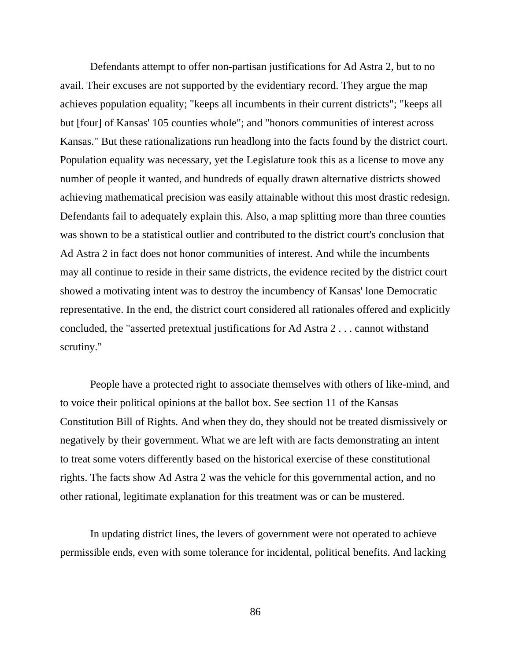Defendants attempt to offer non-partisan justifications for Ad Astra 2, but to no avail. Their excuses are not supported by the evidentiary record. They argue the map achieves population equality; "keeps all incumbents in their current districts"; "keeps all but [four] of Kansas' 105 counties whole"; and "honors communities of interest across Kansas." But these rationalizations run headlong into the facts found by the district court. Population equality was necessary, yet the Legislature took this as a license to move any number of people it wanted, and hundreds of equally drawn alternative districts showed achieving mathematical precision was easily attainable without this most drastic redesign. Defendants fail to adequately explain this. Also, a map splitting more than three counties was shown to be a statistical outlier and contributed to the district court's conclusion that Ad Astra 2 in fact does not honor communities of interest. And while the incumbents may all continue to reside in their same districts, the evidence recited by the district court showed a motivating intent was to destroy the incumbency of Kansas' lone Democratic representative. In the end, the district court considered all rationales offered and explicitly concluded, the "asserted pretextual justifications for Ad Astra 2 . . . cannot withstand scrutiny."

People have a protected right to associate themselves with others of like-mind, and to voice their political opinions at the ballot box. See section 11 of the Kansas Constitution Bill of Rights. And when they do, they should not be treated dismissively or negatively by their government. What we are left with are facts demonstrating an intent to treat some voters differently based on the historical exercise of these constitutional rights. The facts show Ad Astra 2 was the vehicle for this governmental action, and no other rational, legitimate explanation for this treatment was or can be mustered.

In updating district lines, the levers of government were not operated to achieve permissible ends, even with some tolerance for incidental, political benefits. And lacking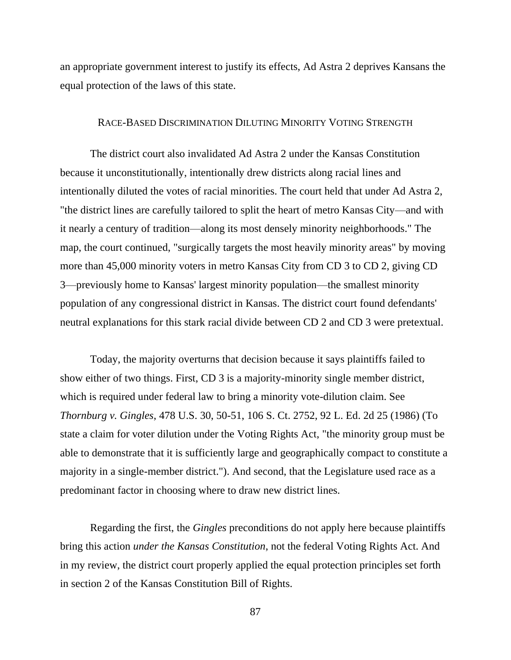an appropriate government interest to justify its effects, Ad Astra 2 deprives Kansans the equal protection of the laws of this state.

#### RACE-BASED DISCRIMINATION DILUTING MINORITY VOTING STRENGTH

The district court also invalidated Ad Astra 2 under the Kansas Constitution because it unconstitutionally, intentionally drew districts along racial lines and intentionally diluted the votes of racial minorities. The court held that under Ad Astra 2, "the district lines are carefully tailored to split the heart of metro Kansas City—and with it nearly a century of tradition—along its most densely minority neighborhoods." The map, the court continued, "surgically targets the most heavily minority areas" by moving more than 45,000 minority voters in metro Kansas City from CD 3 to CD 2, giving CD 3—previously home to Kansas' largest minority population—the smallest minority population of any congressional district in Kansas. The district court found defendants' neutral explanations for this stark racial divide between CD 2 and CD 3 were pretextual.

Today, the majority overturns that decision because it says plaintiffs failed to show either of two things. First, CD 3 is a majority-minority single member district, which is required under federal law to bring a minority vote-dilution claim. See *Thornburg v. Gingles*, 478 U.S. 30, 50-51, 106 S. Ct. 2752, 92 L. Ed. 2d 25 (1986) (To state a claim for voter dilution under the Voting Rights Act, "the minority group must be able to demonstrate that it is sufficiently large and geographically compact to constitute a majority in a single-member district."). And second, that the Legislature used race as a predominant factor in choosing where to draw new district lines.

Regarding the first, the *Gingles* preconditions do not apply here because plaintiffs bring this action *under the Kansas Constitution*, not the federal Voting Rights Act. And in my review, the district court properly applied the equal protection principles set forth in section 2 of the Kansas Constitution Bill of Rights.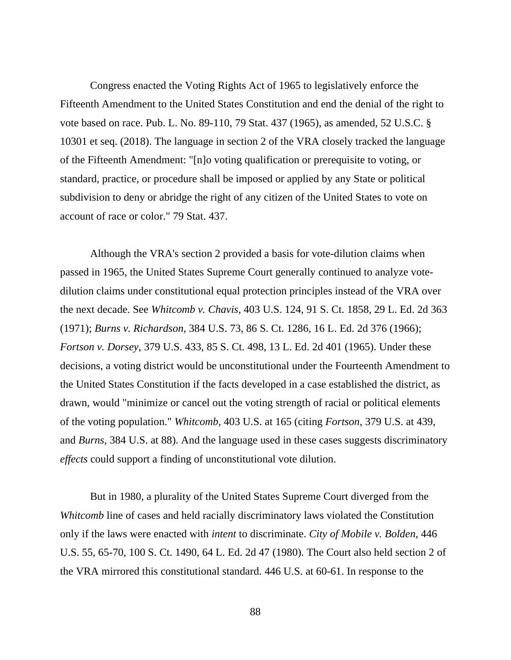Congress enacted the Voting Rights Act of 1965 to legislatively enforce the Fifteenth Amendment to the United States Constitution and end the denial of the right to vote based on race. Pub. L. No. 89-110, 79 Stat. 437 (1965), as amended, 52 U.S.C. § 10301 et seq. (2018). The language in section 2 of the VRA closely tracked the language of the Fifteenth Amendment: "[n]o voting qualification or prerequisite to voting, or standard, practice, or procedure shall be imposed or applied by any State or political subdivision to deny or abridge the right of any citizen of the United States to vote on account of race or color." 79 Stat. 437.

Although the VRA's section 2 provided a basis for vote-dilution claims when passed in 1965, the United States Supreme Court generally continued to analyze votedilution claims under constitutional equal protection principles instead of the VRA over the next decade. See *Whitcomb v. Chavis*, 403 U.S. 124, 91 S. Ct. 1858, 29 L. Ed. 2d 363 (1971); *Burns v. Richardson*, 384 U.S. 73, 86 S. Ct. 1286, 16 L. Ed. 2d 376 (1966); *Fortson v. Dorsey*, 379 U.S. 433, 85 S. Ct. 498, 13 L. Ed. 2d 401 (1965). Under these decisions, a voting district would be unconstitutional under the Fourteenth Amendment to the United States Constitution if the facts developed in a case established the district, as drawn, would "minimize or cancel out the voting strength of racial or political elements of the voting population." *Whitcomb*, 403 U.S. at 165 (citing *Fortson*, 379 U.S. at 439, and *Burns*, 384 U.S. at 88). And the language used in these cases suggests discriminatory *effects* could support a finding of unconstitutional vote dilution.

But in 1980, a plurality of the United States Supreme Court diverged from the *Whitcomb* line of cases and held racially discriminatory laws violated the Constitution only if the laws were enacted with *intent* to discriminate. *City of Mobile v. Bolden*, 446 U.S. 55, 65-70, 100 S. Ct. 1490, 64 L. Ed. 2d 47 (1980). The Court also held section 2 of the VRA mirrored this constitutional standard. 446 U.S. at 60-61. In response to the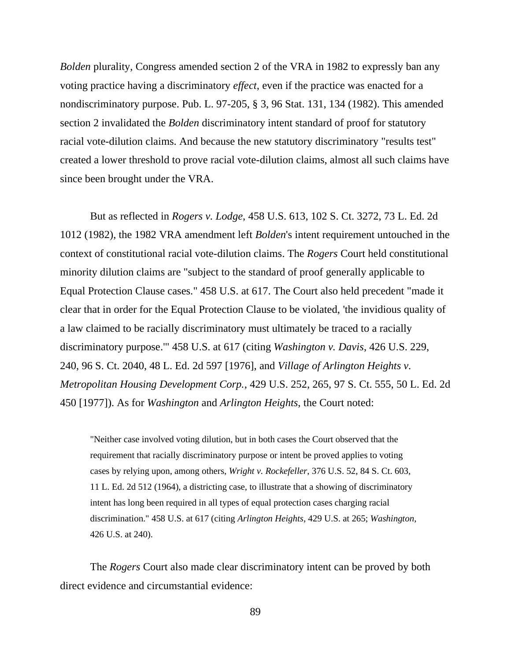*Bolden* plurality, Congress amended section 2 of the VRA in 1982 to expressly ban any voting practice having a discriminatory *effect*, even if the practice was enacted for a nondiscriminatory purpose. Pub. L. 97-205, § 3, 96 Stat. 131, 134 (1982). This amended section 2 invalidated the *Bolden* discriminatory intent standard of proof for statutory racial vote-dilution claims. And because the new statutory discriminatory "results test" created a lower threshold to prove racial vote-dilution claims, almost all such claims have since been brought under the VRA.

But as reflected in *Rogers v. Lodge*, 458 U.S. 613, 102 S. Ct. 3272, 73 L. Ed. 2d 1012 (1982), the 1982 VRA amendment left *Bolden*'s intent requirement untouched in the context of constitutional racial vote-dilution claims. The *Rogers* Court held constitutional minority dilution claims are "subject to the standard of proof generally applicable to Equal Protection Clause cases." 458 U.S. at 617. The Court also held precedent "made it clear that in order for the Equal Protection Clause to be violated, 'the invidious quality of a law claimed to be racially discriminatory must ultimately be traced to a racially discriminatory purpose.'" 458 U.S. at 617 (citing *Washington v. Davis*, 426 U.S. 229, 240, 96 S. Ct. 2040, 48 L. Ed. 2d 597 [1976], and *Village of Arlington Heights v. Metropolitan Housing Development Corp.*, 429 U.S. 252, 265, 97 S. Ct. 555, 50 L. Ed. 2d 450 [1977]). As for *Washington* and *Arlington Heights*, the Court noted:

"Neither case involved voting dilution, but in both cases the Court observed that the requirement that racially discriminatory purpose or intent be proved applies to voting cases by relying upon, among others, *Wright v. Rockefeller*, 376 U.S. 52, 84 S. Ct. 603, 11 L. Ed. 2d 512 (1964), a districting case, to illustrate that a showing of discriminatory intent has long been required in all types of equal protection cases charging racial discrimination." 458 U.S. at 617 (citing *Arlington Heights*, 429 U.S. at 265; *Washington*, 426 U.S. at 240).

The *Rogers* Court also made clear discriminatory intent can be proved by both direct evidence and circumstantial evidence: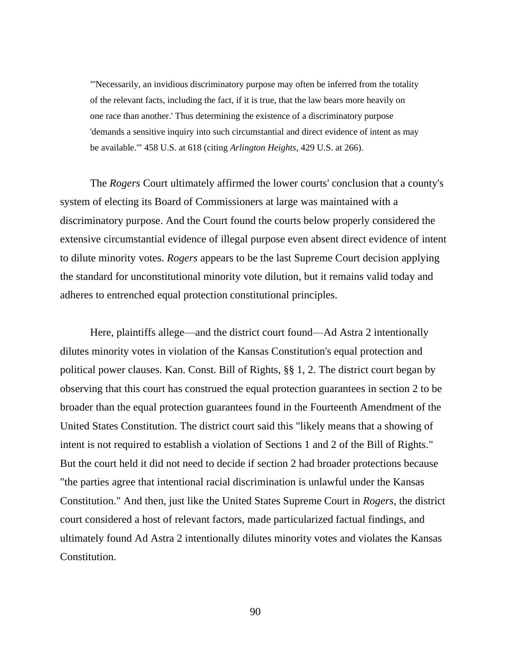"'Necessarily, an invidious discriminatory purpose may often be inferred from the totality of the relevant facts, including the fact, if it is true, that the law bears more heavily on one race than another.' Thus determining the existence of a discriminatory purpose 'demands a sensitive inquiry into such circumstantial and direct evidence of intent as may be available.'" 458 U.S. at 618 (citing *Arlington Heights*, 429 U.S. at 266).

The *Rogers* Court ultimately affirmed the lower courts' conclusion that a county's system of electing its Board of Commissioners at large was maintained with a discriminatory purpose. And the Court found the courts below properly considered the extensive circumstantial evidence of illegal purpose even absent direct evidence of intent to dilute minority votes. *Rogers* appears to be the last Supreme Court decision applying the standard for unconstitutional minority vote dilution, but it remains valid today and adheres to entrenched equal protection constitutional principles.

Here, plaintiffs allege—and the district court found—Ad Astra 2 intentionally dilutes minority votes in violation of the Kansas Constitution's equal protection and political power clauses. Kan. Const. Bill of Rights, §§ 1, 2. The district court began by observing that this court has construed the equal protection guarantees in section 2 to be broader than the equal protection guarantees found in the Fourteenth Amendment of the United States Constitution. The district court said this "likely means that a showing of intent is not required to establish a violation of Sections 1 and 2 of the Bill of Rights." But the court held it did not need to decide if section 2 had broader protections because "the parties agree that intentional racial discrimination is unlawful under the Kansas Constitution." And then, just like the United States Supreme Court in *Rogers*, the district court considered a host of relevant factors, made particularized factual findings, and ultimately found Ad Astra 2 intentionally dilutes minority votes and violates the Kansas Constitution.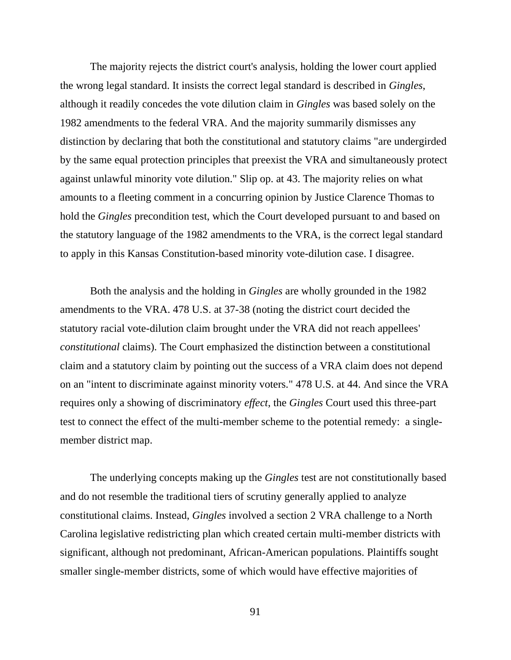The majority rejects the district court's analysis, holding the lower court applied the wrong legal standard. It insists the correct legal standard is described in *Gingles*, although it readily concedes the vote dilution claim in *Gingles* was based solely on the 1982 amendments to the federal VRA. And the majority summarily dismisses any distinction by declaring that both the constitutional and statutory claims "are undergirded by the same equal protection principles that preexist the VRA and simultaneously protect against unlawful minority vote dilution." Slip op. at 43. The majority relies on what amounts to a fleeting comment in a concurring opinion by Justice Clarence Thomas to hold the *Gingles* precondition test, which the Court developed pursuant to and based on the statutory language of the 1982 amendments to the VRA, is the correct legal standard to apply in this Kansas Constitution-based minority vote-dilution case. I disagree.

Both the analysis and the holding in *Gingles* are wholly grounded in the 1982 amendments to the VRA. 478 U.S. at 37-38 (noting the district court decided the statutory racial vote-dilution claim brought under the VRA did not reach appellees' *constitutional* claims). The Court emphasized the distinction between a constitutional claim and a statutory claim by pointing out the success of a VRA claim does not depend on an "intent to discriminate against minority voters." 478 U.S. at 44. And since the VRA requires only a showing of discriminatory *effect*, the *Gingles* Court used this three-part test to connect the effect of the multi-member scheme to the potential remedy: a singlemember district map.

The underlying concepts making up the *Gingles* test are not constitutionally based and do not resemble the traditional tiers of scrutiny generally applied to analyze constitutional claims. Instead, *Gingles* involved a section 2 VRA challenge to a North Carolina legislative redistricting plan which created certain multi-member districts with significant, although not predominant, African-American populations. Plaintiffs sought smaller single-member districts, some of which would have effective majorities of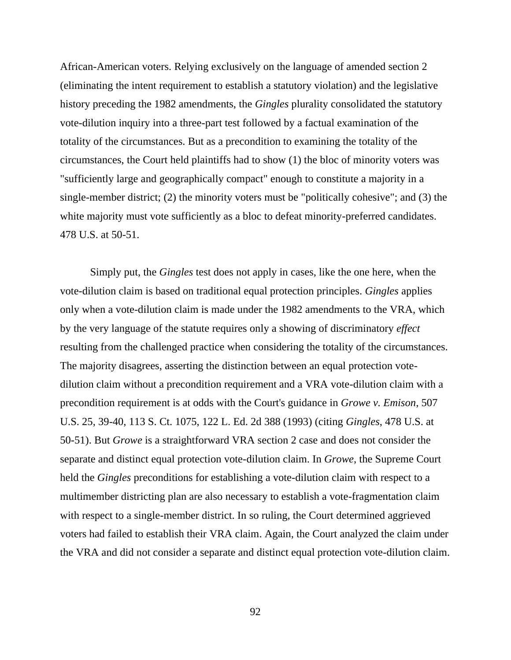African-American voters. Relying exclusively on the language of amended section 2 (eliminating the intent requirement to establish a statutory violation) and the legislative history preceding the 1982 amendments, the *Gingles* plurality consolidated the statutory vote-dilution inquiry into a three-part test followed by a factual examination of the totality of the circumstances. But as a precondition to examining the totality of the circumstances, the Court held plaintiffs had to show (1) the bloc of minority voters was "sufficiently large and geographically compact" enough to constitute a majority in a single-member district; (2) the minority voters must be "politically cohesive"; and (3) the white majority must vote sufficiently as a bloc to defeat minority-preferred candidates. 478 U.S. at 50-51.

Simply put, the *Gingles* test does not apply in cases, like the one here, when the vote-dilution claim is based on traditional equal protection principles. *Gingles* applies only when a vote-dilution claim is made under the 1982 amendments to the VRA, which by the very language of the statute requires only a showing of discriminatory *effect* resulting from the challenged practice when considering the totality of the circumstances. The majority disagrees, asserting the distinction between an equal protection votedilution claim without a precondition requirement and a VRA vote-dilution claim with a precondition requirement is at odds with the Court's guidance in *Growe v. Emison*, 507 U.S. 25, 39-40, 113 S. Ct. 1075, 122 L. Ed. 2d 388 (1993) (citing *Gingles*, 478 U.S. at 50-51). But *Growe* is a straightforward VRA section 2 case and does not consider the separate and distinct equal protection vote-dilution claim. In *Growe*, the Supreme Court held the *Gingles* preconditions for establishing a vote-dilution claim with respect to a multimember districting plan are also necessary to establish a vote-fragmentation claim with respect to a single-member district. In so ruling, the Court determined aggrieved voters had failed to establish their VRA claim. Again, the Court analyzed the claim under the VRA and did not consider a separate and distinct equal protection vote-dilution claim.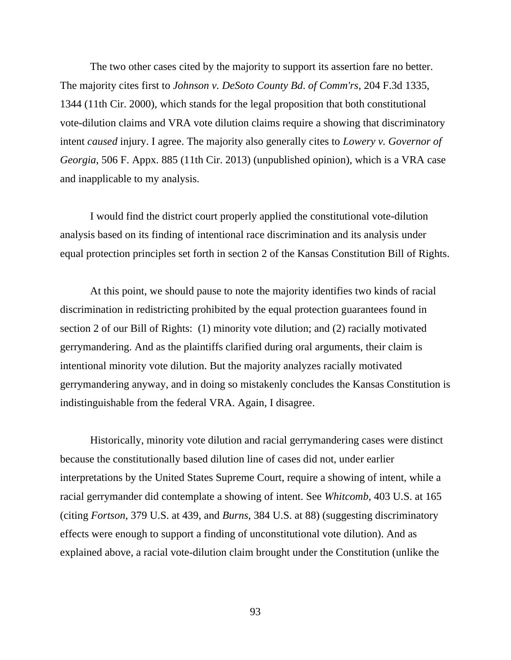The two other cases cited by the majority to support its assertion fare no better. The majority cites first to *Johnson v. DeSoto County Bd*. *of Comm'rs*, 204 F.3d 1335, 1344 (11th Cir. 2000), which stands for the legal proposition that both constitutional vote-dilution claims and VRA vote dilution claims require a showing that discriminatory intent *caused* injury. I agree. The majority also generally cites to *Lowery v. Governor of Georgia*, 506 F. Appx. 885 (11th Cir. 2013) (unpublished opinion), which is a VRA case and inapplicable to my analysis.

I would find the district court properly applied the constitutional vote-dilution analysis based on its finding of intentional race discrimination and its analysis under equal protection principles set forth in section 2 of the Kansas Constitution Bill of Rights.

At this point, we should pause to note the majority identifies two kinds of racial discrimination in redistricting prohibited by the equal protection guarantees found in section 2 of our Bill of Rights: (1) minority vote dilution; and (2) racially motivated gerrymandering. And as the plaintiffs clarified during oral arguments, their claim is intentional minority vote dilution. But the majority analyzes racially motivated gerrymandering anyway, and in doing so mistakenly concludes the Kansas Constitution is indistinguishable from the federal VRA. Again, I disagree.

Historically, minority vote dilution and racial gerrymandering cases were distinct because the constitutionally based dilution line of cases did not, under earlier interpretations by the United States Supreme Court, require a showing of intent, while a racial gerrymander did contemplate a showing of intent. See *Whitcomb*, 403 U.S. at 165 (citing *Fortson*, 379 U.S. at 439, and *Burns*, 384 U.S. at 88) (suggesting discriminatory effects were enough to support a finding of unconstitutional vote dilution). And as explained above, a racial vote-dilution claim brought under the Constitution (unlike the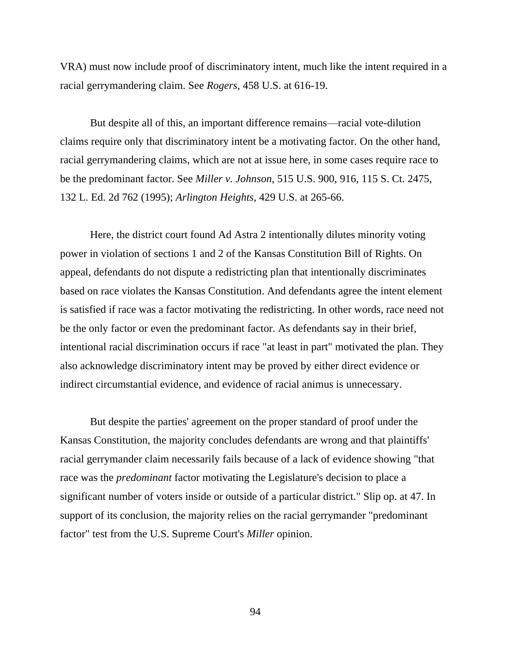VRA) must now include proof of discriminatory intent, much like the intent required in a racial gerrymandering claim. See *Rogers*, 458 U.S. at 616-19.

But despite all of this, an important difference remains—racial vote-dilution claims require only that discriminatory intent be a motivating factor. On the other hand, racial gerrymandering claims, which are not at issue here, in some cases require race to be the predominant factor. See *Miller v. Johnson*, 515 U.S. 900, 916, 115 S. Ct. 2475, 132 L. Ed. 2d 762 (1995); *Arlington Heights*, 429 U.S. at 265-66.

Here, the district court found Ad Astra 2 intentionally dilutes minority voting power in violation of sections 1 and 2 of the Kansas Constitution Bill of Rights. On appeal, defendants do not dispute a redistricting plan that intentionally discriminates based on race violates the Kansas Constitution. And defendants agree the intent element is satisfied if race was a factor motivating the redistricting. In other words, race need not be the only factor or even the predominant factor. As defendants say in their brief, intentional racial discrimination occurs if race "at least in part" motivated the plan. They also acknowledge discriminatory intent may be proved by either direct evidence or indirect circumstantial evidence, and evidence of racial animus is unnecessary.

But despite the parties' agreement on the proper standard of proof under the Kansas Constitution, the majority concludes defendants are wrong and that plaintiffs' racial gerrymander claim necessarily fails because of a lack of evidence showing "that race was the *predominant* factor motivating the Legislature's decision to place a significant number of voters inside or outside of a particular district." Slip op. at 47. In support of its conclusion, the majority relies on the racial gerrymander "predominant factor" test from the U.S. Supreme Court's *Miller* opinion.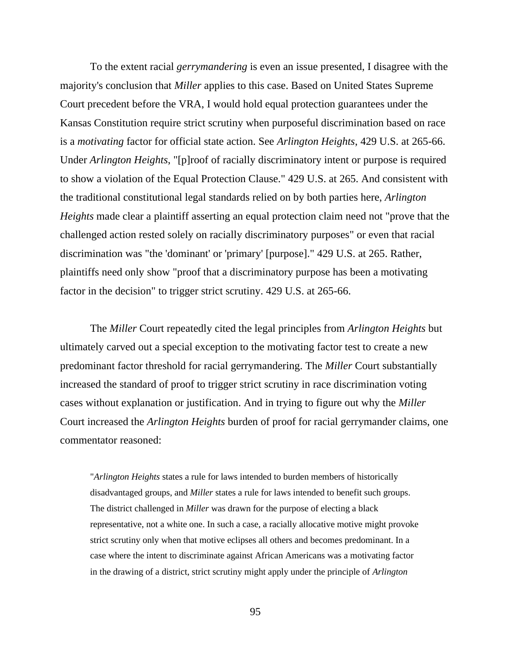To the extent racial *gerrymandering* is even an issue presented, I disagree with the majority's conclusion that *Miller* applies to this case. Based on United States Supreme Court precedent before the VRA, I would hold equal protection guarantees under the Kansas Constitution require strict scrutiny when purposeful discrimination based on race is a *motivating* factor for official state action. See *Arlington Heights*, 429 U.S. at 265-66. Under *Arlington Heights*, "[p]roof of racially discriminatory intent or purpose is required to show a violation of the Equal Protection Clause." 429 U.S. at 265. And consistent with the traditional constitutional legal standards relied on by both parties here, *Arlington Heights* made clear a plaintiff asserting an equal protection claim need not "prove that the challenged action rested solely on racially discriminatory purposes" or even that racial discrimination was "the 'dominant' or 'primary' [purpose]." 429 U.S. at 265. Rather, plaintiffs need only show "proof that a discriminatory purpose has been a motivating factor in the decision" to trigger strict scrutiny. 429 U.S. at 265-66.

The *Miller* Court repeatedly cited the legal principles from *Arlington Heights* but ultimately carved out a special exception to the motivating factor test to create a new predominant factor threshold for racial gerrymandering. The *Miller* Court substantially increased the standard of proof to trigger strict scrutiny in race discrimination voting cases without explanation or justification. And in trying to figure out why the *Miller* Court increased the *Arlington Heights* burden of proof for racial gerrymander claims, one commentator reasoned:

"*Arlington Heights* states a rule for laws intended to burden members of historically disadvantaged groups, and *Miller* states a rule for laws intended to benefit such groups. The district challenged in *Miller* was drawn for the purpose of electing a black representative, not a white one. In such a case, a racially allocative motive might provoke strict scrutiny only when that motive eclipses all others and becomes predominant. In a case where the intent to discriminate against African Americans was a motivating factor in the drawing of a district, strict scrutiny might apply under the principle of *Arlington*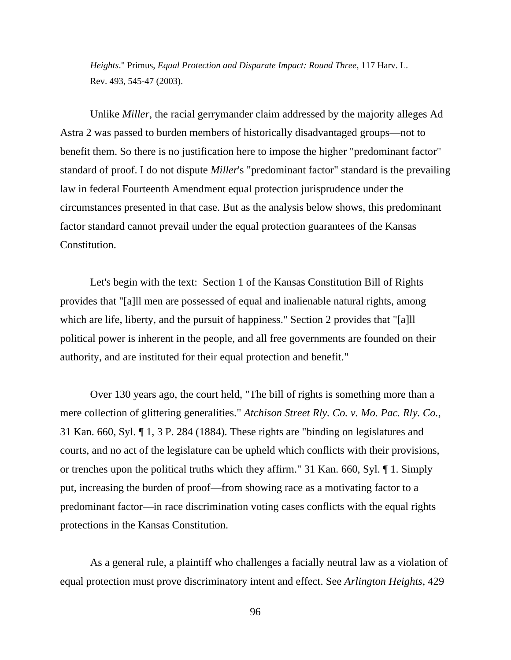*Heights*." Primus, *Equal Protection and Disparate Impact: Round Three*, 117 Harv. L. Rev. 493, 545-47 (2003).

Unlike *Miller*, the racial gerrymander claim addressed by the majority alleges Ad Astra 2 was passed to burden members of historically disadvantaged groups—not to benefit them. So there is no justification here to impose the higher "predominant factor" standard of proof. I do not dispute *Miller*'s "predominant factor" standard is the prevailing law in federal Fourteenth Amendment equal protection jurisprudence under the circumstances presented in that case. But as the analysis below shows, this predominant factor standard cannot prevail under the equal protection guarantees of the Kansas Constitution.

Let's begin with the text: Section 1 of the Kansas Constitution Bill of Rights provides that "[a]ll men are possessed of equal and inalienable natural rights, among which are life, liberty, and the pursuit of happiness." Section 2 provides that "[a]ll political power is inherent in the people, and all free governments are founded on their authority, and are instituted for their equal protection and benefit."

Over 130 years ago, the court held, "The bill of rights is something more than a mere collection of glittering generalities." *Atchison Street Rly. Co. v. Mo. Pac. Rly. Co.*, 31 Kan. 660, Syl. ¶ 1, 3 P. 284 (1884). These rights are "binding on legislatures and courts, and no act of the legislature can be upheld which conflicts with their provisions, or trenches upon the political truths which they affirm." 31 Kan. 660, Syl. ¶ 1. Simply put, increasing the burden of proof—from showing race as a motivating factor to a predominant factor—in race discrimination voting cases conflicts with the equal rights protections in the Kansas Constitution.

As a general rule, a plaintiff who challenges a facially neutral law as a violation of equal protection must prove discriminatory intent and effect. See *Arlington Heights*, 429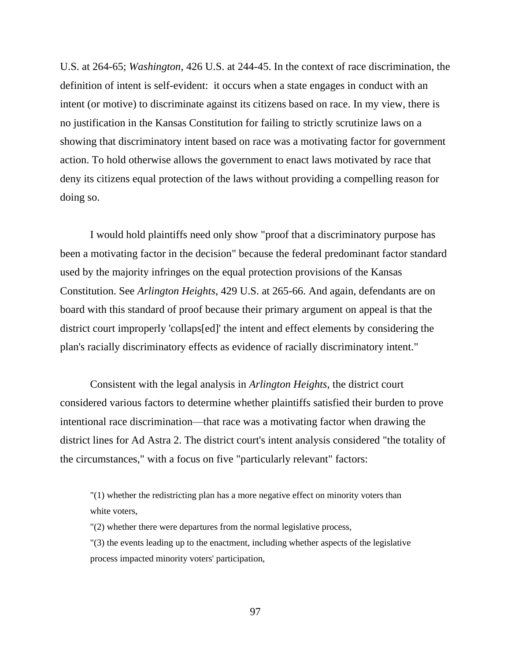U.S. at 264-65; *Washington*, 426 U.S. at 244-45. In the context of race discrimination, the definition of intent is self-evident: it occurs when a state engages in conduct with an intent (or motive) to discriminate against its citizens based on race. In my view, there is no justification in the Kansas Constitution for failing to strictly scrutinize laws on a showing that discriminatory intent based on race was a motivating factor for government action. To hold otherwise allows the government to enact laws motivated by race that deny its citizens equal protection of the laws without providing a compelling reason for doing so.

I would hold plaintiffs need only show "proof that a discriminatory purpose has been a motivating factor in the decision" because the federal predominant factor standard used by the majority infringes on the equal protection provisions of the Kansas Constitution. See *Arlington Heights*, 429 U.S. at 265-66. And again, defendants are on board with this standard of proof because their primary argument on appeal is that the district court improperly 'collaps[ed]' the intent and effect elements by considering the plan's racially discriminatory effects as evidence of racially discriminatory intent."

Consistent with the legal analysis in *Arlington Heights*, the district court considered various factors to determine whether plaintiffs satisfied their burden to prove intentional race discrimination—that race was a motivating factor when drawing the district lines for Ad Astra 2. The district court's intent analysis considered "the totality of the circumstances," with a focus on five "particularly relevant" factors:

<sup>&</sup>quot;(1) whether the redistricting plan has a more negative effect on minority voters than white voters,

<sup>&</sup>quot;(2) whether there were departures from the normal legislative process,

<sup>&</sup>quot;(3) the events leading up to the enactment, including whether aspects of the legislative process impacted minority voters' participation,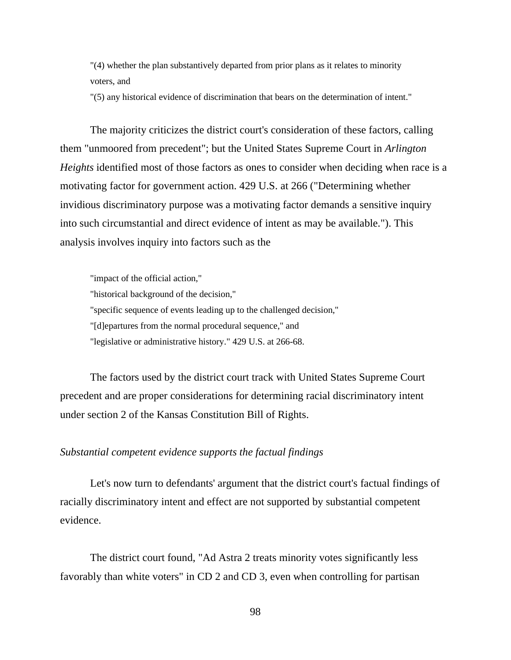"(4) whether the plan substantively departed from prior plans as it relates to minority voters, and

"(5) any historical evidence of discrimination that bears on the determination of intent."

The majority criticizes the district court's consideration of these factors, calling them "unmoored from precedent"; but the United States Supreme Court in *Arlington Heights* identified most of those factors as ones to consider when deciding when race is a motivating factor for government action. 429 U.S. at 266 ("Determining whether invidious discriminatory purpose was a motivating factor demands a sensitive inquiry into such circumstantial and direct evidence of intent as may be available."). This analysis involves inquiry into factors such as the

"impact of the official action," "historical background of the decision," "specific sequence of events leading up to the challenged decision," "[d]epartures from the normal procedural sequence," and "legislative or administrative history." 429 U.S. at 266-68.

The factors used by the district court track with United States Supreme Court precedent and are proper considerations for determining racial discriminatory intent under section 2 of the Kansas Constitution Bill of Rights.

### *Substantial competent evidence supports the factual findings*

Let's now turn to defendants' argument that the district court's factual findings of racially discriminatory intent and effect are not supported by substantial competent evidence.

The district court found, "Ad Astra 2 treats minority votes significantly less favorably than white voters" in CD 2 and CD 3, even when controlling for partisan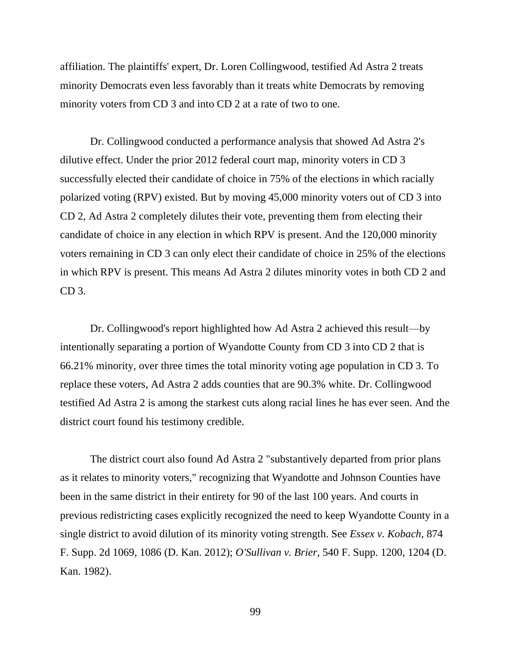affiliation. The plaintiffs' expert, Dr. Loren Collingwood, testified Ad Astra 2 treats minority Democrats even less favorably than it treats white Democrats by removing minority voters from CD 3 and into CD 2 at a rate of two to one.

Dr. Collingwood conducted a performance analysis that showed Ad Astra 2's dilutive effect. Under the prior 2012 federal court map, minority voters in CD 3 successfully elected their candidate of choice in 75% of the elections in which racially polarized voting (RPV) existed. But by moving 45,000 minority voters out of CD 3 into CD 2, Ad Astra 2 completely dilutes their vote, preventing them from electing their candidate of choice in any election in which RPV is present. And the 120,000 minority voters remaining in CD 3 can only elect their candidate of choice in 25% of the elections in which RPV is present. This means Ad Astra 2 dilutes minority votes in both CD 2 and CD 3.

Dr. Collingwood's report highlighted how Ad Astra 2 achieved this result—by intentionally separating a portion of Wyandotte County from CD 3 into CD 2 that is 66.21% minority, over three times the total minority voting age population in CD 3. To replace these voters, Ad Astra 2 adds counties that are 90.3% white. Dr. Collingwood testified Ad Astra 2 is among the starkest cuts along racial lines he has ever seen. And the district court found his testimony credible.

The district court also found Ad Astra 2 "substantively departed from prior plans as it relates to minority voters," recognizing that Wyandotte and Johnson Counties have been in the same district in their entirety for 90 of the last 100 years. And courts in previous redistricting cases explicitly recognized the need to keep Wyandotte County in a single district to avoid dilution of its minority voting strength. See *Essex v. Kobach*, 874 F. Supp. 2d 1069, 1086 (D. Kan. 2012); *O'Sullivan v. Brier*, 540 F. Supp. 1200, 1204 (D. Kan. 1982).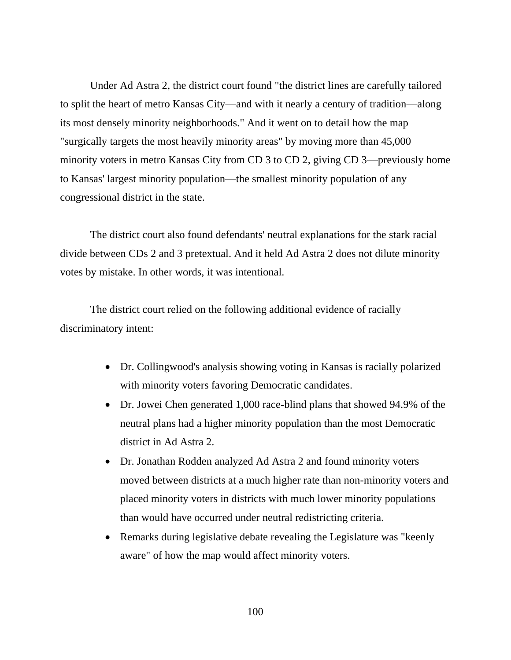Under Ad Astra 2, the district court found "the district lines are carefully tailored to split the heart of metro Kansas City—and with it nearly a century of tradition—along its most densely minority neighborhoods." And it went on to detail how the map "surgically targets the most heavily minority areas" by moving more than 45,000 minority voters in metro Kansas City from CD 3 to CD 2, giving CD 3—previously home to Kansas' largest minority population—the smallest minority population of any congressional district in the state.

The district court also found defendants' neutral explanations for the stark racial divide between CDs 2 and 3 pretextual. And it held Ad Astra 2 does not dilute minority votes by mistake. In other words, it was intentional.

The district court relied on the following additional evidence of racially discriminatory intent:

- Dr. Collingwood's analysis showing voting in Kansas is racially polarized with minority voters favoring Democratic candidates.
- Dr. Jowei Chen generated 1,000 race-blind plans that showed 94.9% of the neutral plans had a higher minority population than the most Democratic district in Ad Astra 2.
- Dr. Jonathan Rodden analyzed Ad Astra 2 and found minority voters moved between districts at a much higher rate than non-minority voters and placed minority voters in districts with much lower minority populations than would have occurred under neutral redistricting criteria.
- Remarks during legislative debate revealing the Legislature was "keenly aware" of how the map would affect minority voters.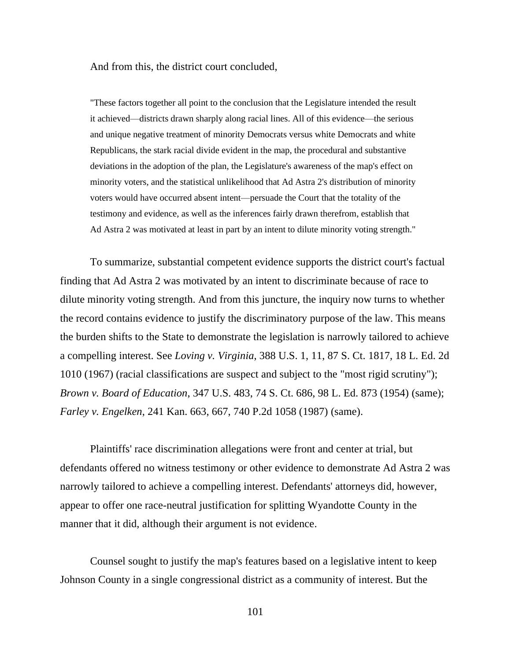And from this, the district court concluded,

"These factors together all point to the conclusion that the Legislature intended the result it achieved—districts drawn sharply along racial lines. All of this evidence—the serious and unique negative treatment of minority Democrats versus white Democrats and white Republicans, the stark racial divide evident in the map, the procedural and substantive deviations in the adoption of the plan, the Legislature's awareness of the map's effect on minority voters, and the statistical unlikelihood that Ad Astra 2's distribution of minority voters would have occurred absent intent—persuade the Court that the totality of the testimony and evidence, as well as the inferences fairly drawn therefrom, establish that Ad Astra 2 was motivated at least in part by an intent to dilute minority voting strength."

To summarize, substantial competent evidence supports the district court's factual finding that Ad Astra 2 was motivated by an intent to discriminate because of race to dilute minority voting strength. And from this juncture, the inquiry now turns to whether the record contains evidence to justify the discriminatory purpose of the law. This means the burden shifts to the State to demonstrate the legislation is narrowly tailored to achieve a compelling interest. See *Loving v. Virginia*, 388 U.S. 1, 11, 87 S. Ct. 1817, 18 L. Ed. 2d 1010 (1967) (racial classifications are suspect and subject to the "most rigid scrutiny"); *Brown v. Board of Education*, 347 U.S. 483, 74 S. Ct. 686, 98 L. Ed. 873 (1954) (same); *Farley v. Engelken*, 241 Kan. 663, 667, 740 P.2d 1058 (1987) (same).

Plaintiffs' race discrimination allegations were front and center at trial, but defendants offered no witness testimony or other evidence to demonstrate Ad Astra 2 was narrowly tailored to achieve a compelling interest. Defendants' attorneys did, however, appear to offer one race-neutral justification for splitting Wyandotte County in the manner that it did, although their argument is not evidence.

Counsel sought to justify the map's features based on a legislative intent to keep Johnson County in a single congressional district as a community of interest. But the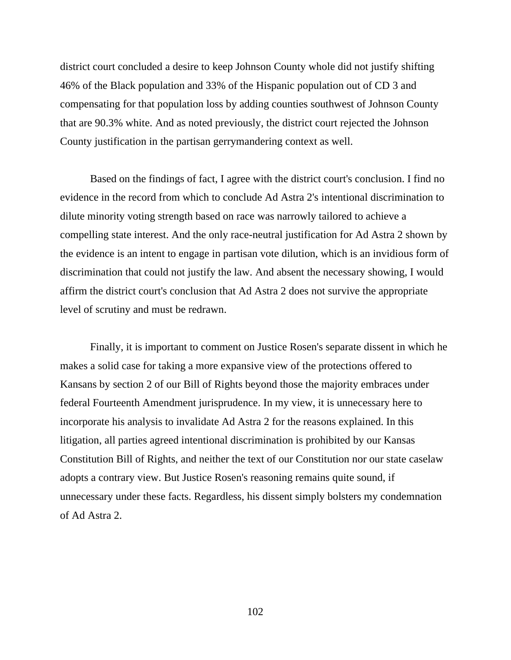district court concluded a desire to keep Johnson County whole did not justify shifting 46% of the Black population and 33% of the Hispanic population out of CD 3 and compensating for that population loss by adding counties southwest of Johnson County that are 90.3% white. And as noted previously, the district court rejected the Johnson County justification in the partisan gerrymandering context as well.

Based on the findings of fact, I agree with the district court's conclusion. I find no evidence in the record from which to conclude Ad Astra 2's intentional discrimination to dilute minority voting strength based on race was narrowly tailored to achieve a compelling state interest. And the only race-neutral justification for Ad Astra 2 shown by the evidence is an intent to engage in partisan vote dilution, which is an invidious form of discrimination that could not justify the law. And absent the necessary showing, I would affirm the district court's conclusion that Ad Astra 2 does not survive the appropriate level of scrutiny and must be redrawn.

Finally, it is important to comment on Justice Rosen's separate dissent in which he makes a solid case for taking a more expansive view of the protections offered to Kansans by section 2 of our Bill of Rights beyond those the majority embraces under federal Fourteenth Amendment jurisprudence. In my view, it is unnecessary here to incorporate his analysis to invalidate Ad Astra 2 for the reasons explained. In this litigation, all parties agreed intentional discrimination is prohibited by our Kansas Constitution Bill of Rights, and neither the text of our Constitution nor our state caselaw adopts a contrary view. But Justice Rosen's reasoning remains quite sound, if unnecessary under these facts. Regardless, his dissent simply bolsters my condemnation of Ad Astra 2.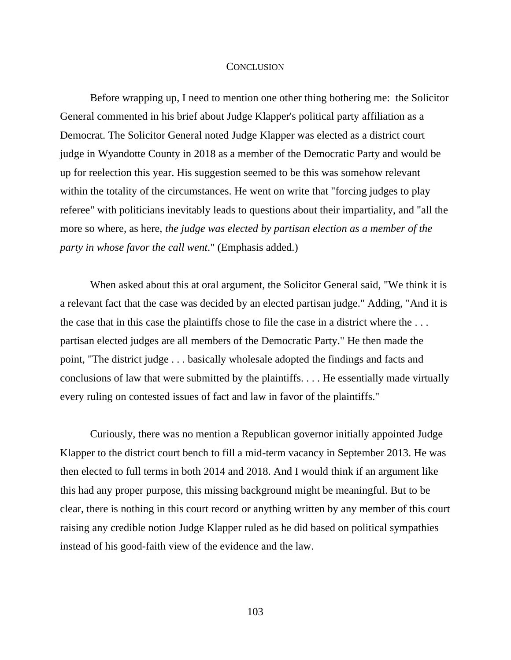#### **CONCLUSION**

Before wrapping up, I need to mention one other thing bothering me: the Solicitor General commented in his brief about Judge Klapper's political party affiliation as a Democrat. The Solicitor General noted Judge Klapper was elected as a district court judge in Wyandotte County in 2018 as a member of the Democratic Party and would be up for reelection this year. His suggestion seemed to be this was somehow relevant within the totality of the circumstances. He went on write that "forcing judges to play referee" with politicians inevitably leads to questions about their impartiality, and "all the more so where, as here, *the judge was elected by partisan election as a member of the party in whose favor the call went*." (Emphasis added.)

When asked about this at oral argument, the Solicitor General said, "We think it is a relevant fact that the case was decided by an elected partisan judge." Adding, "And it is the case that in this case the plaintiffs chose to file the case in a district where the . . . partisan elected judges are all members of the Democratic Party." He then made the point, "The district judge . . . basically wholesale adopted the findings and facts and conclusions of law that were submitted by the plaintiffs. . . . He essentially made virtually every ruling on contested issues of fact and law in favor of the plaintiffs."

Curiously, there was no mention a Republican governor initially appointed Judge Klapper to the district court bench to fill a mid-term vacancy in September 2013. He was then elected to full terms in both 2014 and 2018. And I would think if an argument like this had any proper purpose, this missing background might be meaningful. But to be clear, there is nothing in this court record or anything written by any member of this court raising any credible notion Judge Klapper ruled as he did based on political sympathies instead of his good-faith view of the evidence and the law.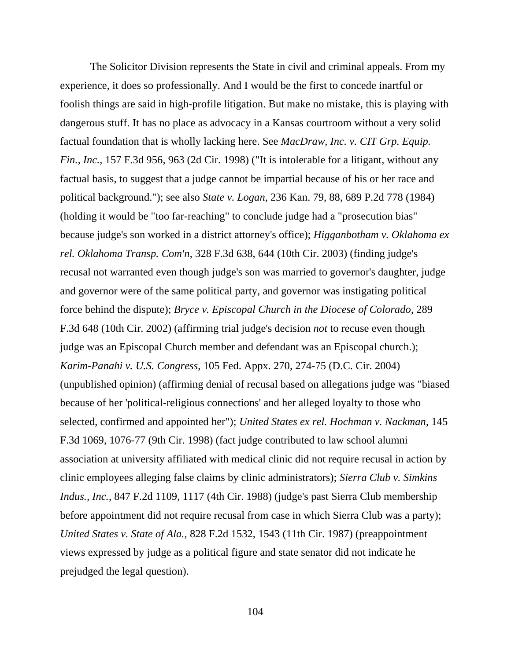The Solicitor Division represents the State in civil and criminal appeals. From my experience, it does so professionally. And I would be the first to concede inartful or foolish things are said in high-profile litigation. But make no mistake, this is playing with dangerous stuff. It has no place as advocacy in a Kansas courtroom without a very solid factual foundation that is wholly lacking here. See *MacDraw, Inc. v. CIT Grp. Equip. Fin., Inc.*, 157 F.3d 956, 963 (2d Cir. 1998) ("It is intolerable for a litigant, without any factual basis, to suggest that a judge cannot be impartial because of his or her race and political background."); see also *State v. Logan*, 236 Kan. 79, 88, 689 P.2d 778 (1984) (holding it would be "too far-reaching" to conclude judge had a "prosecution bias" because judge's son worked in a district attorney's office); *Higganbotham v. Oklahoma ex rel. Oklahoma Transp. Com'n*, 328 F.3d 638, 644 (10th Cir. 2003) (finding judge's recusal not warranted even though judge's son was married to governor's daughter, judge and governor were of the same political party, and governor was instigating political force behind the dispute); *Bryce v. Episcopal Church in the Diocese of Colorado*, 289 F.3d 648 (10th Cir. 2002) (affirming trial judge's decision *not* to recuse even though judge was an Episcopal Church member and defendant was an Episcopal church.); *Karim-Panahi v. U.S. Congress*, 105 Fed. Appx. 270, 274-75 (D.C. Cir. 2004) (unpublished opinion) (affirming denial of recusal based on allegations judge was "biased because of her 'political-religious connections' and her alleged loyalty to those who selected, confirmed and appointed her"); *United States ex rel. Hochman v. Nackman*, 145 F.3d 1069, 1076-77 (9th Cir. 1998) (fact judge contributed to law school alumni association at university affiliated with medical clinic did not require recusal in action by clinic employees alleging false claims by clinic administrators); *Sierra Club v. Simkins Indus., Inc.*, 847 F.2d 1109, 1117 (4th Cir. 1988) (judge's past Sierra Club membership before appointment did not require recusal from case in which Sierra Club was a party); *United States v. State of Ala.*, 828 F.2d 1532, 1543 (11th Cir. 1987) (preappointment views expressed by judge as a political figure and state senator did not indicate he prejudged the legal question).